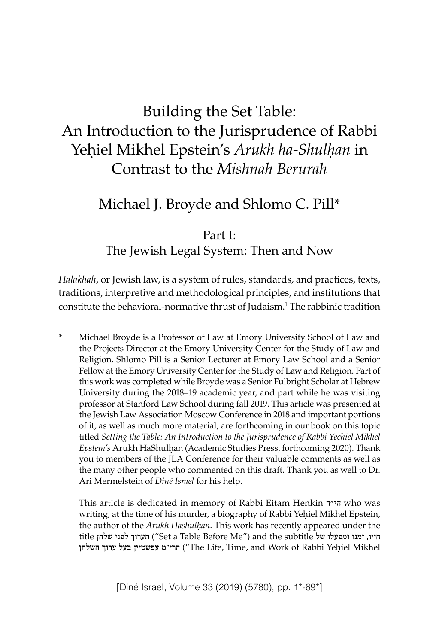# Building the Set Table: An Introduction to the Jurisprudence of Rabbi Yehiel Mikhel Epstein's *Arukh ha-Shulhan* in Contrast to the *Mishnah Berurah*

# Michael J. Broyde and Shlomo C. Pill\*

# Part I:

# The Jewish Legal System: Then and Now

*Halakhah*, or Jewish law, is a system of rules, standards, and practices, texts, traditions, interpretive and methodological principles, and institutions that constitute the behavioral-normative thrust of Judaism.1 The rabbinic tradition

\* Michael Broyde is a Professor of Law at Emory University School of Law and the Projects Director at the Emory University Center for the Study of Law and Religion. Shlomo Pill is a Senior Lecturer at Emory Law School and a Senior Fellow at the Emory University Center for the Study of Law and Religion. Part of this work was completed while Broyde was a Senior Fulbright Scholar at Hebrew University during the 2018–19 academic year, and part while he was visiting professor at Stanford Law School during fall 2019. This article was presented at the Jewish Law Association Moscow Conference in 2018 and important portions of it, as well as much more material, are forthcoming in our book on this topic titled *Setting the Table: An Introduction to the Jurisprudence of Rabbi Yechiel Mikhel Epstein's* Arukh HaShulhan (Academic Studies Press, forthcoming 2020). Thank you to members of the JLA Conference for their valuable comments as well as the many other people who commented on this draft. Thank you as well to Dr. Ari Mermelstein of *Diné Israel* for his help.

This article is dedicated in memory of Rabbi Eitam Henkin ד"הי who was writing, at the time of his murder, a biography of Rabbi Yehiel Mikhel Epstein, the author of the *Arukh Hashulhan*. This work has recently appeared under the title שלחן לפני תערוך") Set a Table Before Me") and the subtitle של ומפעלו זמנו ,חייו הרי״מ עפשטיין בעל ערוך השלחן ("The Life, Time, and Work of Rabbi Yeḥiel Mikhel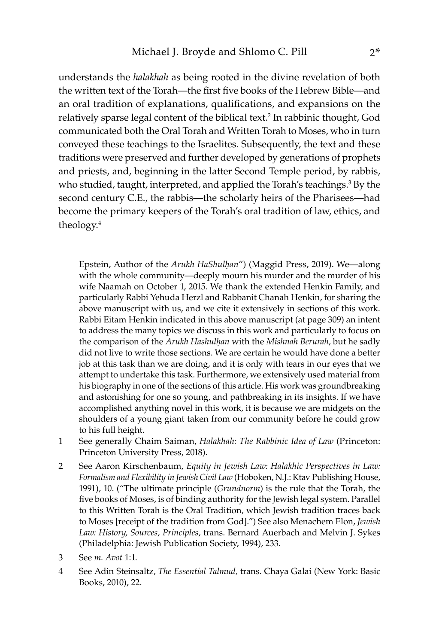understands the *halakhah* as being rooted in the divine revelation of both the written text of the Torah—the first five books of the Hebrew Bible—and an oral tradition of explanations, qualifications, and expansions on the relatively sparse legal content of the biblical text.<sup>2</sup> In rabbinic thought, God communicated both the Oral Torah and Written Torah to Moses, who in turn conveyed these teachings to the Israelites. Subsequently, the text and these traditions were preserved and further developed by generations of prophets and priests, and, beginning in the latter Second Temple period, by rabbis, who studied, taught, interpreted, and applied the Torah's teachings.<sup>3</sup> By the second century C.E., the rabbis—the scholarly heirs of the Pharisees—had become the primary keepers of the Torah's oral tradition of law, ethics, and theology.4

Epstein, Author of the *Arukh HaShulhan"*) (Maggid Press, 2019). We-along with the whole community—deeply mourn his murder and the murder of his wife Naamah on October 1, 2015. We thank the extended Henkin Family, and particularly Rabbi Yehuda Herzl and Rabbanit Chanah Henkin, for sharing the above manuscript with us, and we cite it extensively in sections of this work. Rabbi Eitam Henkin indicated in this above manuscript (at page 309) an intent to address the many topics we discuss in this work and particularly to focus on the comparison of the *Arukh Hashulêan* with the *Mishnah Berurah*, but he sadly did not live to write those sections. We are certain he would have done a better job at this task than we are doing, and it is only with tears in our eyes that we attempt to undertake this task. Furthermore, we extensively used material from his biography in one of the sections of this article. His work was groundbreaking and astonishing for one so young, and pathbreaking in its insights. If we have accomplished anything novel in this work, it is because we are midgets on the shoulders of a young giant taken from our community before he could grow to his full height.

- 1 See generally Chaim Saiman, *Halakhah: The Rabbinic Idea of Law* (Princeton: Princeton University Press, 2018).
- 2 See Aaron Kirschenbaum, *Equity in Jewish Law: Halakhic Perspectives in Law: Formalism and Flexibility in Jewish Civil Law* (Hoboken, N.J.: Ktav Publishing House, 1991), 10. ("The ultimate principle (*Grundnorm*) is the rule that the Torah, the five books of Moses, is of binding authority for the Jewish legal system. Parallel to this Written Torah is the Oral Tradition, which Jewish tradition traces back to Moses [receipt of the tradition from God].") See also Menachem Elon, *Jewish Law: History, Sources, Principles*, trans. Bernard Auerbach and Melvin J. Sykes (Philadelphia: Jewish Publication Society, 1994), 233.
- 3 See *m. Avot* 1:1.
- 4 See Adin Steinsaltz, *The Essential Talmud,* trans. Chaya Galai (New York: Basic Books, 2010), 22.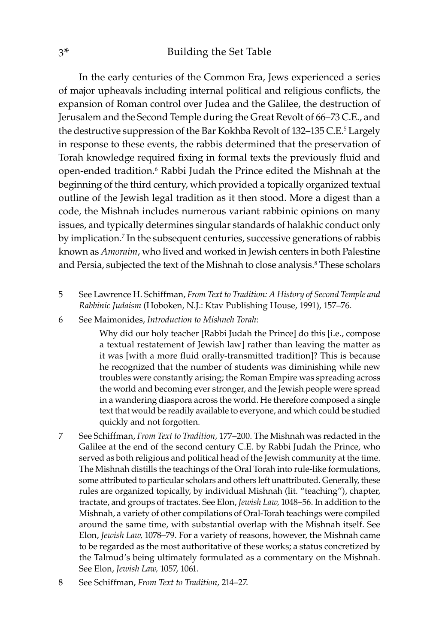In the early centuries of the Common Era, Jews experienced a series of major upheavals including internal political and religious conflicts, the expansion of Roman control over Judea and the Galilee, the destruction of Jerusalem and the Second Temple during the Great Revolt of 66–73 C.E., and the destructive suppression of the Bar Kokhba Revolt of 132–135 C.E.<sup>5</sup> Largely in response to these events, the rabbis determined that the preservation of Torah knowledge required fixing in formal texts the previously fluid and open-ended tradition.<sup>6</sup> Rabbi Judah the Prince edited the Mishnah at the beginning of the third century, which provided a topically organized textual outline of the Jewish legal tradition as it then stood. More a digest than a code, the Mishnah includes numerous variant rabbinic opinions on many issues, and typically determines singular standards of halakhic conduct only by implication.7 In the subsequent centuries, successive generations of rabbis known as *Amoraim*, who lived and worked in Jewish centers in both Palestine and Persia, subjected the text of the Mishnah to close analysis.<sup>8</sup> These scholars

- 5 See Lawrence H. Schiffman, *From Text to Tradition: A History of Second Temple and Rabbinic Judaism* (Hoboken, N.J.: Ktav Publishing House, 1991), 157–76.
- 6 See Maimonides, *Introduction to Mishneh Torah*:

Why did our holy teacher [Rabbi Judah the Prince] do this [i.e., compose a textual restatement of Jewish law] rather than leaving the matter as it was [with a more fluid orally-transmitted tradition]? This is because he recognized that the number of students was diminishing while new troubles were constantly arising; the Roman Empire was spreading across the world and becoming ever stronger, and the Jewish people were spread in a wandering diaspora across the world. He therefore composed a single text that would be readily available to everyone, and which could be studied quickly and not forgotten.

7 See Schiffman, *From Text to Tradition,* 177–200. The Mishnah was redacted in the Galilee at the end of the second century C.E. by Rabbi Judah the Prince, who served as both religious and political head of the Jewish community at the time. The Mishnah distills the teachings of the Oral Torah into rule-like formulations, some attributed to particular scholars and others left unattributed. Generally, these rules are organized topically, by individual Mishnah (lit. "teaching"), chapter, tractate, and groups of tractates. See Elon, *Jewish Law,* 1048–56. In addition to the Mishnah, a variety of other compilations of Oral-Torah teachings were compiled around the same time, with substantial overlap with the Mishnah itself. See Elon, *Jewish Law,* 1078–79. For a variety of reasons, however, the Mishnah came to be regarded as the most authoritative of these works; a status concretized by the Talmud's being ultimately formulated as a commentary on the Mishnah. See Elon, *Jewish Law,* 1057, 1061.

<sup>8</sup> See Schiffman, *From Text to Tradition,* 214–27.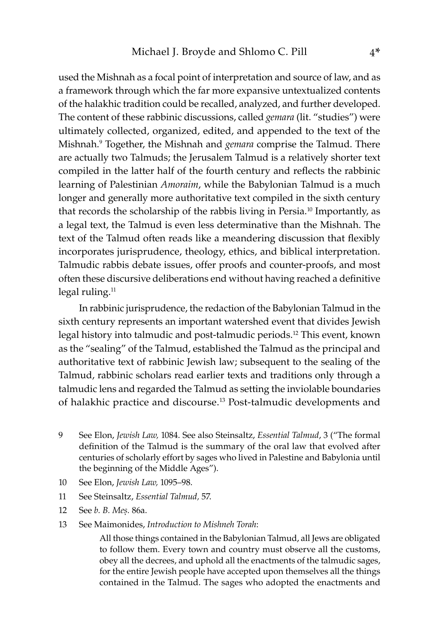used the Mishnah as a focal point of interpretation and source of law, and as a framework through which the far more expansive untextualized contents of the halakhic tradition could be recalled, analyzed, and further developed. The content of these rabbinic discussions, called *gemara* (lit. "studies") were ultimately collected, organized, edited, and appended to the text of the Mishnah.9 Together, the Mishnah and *gemara* comprise the Talmud. There are actually two Talmuds; the Jerusalem Talmud is a relatively shorter text compiled in the latter half of the fourth century and reflects the rabbinic learning of Palestinian *Amoraim*, while the Babylonian Talmud is a much longer and generally more authoritative text compiled in the sixth century that records the scholarship of the rabbis living in Persia.<sup>10</sup> Importantly, as a legal text, the Talmud is even less determinative than the Mishnah. The text of the Talmud often reads like a meandering discussion that flexibly incorporates jurisprudence, theology, ethics, and biblical interpretation. Talmudic rabbis debate issues, offer proofs and counter-proofs, and most often these discursive deliberations end without having reached a definitive legal ruling. $11$ 

In rabbinic jurisprudence, the redaction of the Babylonian Talmud in the sixth century represents an important watershed event that divides Jewish legal history into talmudic and post-talmudic periods.12 This event, known as the "sealing" of the Talmud, established the Talmud as the principal and authoritative text of rabbinic Jewish law; subsequent to the sealing of the Talmud, rabbinic scholars read earlier texts and traditions only through a talmudic lens and regarded the Talmud as setting the inviolable boundaries of halakhic practice and discourse.13 Post-talmudic developments and

- 9 See Elon, *Jewish Law,* 1084. See also Steinsaltz, *Essential Talmud*, 3 ("The formal definition of the Talmud is the summary of the oral law that evolved after centuries of scholarly effort by sages who lived in Palestine and Babylonia until the beginning of the Middle Ages").
- 10 See Elon, *Jewish Law,* 1095–98.
- 11 See Steinsaltz, *Essential Talmud,* 57.
- 12 See *b. B. Meṣ.* 86a.
- 13 See Maimonides, *Introduction to Mishneh Torah*:

All those things contained in the Babylonian Talmud, all Jews are obligated to follow them. Every town and country must observe all the customs, obey all the decrees, and uphold all the enactments of the talmudic sages, for the entire Jewish people have accepted upon themselves all the things contained in the Talmud. The sages who adopted the enactments and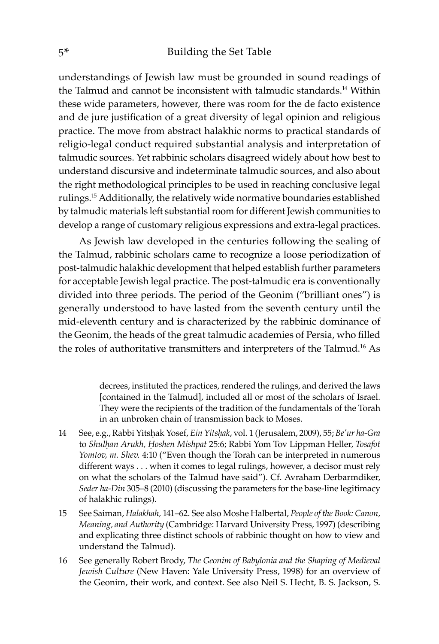understandings of Jewish law must be grounded in sound readings of the Talmud and cannot be inconsistent with talmudic standards.<sup>14</sup> Within these wide parameters, however, there was room for the de facto existence and de jure justification of a great diversity of legal opinion and religious practice. The move from abstract halakhic norms to practical standards of religio-legal conduct required substantial analysis and interpretation of talmudic sources. Yet rabbinic scholars disagreed widely about how best to understand discursive and indeterminate talmudic sources, and also about the right methodological principles to be used in reaching conclusive legal rulings.15 Additionally, the relatively wide normative boundaries established by talmudic materials left substantial room for different Jewish communities to develop a range of customary religious expressions and extra-legal practices.

As Jewish law developed in the centuries following the sealing of the Talmud, rabbinic scholars came to recognize a loose periodization of post-talmudic halakhic development that helped establish further parameters for acceptable Jewish legal practice. The post-talmudic era is conventionally divided into three periods. The period of the Geonim ("brilliant ones") is generally understood to have lasted from the seventh century until the mid-eleventh century and is characterized by the rabbinic dominance of the Geonim, the heads of the great talmudic academies of Persia, who filled the roles of authoritative transmitters and interpreters of the Talmud.16 As

> decrees, instituted the practices, rendered the rulings, and derived the laws [contained in the Talmud], included all or most of the scholars of Israel. They were the recipients of the tradition of the fundamentals of the Torah in an unbroken chain of transmission back to Moses.

- 14 See, e.g., Rabbi Yitsêak Yosef, *Ein Yitsêak*, vol. 1 (Jerusalem, 2009), 55; *Be'ur ha-Gra* to *Shulêan Arukh, Êoshen Mishpat* 25:6; Rabbi Yom Tov Lippman Heller, *Tosafot Yomtov, m. Shev.* 4:10 ("Even though the Torah can be interpreted in numerous different ways . . . when it comes to legal rulings, however, a decisor must rely on what the scholars of the Talmud have said"). Cf. Avraham Derbarmdiker, *Seder ha-Din* 305–8 (2010) (discussing the parameters for the base-line legitimacy of halakhic rulings).
- 15 See Saiman, *Halakhah,* 141–62. See also Moshe Halbertal, *People of the Book: Canon, Meaning, and Authority* (Cambridge: Harvard University Press, 1997) (describing and explicating three distinct schools of rabbinic thought on how to view and understand the Talmud).
- 16 See generally Robert Brody, *The Geonim of Babylonia and the Shaping of Medieval Jewish Culture* (New Haven: Yale University Press, 1998) for an overview of the Geonim, their work, and context. See also Neil S. Hecht, B. S. Jackson, S.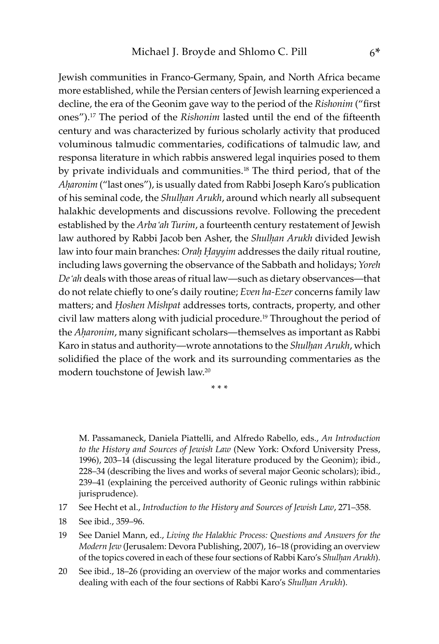Jewish communities in Franco-Germany, Spain, and North Africa became more established, while the Persian centers of Jewish learning experienced a decline, the era of the Geonim gave way to the period of the *Rishonim* ("first ones").17 The period of the *Rishonim* lasted until the end of the fifteenth century and was characterized by furious scholarly activity that produced voluminous talmudic commentaries, codifications of talmudic law, and responsa literature in which rabbis answered legal inquiries posed to them by private individuals and communities.<sup>18</sup> The third period, that of the *Aharonim* ("last ones"), is usually dated from Rabbi Joseph Karo's publication of his seminal code, the *Shulêan Arukh*, around which nearly all subsequent halakhic developments and discussions revolve. Following the precedent established by the *Arba'ah Turim*, a fourteenth century restatement of Jewish law authored by Rabbi Jacob ben Asher, the *Shulhan Arukh* divided Jewish law into four main branches: *Orah Hayyim* addresses the daily ritual routine, including laws governing the observance of the Sabbath and holidays; *Yoreh De'ah* deals with those areas of ritual law—such as dietary observances—that do not relate chiefly to one's daily routine; *Even ha-Ezer* concerns family law matters; and *Êoshen Mishpat* addresses torts, contracts, property, and other civil law matters along with judicial procedure.19 Throughout the period of the *Aharonim*, many significant scholars—themselves as important as Rabbi Karo in status and authority—wrote annotations to the *Shulhan Arukh*, which solidified the place of the work and its surrounding commentaries as the modern touchstone of Jewish law.20

\* \* \*

M. Passamaneck, Daniela Piattelli, and Alfredo Rabello, eds., *An Introduction to the History and Sources of Jewish Law* (New York: Oxford University Press, 1996), 203–14 (discussing the legal literature produced by the Geonim); ibid., 228–34 (describing the lives and works of several major Geonic scholars); ibid., 239–41 (explaining the perceived authority of Geonic rulings within rabbinic jurisprudence).

- 17 See Hecht et al., *Introduction to the History and Sources of Jewish Law*, 271–358.
- 18 See ibid., 359–96.
- 19 See Daniel Mann, ed., *Living the Halakhic Process: Questions and Answers for the Modern Jew* (Jerusalem: Devora Publishing, 2007), 16–18 (providing an overview of the topics covered in each of these four sections of Rabbi Karo's *Shulhan Arukh*).
- 20 See ibid., 18–26 (providing an overview of the major works and commentaries dealing with each of the four sections of Rabbi Karo's *Shulhan Arukh*).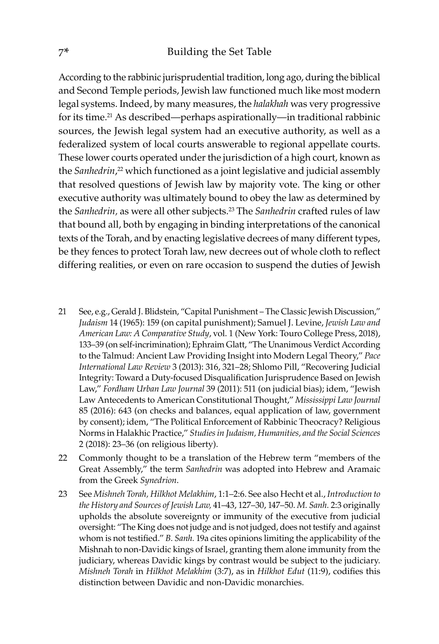According to the rabbinic jurisprudential tradition, long ago, during the biblical and Second Temple periods, Jewish law functioned much like most modern legal systems. Indeed, by many measures, the *halakhah* was very progressive for its time.21 As described—perhaps aspirationally—in traditional rabbinic sources, the Jewish legal system had an executive authority, as well as a federalized system of local courts answerable to regional appellate courts. These lower courts operated under the jurisdiction of a high court, known as the *Sanhedrin*, 22 which functioned as a joint legislative and judicial assembly that resolved questions of Jewish law by majority vote. The king or other executive authority was ultimately bound to obey the law as determined by the *Sanhedrin,* as were all other subjects.23 The *Sanhedrin* crafted rules of law that bound all, both by engaging in binding interpretations of the canonical texts of the Torah, and by enacting legislative decrees of many different types, be they fences to protect Torah law, new decrees out of whole cloth to reflect differing realities, or even on rare occasion to suspend the duties of Jewish

- 21 See, e.g., Gerald J. Blidstein, "Capital Punishment The Classic Jewish Discussion," *Judaism* 14 (1965): 159 (on capital punishment); Samuel J. Levine, *Jewish Law and American Law: A Comparative Study*, vol. 1 (New York: Touro College Press, 2018), 133–39 (on self-incrimination); Ephraim Glatt, "The Unanimous Verdict According to the Talmud: Ancient Law Providing Insight into Modern Legal Theory," *Pace International Law Review* 3 (2013): 316, 321–28; Shlomo Pill, "Recovering Judicial Integrity: Toward a Duty-focused Disqualification Jurisprudence Based on Jewish Law," *Fordham Urban Law Journal* 39 (2011): 511 (on judicial bias); idem, "Jewish Law Antecedents to American Constitutional Thought," *Mississippi Law Journal* 85 (2016): 643 (on checks and balances, equal application of law, government by consent); idem, "The Political Enforcement of Rabbinic Theocracy? Religious Norms in Halakhic Practice," *Studiesin Judaism, Humanities, and the Social Sciences* 2 (2018): 23–36 (on religious liberty).
- 22 Commonly thought to be a translation of the Hebrew term "members of the Great Assembly," the term *Sanhedrin* was adopted into Hebrew and Aramaic from the Greek *Synedrion*.
- 23 See *Mishneh Torah, Hilkhot Melakhim*, 1:1–2:6. See also Hecht et al., *Introduction to the History and Sources of Jewish Law,* 41–43, 127–30, 147–50. *M. Sanh.* 2:3 originally upholds the absolute sovereignty or immunity of the executive from judicial oversight: "The King does not judge and is not judged, does not testify and against whom is not testified." *B. Sanh.* 19a cites opinions limiting the applicability of the Mishnah to non-Davidic kings of Israel, granting them alone immunity from the judiciary, whereas Davidic kings by contrast would be subject to the judiciary. *Mishneh Torah* in *Hilkhot Melakhim* (3:7), as in *Hilkhot Edut* (11:9), codifies this distinction between Davidic and non-Davidic monarchies.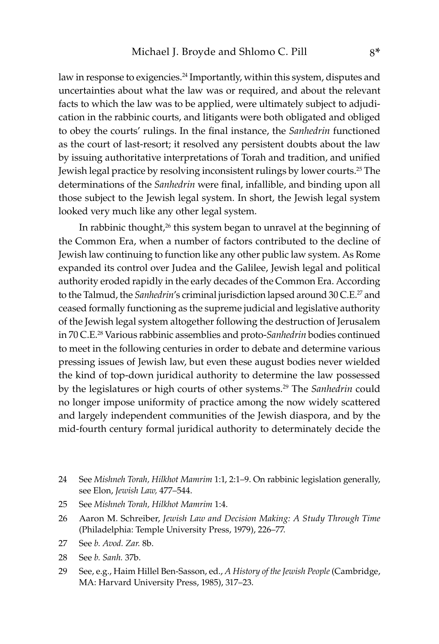law in response to exigencies.<sup>24</sup> Importantly, within this system, disputes and uncertainties about what the law was or required, and about the relevant facts to which the law was to be applied, were ultimately subject to adjudication in the rabbinic courts, and litigants were both obligated and obliged to obey the courts' rulings. In the final instance, the *Sanhedrin* functioned as the court of last-resort; it resolved any persistent doubts about the law by issuing authoritative interpretations of Torah and tradition, and unified Jewish legal practice by resolving inconsistent rulings by lower courts.25 The determinations of the *Sanhedrin* were final, infallible, and binding upon all those subject to the Jewish legal system. In short, the Jewish legal system looked very much like any other legal system.

In rabbinic thought, $26$  this system began to unravel at the beginning of the Common Era, when a number of factors contributed to the decline of Jewish law continuing to function like any other public law system. As Rome expanded its control over Judea and the Galilee, Jewish legal and political authority eroded rapidly in the early decades of the Common Era. According to the Talmud, the *Sanhedrin's* criminal jurisdiction lapsed around 30 C.E.<sup>27</sup> and ceased formally functioning as the supreme judicial and legislative authority of the Jewish legal system altogether following the destruction of Jerusalem in 70 C.E.28 Various rabbinic assemblies and proto-*Sanhedrin* bodies continued to meet in the following centuries in order to debate and determine various pressing issues of Jewish law, but even these august bodies never wielded the kind of top-down juridical authority to determine the law possessed by the legislatures or high courts of other systems.29 The *Sanhedrin* could no longer impose uniformity of practice among the now widely scattered and largely independent communities of the Jewish diaspora, and by the mid-fourth century formal juridical authority to determinately decide the

- 25 See *Mishneh Torah, Hilkhot Mamrim* 1:4.
- 26 Aaron M. Schreiber, *Jewish Law and Decision Making: A Study Through Time* (Philadelphia: Temple University Press, 1979), 226–77.
- 27 See *b. Avod. Zar.* 8b.
- 28 See *b. Sanh.* 37b.
- 29 See, e.g., Haim Hillel Ben-Sasson, ed., *A History of the Jewish People* (Cambridge, MA: Harvard University Press, 1985), 317–23.

<sup>24</sup> See *Mishneh Torah, Hilkhot Mamrim* 1:1, 2:1–9. On rabbinic legislation generally, see Elon, *Jewish Law,* 477–544.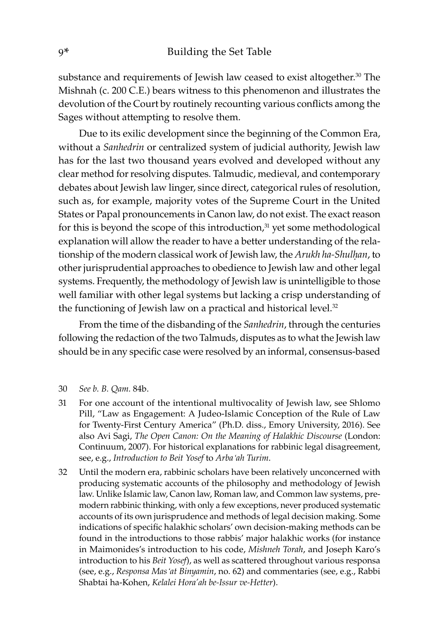substance and requirements of Jewish law ceased to exist altogether.<sup>30</sup> The Mishnah (c. 200 C.E.) bears witness to this phenomenon and illustrates the devolution of the Court by routinely recounting various conflicts among the Sages without attempting to resolve them.

Due to its exilic development since the beginning of the Common Era, without a *Sanhedrin* or centralized system of judicial authority, Jewish law has for the last two thousand years evolved and developed without any clear method for resolving disputes. Talmudic, medieval, and contemporary debates about Jewish law linger, since direct, categorical rules of resolution, such as, for example, majority votes of the Supreme Court in the United States or Papal pronouncements in Canon law, do not exist. The exact reason for this is beyond the scope of this introduction, $31$  yet some methodological explanation will allow the reader to have a better understanding of the relationship of the modern classical work of Jewish law, the *Arukh ha-Shulhan*, to other jurisprudential approaches to obedience to Jewish law and other legal systems. Frequently, the methodology of Jewish law is unintelligible to those well familiar with other legal systems but lacking a crisp understanding of the functioning of Jewish law on a practical and historical level.<sup>32</sup>

From the time of the disbanding of the *Sanhedrin*, through the centuries following the redaction of the two Talmuds, disputes as to what the Jewish law should be in any specific case were resolved by an informal, consensus-based

- 31 For one account of the intentional multivocality of Jewish law, see Shlomo Pill, "Law as Engagement: A Judeo-Islamic Conception of the Rule of Law for Twenty-First Century America" (Ph.D. diss., Emory University, 2016). See also Avi Sagi, *The Open Canon: On the Meaning of Halakhic Discourse* (London: Continuum, 2007). For historical explanations for rabbinic legal disagreement, see, e.g., *Introduction to Beit Yosef* to *Arba'ah Turim*.
- 32 Until the modern era, rabbinic scholars have been relatively unconcerned with producing systematic accounts of the philosophy and methodology of Jewish law. Unlike Islamic law, Canon law, Roman law, and Common law systems, premodern rabbinic thinking, with only a few exceptions, never produced systematic accounts of its own jurisprudence and methods of legal decision making. Some indications of specific halakhic scholars' own decision-making methods can be found in the introductions to those rabbis' major halakhic works (for instance in Maimonides's introduction to his code, *Mishneh Torah*, and Joseph Karo's introduction to his *Beit Yosef*), as well as scattered throughout various responsa (see, e.g., *Responsa Mas'at Binyamin*, no. 62) and commentaries (see, e.g., Rabbi Shabtai ha-Kohen, *Kelalei Hora'ah be-Issur ve-Hetter*).

<sup>30</sup> *See b. B. Qam.* 84b.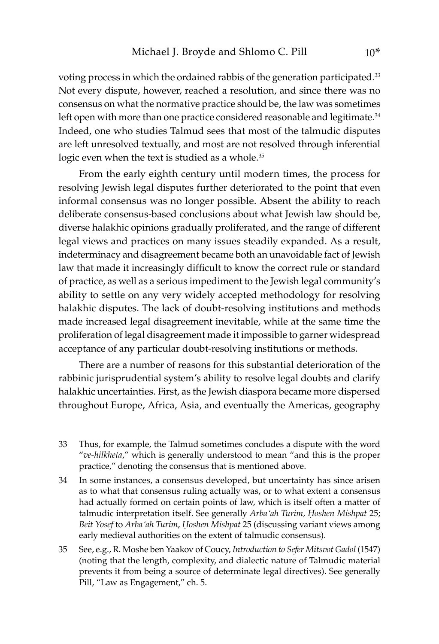voting process in which the ordained rabbis of the generation participated.<sup>33</sup> Not every dispute, however, reached a resolution, and since there was no consensus on what the normative practice should be, the law was sometimes left open with more than one practice considered reasonable and legitimate.<sup>34</sup> Indeed, one who studies Talmud sees that most of the talmudic disputes are left unresolved textually, and most are not resolved through inferential logic even when the text is studied as a whole.<sup>35</sup>

From the early eighth century until modern times, the process for resolving Jewish legal disputes further deteriorated to the point that even informal consensus was no longer possible. Absent the ability to reach deliberate consensus-based conclusions about what Jewish law should be, diverse halakhic opinions gradually proliferated, and the range of different legal views and practices on many issues steadily expanded. As a result, indeterminacy and disagreement became both an unavoidable fact of Jewish law that made it increasingly difficult to know the correct rule or standard of practice, as well as a serious impediment to the Jewish legal community's ability to settle on any very widely accepted methodology for resolving halakhic disputes. The lack of doubt-resolving institutions and methods made increased legal disagreement inevitable, while at the same time the proliferation of legal disagreement made it impossible to garner widespread acceptance of any particular doubt-resolving institutions or methods.

There are a number of reasons for this substantial deterioration of the rabbinic jurisprudential system's ability to resolve legal doubts and clarify halakhic uncertainties. First, as the Jewish diaspora became more dispersed throughout Europe, Africa, Asia, and eventually the Americas, geography

- 33 Thus, for example, the Talmud sometimes concludes a dispute with the word "*ve-hilkheta*," which is generally understood to mean "and this is the proper practice," denoting the consensus that is mentioned above.
- 34 In some instances, a consensus developed, but uncertainty has since arisen as to what that consensus ruling actually was, or to what extent a consensus had actually formed on certain points of law, which is itself often a matter of talmudic interpretation itself. See generally *Arba'ah Turim, Êoshen Mishpat* 25; *Beit Yosef* to *Arba'ah Turim*, *Êoshen Mishpat* 25 (discussing variant views among early medieval authorities on the extent of talmudic consensus).
- 35 See, e.g., R. Moshe ben Yaakov of Coucy, *Introduction to Sefer Mitsvot Gadol* (1547) (noting that the length, complexity, and dialectic nature of Talmudic material prevents it from being a source of determinate legal directives). See generally Pill, "Law as Engagement," ch. 5.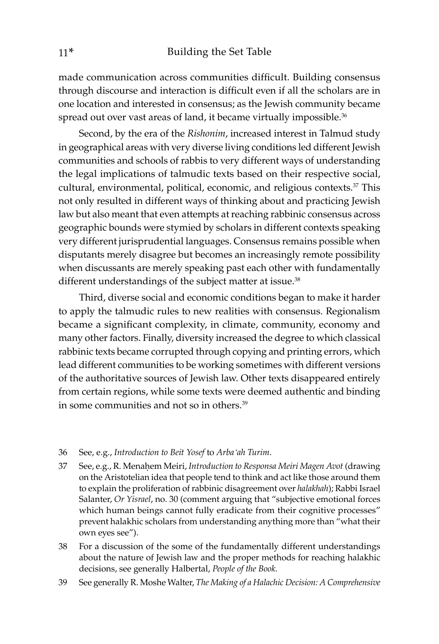made communication across communities difficult. Building consensus through discourse and interaction is difficult even if all the scholars are in one location and interested in consensus; as the Jewish community became spread out over vast areas of land, it became virtually impossible.<sup>36</sup>

Second, by the era of the *Rishonim*, increased interest in Talmud study in geographical areas with very diverse living conditions led different Jewish communities and schools of rabbis to very different ways of understanding the legal implications of talmudic texts based on their respective social, cultural, environmental, political, economic, and religious contexts.37 This not only resulted in different ways of thinking about and practicing Jewish law but also meant that even attempts at reaching rabbinic consensus across geographic bounds were stymied by scholars in different contexts speaking very different jurisprudential languages. Consensus remains possible when disputants merely disagree but becomes an increasingly remote possibility when discussants are merely speaking past each other with fundamentally different understandings of the subject matter at issue.<sup>38</sup>

Third, diverse social and economic conditions began to make it harder to apply the talmudic rules to new realities with consensus. Regionalism became a significant complexity, in climate, community, economy and many other factors. Finally, diversity increased the degree to which classical rabbinic texts became corrupted through copying and printing errors, which lead different communities to be working sometimes with different versions of the authoritative sources of Jewish law. Other texts disappeared entirely from certain regions, while some texts were deemed authentic and binding in some communities and not so in others.<sup>39</sup>

#### 36 See, e.g., *Introduction to Beit Yosef* to *Arba'ah Turim*.

- 37 See, e.g., R. Menaêem Meiri, *Introduction to Responsa Meiri Magen Avot* (drawing on the Aristotelian idea that people tend to think and act like those around them to explain the proliferation of rabbinic disagreement over *halakhah*); Rabbi Israel Salanter, *Or Yisrael*, no. 30 (comment arguing that "subjective emotional forces which human beings cannot fully eradicate from their cognitive processes" prevent halakhic scholars from understanding anything more than "what their own eyes see").
- 38 For a discussion of the some of the fundamentally different understandings about the nature of Jewish law and the proper methods for reaching halakhic decisions, see generally Halbertal, *People of the Book.*
- 39 See generally R. Moshe Walter, *The Making of a Halachic Decision: A Comprehensive*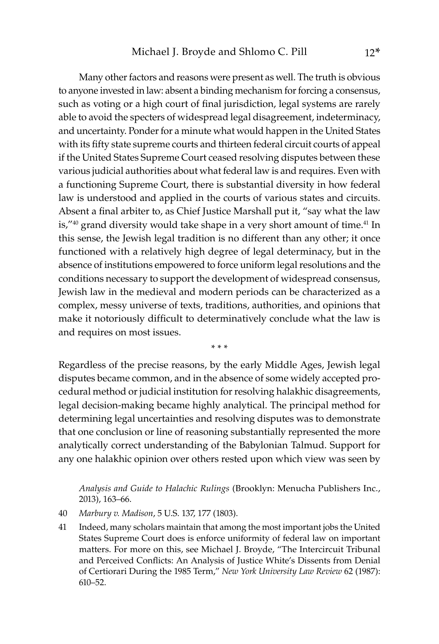Many other factors and reasons were present as well. The truth is obvious to anyone invested in law: absent a binding mechanism for forcing a consensus, such as voting or a high court of final jurisdiction, legal systems are rarely able to avoid the specters of widespread legal disagreement, indeterminacy, and uncertainty. Ponder for a minute what would happen in the United States with its fifty state supreme courts and thirteen federal circuit courts of appeal if the United States Supreme Court ceased resolving disputes between these various judicial authorities about what federal law is and requires. Even with a functioning Supreme Court, there is substantial diversity in how federal law is understood and applied in the courts of various states and circuits. Absent a final arbiter to, as Chief Justice Marshall put it, "say what the law is," $40$  grand diversity would take shape in a very short amount of time. $41$  In this sense, the Jewish legal tradition is no different than any other; it once functioned with a relatively high degree of legal determinacy, but in the absence of institutions empowered to force uniform legal resolutions and the conditions necessary to support the development of widespread consensus, Jewish law in the medieval and modern periods can be characterized as a complex, messy universe of texts, traditions, authorities, and opinions that make it notoriously difficult to determinatively conclude what the law is and requires on most issues.

\* \* \*

Regardless of the precise reasons, by the early Middle Ages, Jewish legal disputes became common, and in the absence of some widely accepted procedural method or judicial institution for resolving halakhic disagreements, legal decision-making became highly analytical. The principal method for determining legal uncertainties and resolving disputes was to demonstrate that one conclusion or line of reasoning substantially represented the more analytically correct understanding of the Babylonian Talmud. Support for any one halakhic opinion over others rested upon which view was seen by

*Analysis and Guide to Halachic Rulings* (Brooklyn: Menucha Publishers Inc., 2013), 163–66.

- 40 *Marbury v. Madison*, 5 U.S. 137, 177 (1803).
- 41 Indeed, many scholars maintain that among the most important jobs the United States Supreme Court does is enforce uniformity of federal law on important matters. For more on this, see Michael J. Broyde, "The Intercircuit Tribunal and Perceived Conflicts: An Analysis of Justice White's Dissents from Denial of Certiorari During the 1985 Term," *New York University Law Review* 62 (1987): 610–52.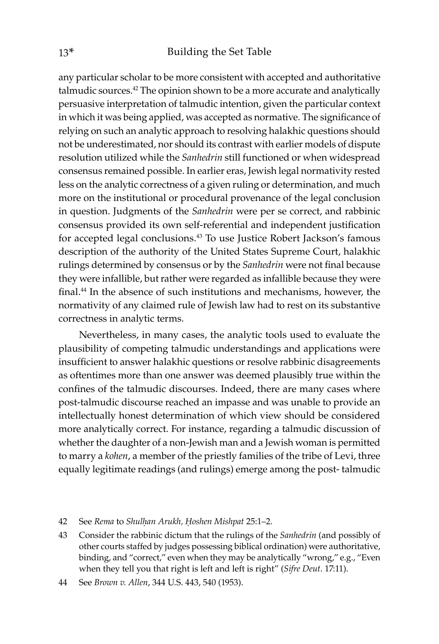any particular scholar to be more consistent with accepted and authoritative talmudic sources.<sup>42</sup> The opinion shown to be a more accurate and analytically persuasive interpretation of talmudic intention, given the particular context in which it was being applied, was accepted as normative. The significance of relying on such an analytic approach to resolving halakhic questions should not be underestimated, nor should its contrast with earlier models of dispute resolution utilized while the *Sanhedrin* still functioned or when widespread consensus remained possible. In earlier eras, Jewish legal normativity rested less on the analytic correctness of a given ruling or determination, and much more on the institutional or procedural provenance of the legal conclusion in question. Judgments of the *Sanhedrin* were per se correct, and rabbinic consensus provided its own self-referential and independent justification for accepted legal conclusions.<sup>43</sup> To use Justice Robert Jackson's famous description of the authority of the United States Supreme Court, halakhic rulings determined by consensus or by the *Sanhedrin* were not final because they were infallible, but rather were regarded as infallible because they were final.44 In the absence of such institutions and mechanisms, however, the normativity of any claimed rule of Jewish law had to rest on its substantive correctness in analytic terms.

Nevertheless, in many cases, the analytic tools used to evaluate the plausibility of competing talmudic understandings and applications were insufficient to answer halakhic questions or resolve rabbinic disagreements as oftentimes more than one answer was deemed plausibly true within the confines of the talmudic discourses. Indeed, there are many cases where post-talmudic discourse reached an impasse and was unable to provide an intellectually honest determination of which view should be considered more analytically correct. For instance, regarding a talmudic discussion of whether the daughter of a non-Jewish man and a Jewish woman is permitted to marry a *kohen*, a member of the priestly families of the tribe of Levi, three equally legitimate readings (and rulings) emerge among the post- talmudic

<sup>42</sup> See *Rema* to *Shulêan Arukh, Êoshen Mishpat* 25:1–2.

<sup>43</sup> Consider the rabbinic dictum that the rulings of the *Sanhedrin* (and possibly of other courts staffed by judges possessing biblical ordination) were authoritative, binding, and "correct," even when they may be analytically "wrong," e.g., "Even when they tell you that right is left and left is right" (*Sifre Deut*. 17:11).

<sup>44</sup> See *Brown v. Allen*, 344 U.S. 443, 540 (1953).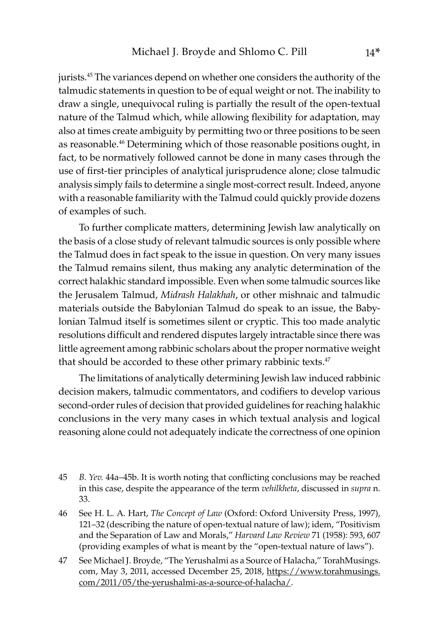jurists.<sup>45</sup> The variances depend on whether one considers the authority of the talmudic statements in question to be of equal weight or not. The inability to draw a single, unequivocal ruling is partially the result of the open-textual nature of the Talmud which, while allowing flexibility for adaptation, may also at times create ambiguity by permitting two or three positions to be seen as reasonable.<sup>46</sup> Determining which of those reasonable positions ought, in fact, to be normatively followed cannot be done in many cases through the use of first-tier principles of analytical jurisprudence alone; close talmudic analysis simply fails to determine a single most-correct result. Indeed, anyone with a reasonable familiarity with the Talmud could quickly provide dozens of examples of such.

To further complicate matters, determining Jewish law analytically on the basis of a close study of relevant talmudic sources is only possible where the Talmud does in fact speak to the issue in question. On very many issues the Talmud remains silent, thus making any analytic determination of the correct halakhic standard impossible. Even when some talmudic sources like the Jerusalem Talmud, *Midrash Halakhah*, or other mishnaic and talmudic materials outside the Babylonian Talmud do speak to an issue, the Babylonian Talmud itself is sometimes silent or cryptic. This too made analytic resolutions difficult and rendered disputes largely intractable since there was little agreement among rabbinic scholars about the proper normative weight that should be accorded to these other primary rabbinic texts.<sup>47</sup>

The limitations of analytically determining Jewish law induced rabbinic decision makers, talmudic commentators, and codifiers to develop various second-order rules of decision that provided guidelines for reaching halakhic conclusions in the very many cases in which textual analysis and logical reasoning alone could not adequately indicate the correctness of one opinion

- 45 *B. Yev.* 44a–45b. It is worth noting that conflicting conclusions may be reached in this case, despite the appearance of the term *vehilkheta*, discussed in *supra* n. 33.
- 46 See H. L. A. Hart, *The Concept of Law* (Oxford: Oxford University Press, 1997), 121–32 (describing the nature of open-textual nature of law); idem, "Positivism and the Separation of Law and Morals," *Harvard Law Review* 71 (1958): 593, 607 (providing examples of what is meant by the "open-textual nature of laws").
- 47 See Michael J. Broyde, "The Yerushalmi as a Source of Halacha," TorahMusings. com, May 3, 2011, accessed December 25, 2018, https://www.torahmusings. com/2011/05/the-yerushalmi-as-a-source-of-halacha/.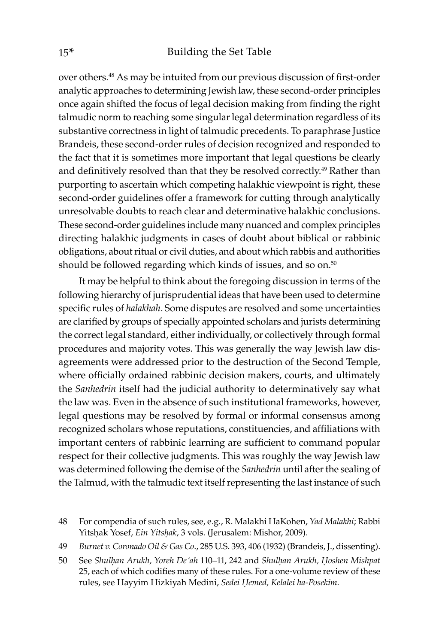over others.48 As may be intuited from our previous discussion of first-order analytic approaches to determining Jewish law, these second-order principles once again shifted the focus of legal decision making from finding the right talmudic norm to reaching some singular legal determination regardless of its substantive correctness in light of talmudic precedents. To paraphrase Justice Brandeis, these second-order rules of decision recognized and responded to the fact that it is sometimes more important that legal questions be clearly and definitively resolved than that they be resolved correctly.<sup>49</sup> Rather than purporting to ascertain which competing halakhic viewpoint is right, these second-order guidelines offer a framework for cutting through analytically unresolvable doubts to reach clear and determinative halakhic conclusions. These second-order guidelines include many nuanced and complex principles directing halakhic judgments in cases of doubt about biblical or rabbinic obligations, about ritual or civil duties, and about which rabbis and authorities should be followed regarding which kinds of issues, and so on.<sup>50</sup>

It may be helpful to think about the foregoing discussion in terms of the following hierarchy of jurisprudential ideas that have been used to determine specific rules of *halakhah*. Some disputes are resolved and some uncertainties are clarified by groups of specially appointed scholars and jurists determining the correct legal standard, either individually, or collectively through formal procedures and majority votes. This was generally the way Jewish law disagreements were addressed prior to the destruction of the Second Temple, where officially ordained rabbinic decision makers, courts, and ultimately the *Sanhedrin* itself had the judicial authority to determinatively say what the law was. Even in the absence of such institutional frameworks, however, legal questions may be resolved by formal or informal consensus among recognized scholars whose reputations, constituencies, and affiliations with important centers of rabbinic learning are sufficient to command popular respect for their collective judgments. This was roughly the way Jewish law was determined following the demise of the *Sanhedrin* until after the sealing of the Talmud, with the talmudic text itself representing the last instance of such

- 48 For compendia of such rules, see, e.g., R. Malakhi HaKohen, *Yad Malakhi*; Rabbi Yitshak Yosef, *Ein Yitshak*, 3 vols. (Jerusalem: Mishor, 2009).
- 49 *Burnet v. Coronado Oil & Gas Co*., 285 U.S. 393, 406 (1932) (Brandeis, J., dissenting).
- 50 See *Shulêan Arukh, Yoreh De'ah* 110–11, 242 and *Shulêan Arukh, Êoshen Mishpat* 25, each of which codifies many of these rules. For a one-volume review of these rules, see Hayyim Hizkiyah Medini, *Sedei Êemed, Kelalei ha-Posekim.*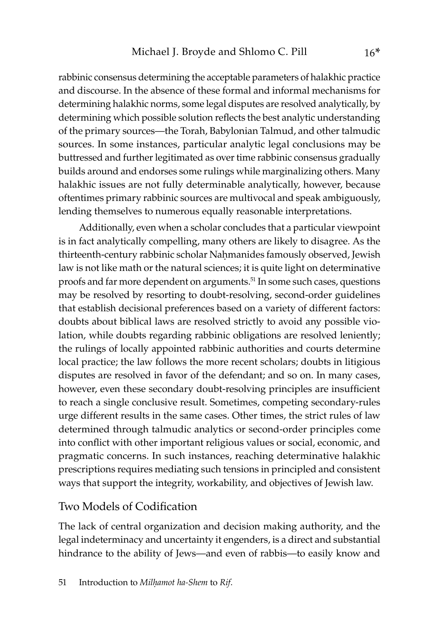rabbinic consensus determining the acceptable parameters of halakhic practice and discourse. In the absence of these formal and informal mechanisms for determining halakhic norms, some legal disputes are resolved analytically, by determining which possible solution reflects the best analytic understanding of the primary sources—the Torah, Babylonian Talmud, and other talmudic sources. In some instances, particular analytic legal conclusions may be buttressed and further legitimated as over time rabbinic consensus gradually builds around and endorses some rulings while marginalizing others. Many halakhic issues are not fully determinable analytically, however, because oftentimes primary rabbinic sources are multivocal and speak ambiguously, lending themselves to numerous equally reasonable interpretations.

Additionally, even when a scholar concludes that a particular viewpoint is in fact analytically compelling, many others are likely to disagree. As the thirteenth-century rabbinic scholar Nahmanides famously observed, Jewish law is not like math or the natural sciences; it is quite light on determinative proofs and far more dependent on arguments.51 In some such cases, questions may be resolved by resorting to doubt-resolving, second-order guidelines that establish decisional preferences based on a variety of different factors: doubts about biblical laws are resolved strictly to avoid any possible violation, while doubts regarding rabbinic obligations are resolved leniently; the rulings of locally appointed rabbinic authorities and courts determine local practice; the law follows the more recent scholars; doubts in litigious disputes are resolved in favor of the defendant; and so on. In many cases, however, even these secondary doubt-resolving principles are insufficient to reach a single conclusive result. Sometimes, competing secondary-rules urge different results in the same cases. Other times, the strict rules of law determined through talmudic analytics or second-order principles come into conflict with other important religious values or social, economic, and pragmatic concerns. In such instances, reaching determinative halakhic prescriptions requires mediating such tensions in principled and consistent ways that support the integrity, workability, and objectives of Jewish law.

### Two Models of Codification

The lack of central organization and decision making authority, and the legal indeterminacy and uncertainty it engenders, is a direct and substantial hindrance to the ability of Jews—and even of rabbis—to easily know and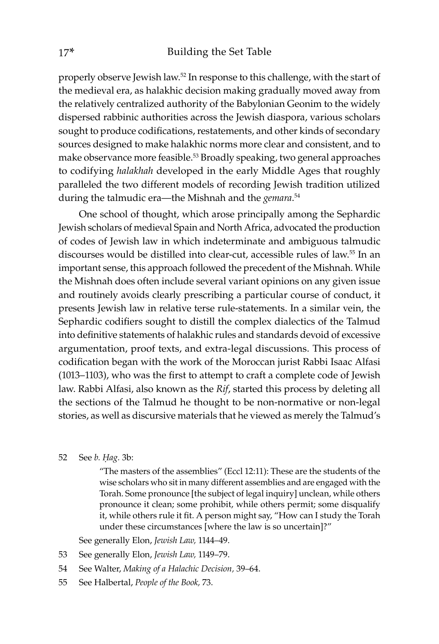properly observe Jewish law.52 In response to this challenge, with the start of the medieval era, as halakhic decision making gradually moved away from the relatively centralized authority of the Babylonian Geonim to the widely dispersed rabbinic authorities across the Jewish diaspora, various scholars sought to produce codifications, restatements, and other kinds of secondary sources designed to make halakhic norms more clear and consistent, and to make observance more feasible.<sup>53</sup> Broadly speaking, two general approaches to codifying *halakhah* developed in the early Middle Ages that roughly paralleled the two different models of recording Jewish tradition utilized during the talmudic era—the Mishnah and the *gemara*. 54

One school of thought, which arose principally among the Sephardic Jewish scholars of medieval Spain and North Africa, advocated the production of codes of Jewish law in which indeterminate and ambiguous talmudic discourses would be distilled into clear-cut, accessible rules of law.<sup>55</sup> In an important sense, this approach followed the precedent of the Mishnah. While the Mishnah does often include several variant opinions on any given issue and routinely avoids clearly prescribing a particular course of conduct, it presents Jewish law in relative terse rule-statements. In a similar vein, the Sephardic codifiers sought to distill the complex dialectics of the Talmud into definitive statements of halakhic rules and standards devoid of excessive argumentation, proof texts, and extra-legal discussions. This process of codification began with the work of the Moroccan jurist Rabbi Isaac Alfasi (1013–1103), who was the first to attempt to craft a complete code of Jewish law. Rabbi Alfasi, also known as the *Rif*, started this process by deleting all the sections of the Talmud he thought to be non-normative or non-legal stories, as well as discursive materials that he viewed as merely the Talmud's

52 See *b. Êag.* 3b:

"The masters of the assemblies" (Eccl 12:11): These are the students of the wise scholars who sit in many different assemblies and are engaged with the Torah. Some pronounce [the subject of legal inquiry] unclean, while others pronounce it clean; some prohibit, while others permit; some disqualify it, while others rule it fit. A person might say, "How can I study the Torah under these circumstances [where the law is so uncertain]?"

See generally Elon, *Jewish Law,* 1144–49.

- 53 See generally Elon, *Jewish Law,* 1149–79.
- 54 See Walter, *Making of a Halachic Decision,* 39–64.
- 55 See Halbertal, *People of the Book,* 73.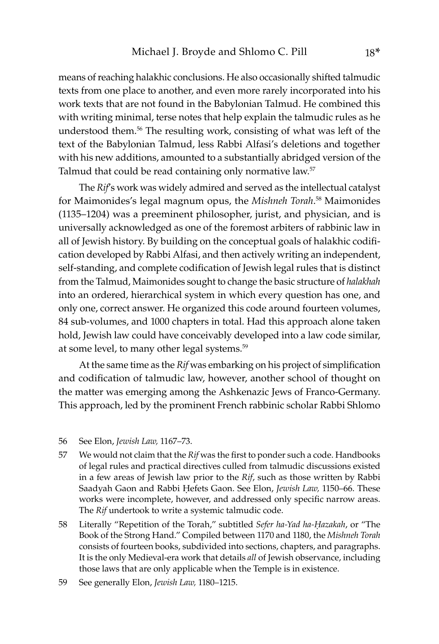means of reaching halakhic conclusions. He also occasionally shifted talmudic texts from one place to another, and even more rarely incorporated into his work texts that are not found in the Babylonian Talmud. He combined this with writing minimal, terse notes that help explain the talmudic rules as he understood them.56 The resulting work, consisting of what was left of the text of the Babylonian Talmud, less Rabbi Alfasi's deletions and together with his new additions, amounted to a substantially abridged version of the Talmud that could be read containing only normative law.57

The *Rif*'s work was widely admired and served as the intellectual catalyst for Maimonides's legal magnum opus, the *Mishneh Torah*. 58 Maimonides (1135–1204) was a preeminent philosopher, jurist, and physician, and is universally acknowledged as one of the foremost arbiters of rabbinic law in all of Jewish history. By building on the conceptual goals of halakhic codification developed by Rabbi Alfasi, and then actively writing an independent, self-standing, and complete codification of Jewish legal rules that is distinct from the Talmud, Maimonides sought to change the basic structure of *halakhah* into an ordered, hierarchical system in which every question has one, and only one, correct answer. He organized this code around fourteen volumes, 84 sub-volumes, and 1000 chapters in total. Had this approach alone taken hold, Jewish law could have conceivably developed into a law code similar, at some level, to many other legal systems.<sup>59</sup>

At the same time as the *Rif* was embarking on his project of simplification and codification of talmudic law, however, another school of thought on the matter was emerging among the Ashkenazic Jews of Franco-Germany. This approach, led by the prominent French rabbinic scholar Rabbi Shlomo

- 56 See Elon, *Jewish Law,* 1167–73.
- 57 We would not claim that the *Rif* was the first to ponder such a code. Handbooks of legal rules and practical directives culled from talmudic discussions existed in a few areas of Jewish law prior to the *Rif*, such as those written by Rabbi Saadyah Gaon and Rabbi Hefets Gaon. See Elon, *Jewish Law*, 1150-66. These works were incomplete, however, and addressed only specific narrow areas. The *Rif* undertook to write a systemic talmudic code.
- 58 Literally "Repetition of the Torah," subtitled *Sefer ha-Yad ha-Êazakah*, or "The Book of the Strong Hand." Compiled between 1170 and 1180, the *Mishneh Torah* consists of fourteen books, subdivided into sections, chapters, and paragraphs. It is the only Medieval-era work that details *all* of Jewish observance, including those laws that are only applicable when the Temple is in existence.
- 59 See generally Elon, *Jewish Law,* 1180–1215.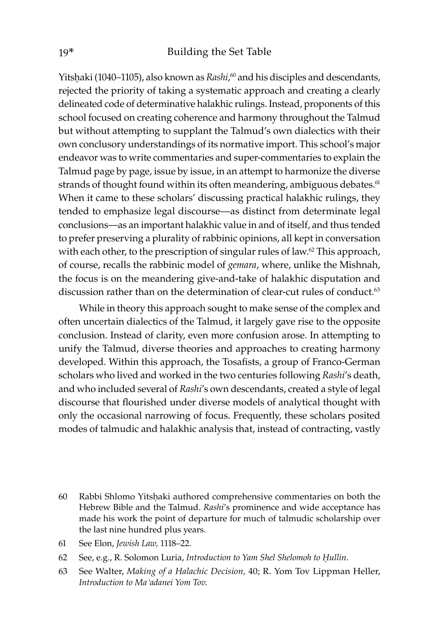Yitshaki (1040–1105), also known as *Rashi*,<sup>60</sup> and his disciples and descendants, rejected the priority of taking a systematic approach and creating a clearly delineated code of determinative halakhic rulings. Instead, proponents of this school focused on creating coherence and harmony throughout the Talmud but without attempting to supplant the Talmud's own dialectics with their own conclusory understandings of its normative import. This school's major endeavor was to write commentaries and super-commentaries to explain the Talmud page by page, issue by issue, in an attempt to harmonize the diverse strands of thought found within its often meandering, ambiguous debates.<sup>61</sup> When it came to these scholars' discussing practical halakhic rulings, they tended to emphasize legal discourse—as distinct from determinate legal conclusions—as an important halakhic value in and of itself, and thus tended to prefer preserving a plurality of rabbinic opinions, all kept in conversation with each other, to the prescription of singular rules of law.<sup>62</sup> This approach, of course, recalls the rabbinic model of *gemara*, where, unlike the Mishnah, the focus is on the meandering give-and-take of halakhic disputation and discussion rather than on the determination of clear-cut rules of conduct.<sup>63</sup>

While in theory this approach sought to make sense of the complex and often uncertain dialectics of the Talmud, it largely gave rise to the opposite conclusion. Instead of clarity, even more confusion arose. In attempting to unify the Talmud, diverse theories and approaches to creating harmony developed. Within this approach, the Tosafists, a group of Franco-German scholars who lived and worked in the two centuries following *Rashi*'s death, and who included several of *Rashi*'s own descendants, created a style of legal discourse that flourished under diverse models of analytical thought with only the occasional narrowing of focus. Frequently, these scholars posited modes of talmudic and halakhic analysis that, instead of contracting, vastly

61 See Elon, *Jewish Law,* 1118–22.

62 See, e.g., R. Solomon Luria, *Introduction to Yam Shel Shelomoh to Êullin*.

63 See Walter, *Making of a Halachic Decision,* 40; R. Yom Tov Lippman Heller, *Introduction to Ma'adanei Yom Tov.*

<sup>60</sup> Rabbi Shlomo Yitsêaki authored comprehensive commentaries on both the Hebrew Bible and the Talmud. *Rashi*'s prominence and wide acceptance has made his work the point of departure for much of talmudic scholarship over the last nine hundred plus years.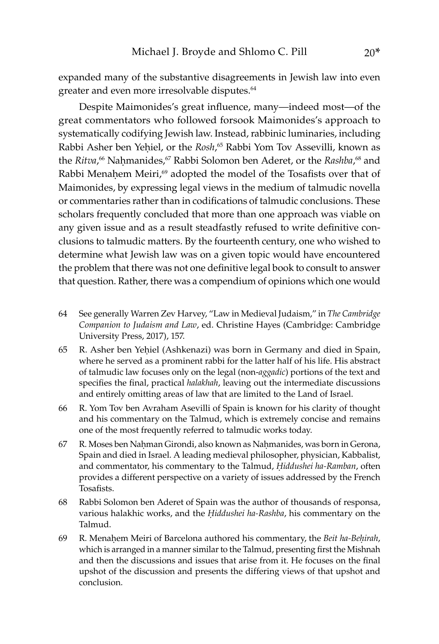expanded many of the substantive disagreements in Jewish law into even greater and even more irresolvable disputes.<sup>64</sup>

Despite Maimonides's great influence, many—indeed most—of the great commentators who followed forsook Maimonides's approach to systematically codifying Jewish law. Instead, rabbinic luminaries, including Rabbi Asher ben Yeḥiel, or the *Rosh*,<sup>65</sup> Rabbi Yom Tov Assevilli, known as the *Ritva*,<sup>66</sup> Nahmanides,<sup>67</sup> Rabbi Solomon ben Aderet, or the *Rashba*,<sup>68</sup> and Rabbi Menahem Meiri,<sup>69</sup> adopted the model of the Tosafists over that of Maimonides, by expressing legal views in the medium of talmudic novella or commentaries rather than in codifications of talmudic conclusions. These scholars frequently concluded that more than one approach was viable on any given issue and as a result steadfastly refused to write definitive conclusions to talmudic matters. By the fourteenth century, one who wished to determine what Jewish law was on a given topic would have encountered the problem that there was not one definitive legal book to consult to answer that question. Rather, there was a compendium of opinions which one would

- 64 See generally Warren Zev Harvey, "Law in Medieval Judaism," in *The Cambridge Companion to Judaism and Law*, ed. Christine Hayes (Cambridge: Cambridge University Press, 2017), 157.
- 65 R. Asher ben Yeḥiel (Ashkenazi) was born in Germany and died in Spain, where he served as a prominent rabbi for the latter half of his life. His abstract of talmudic law focuses only on the legal (non-*aggadic*) portions of the text and specifies the final, practical *halakhah*, leaving out the intermediate discussions and entirely omitting areas of law that are limited to the Land of Israel.
- 66 R. Yom Tov ben Avraham Asevilli of Spain is known for his clarity of thought and his commentary on the Talmud, which is extremely concise and remains one of the most frequently referred to talmudic works today.
- 67 R. Moses ben Nahman Girondi, also known as Nahmanides, was born in Gerona, Spain and died in Israel. A leading medieval philosopher, physician, Kabbalist, and commentator, his commentary to the Talmud, *Êiddushei ha-Ramban*, often provides a different perspective on a variety of issues addressed by the French Tosafists.
- 68 Rabbi Solomon ben Aderet of Spain was the author of thousands of responsa, various halakhic works, and the *Êiddushei ha-Rashba*, his commentary on the Talmud.
- 69 R. Menaêem Meiri of Barcelona authored his commentary, the *Beit ha-Beêirah*, which is arranged in a manner similar to the Talmud, presenting first the Mishnah and then the discussions and issues that arise from it. He focuses on the final upshot of the discussion and presents the differing views of that upshot and conclusion.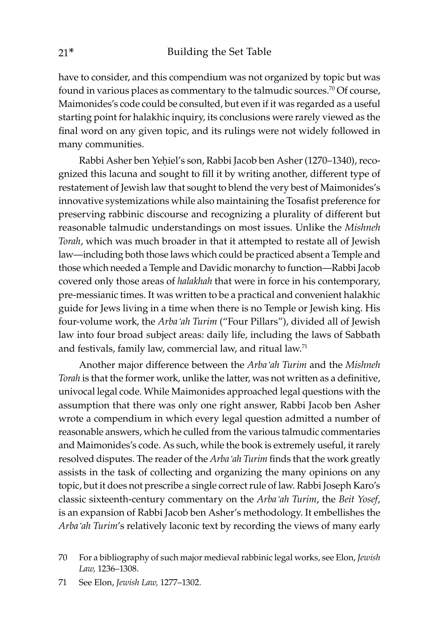have to consider, and this compendium was not organized by topic but was found in various places as commentary to the talmudic sources.<sup>70</sup> Of course, Maimonides's code could be consulted, but even if it was regarded as a useful starting point for halakhic inquiry, its conclusions were rarely viewed as the final word on any given topic, and its rulings were not widely followed in many communities.

Rabbi Asher ben Yehiel's son, Rabbi Jacob ben Asher (1270–1340), recognized this lacuna and sought to fill it by writing another, different type of restatement of Jewish law that sought to blend the very best of Maimonides's innovative systemizations while also maintaining the Tosafist preference for preserving rabbinic discourse and recognizing a plurality of different but reasonable talmudic understandings on most issues. Unlike the *Mishneh Torah*, which was much broader in that it attempted to restate all of Jewish law—including both those laws which could be practiced absent a Temple and those which needed a Temple and Davidic monarchy to function—Rabbi Jacob covered only those areas of *halakhah* that were in force in his contemporary, pre-messianic times. It was written to be a practical and convenient halakhic guide for Jews living in a time when there is no Temple or Jewish king. His four-volume work, the *Arba'ah Turim* ("Four Pillars"), divided all of Jewish law into four broad subject areas: daily life, including the laws of Sabbath and festivals, family law, commercial law, and ritual law.<sup>71</sup>

Another major difference between the *Arba'ah Turim* and the *Mishneh Torah* is that the former work, unlike the latter, was not written as a definitive, univocal legal code. While Maimonides approached legal questions with the assumption that there was only one right answer, Rabbi Jacob ben Asher wrote a compendium in which every legal question admitted a number of reasonable answers, which he culled from the various talmudic commentaries and Maimonides's code. As such, while the book is extremely useful, it rarely resolved disputes. The reader of the *Arba'ah Turim* finds that the work greatly assists in the task of collecting and organizing the many opinions on any topic, but it does not prescribe a single correct rule of law. Rabbi Joseph Karo's classic sixteenth-century commentary on the *Arba'ah Turim*, the *Beit Yosef*, is an expansion of Rabbi Jacob ben Asher's methodology. It embellishes the *Arba'ah Turim*'s relatively laconic text by recording the views of many early

71 See Elon, *Jewish Law,* 1277–1302.

<sup>70</sup> For a bibliography of such major medieval rabbinic legal works, see Elon, *Jewish Law,* 1236–1308.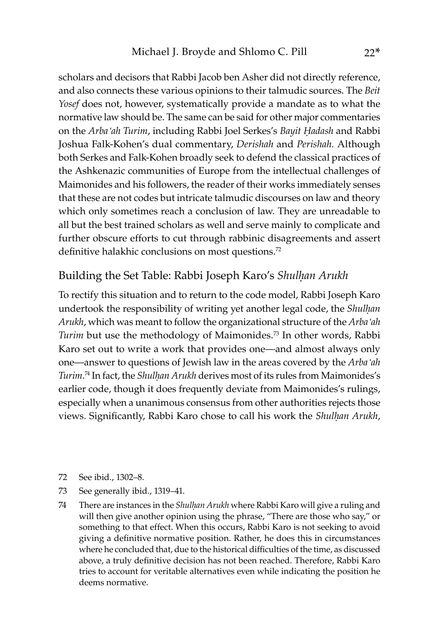scholars and decisors that Rabbi Jacob ben Asher did not directly reference, and also connects these various opinions to their talmudic sources. The *Beit Yosef* does not, however, systematically provide a mandate as to what the normative law should be. The same can be said for other major commentaries on the *Arba'ah Turim*, including Rabbi Joel Serkes's *Bayit Êadash* and Rabbi Joshua Falk-Kohen's dual commentary, *Derishah* and *Perishah.* Although both Serkes and Falk-Kohen broadly seek to defend the classical practices of the Ashkenazic communities of Europe from the intellectual challenges of Maimonides and his followers, the reader of their works immediately senses that these are not codes but intricate talmudic discourses on law and theory which only sometimes reach a conclusion of law. They are unreadable to all but the best trained scholars as well and serve mainly to complicate and further obscure efforts to cut through rabbinic disagreements and assert definitive halakhic conclusions on most questions.<sup>72</sup>

### Building the Set Table: Rabbi Joseph Karo's *Shulhan Arukh*

To rectify this situation and to return to the code model, Rabbi Joseph Karo undertook the responsibility of writing yet another legal code, the *Shulhan Arukh*, which was meant to follow the organizational structure of the *Arba'ah Turim* but use the methodology of Maimonides.<sup>73</sup> In other words, Rabbi Karo set out to write a work that provides one—and almost always only one—answer to questions of Jewish law in the areas covered by the *Arba'ah*  Turim.<sup>74</sup> In fact, the *Shulhan Arukh* derives most of its rules from Maimonides's earlier code, though it does frequently deviate from Maimonides's rulings, especially when a unanimous consensus from other authorities rejects those views. Significantly, Rabbi Karo chose to call his work the *Shulhan Arukh*,

- 72 See ibid., 1302–8.
- 73 See generally ibid., 1319–41.
- 74 There are instances in the *Shulêan Arukh* where Rabbi Karo will give a ruling and will then give another opinion using the phrase, "There are those who say," or something to that effect. When this occurs, Rabbi Karo is not seeking to avoid giving a definitive normative position. Rather, he does this in circumstances where he concluded that, due to the historical difficulties of the time, as discussed above, a truly definitive decision has not been reached. Therefore, Rabbi Karo tries to account for veritable alternatives even while indicating the position he deems normative.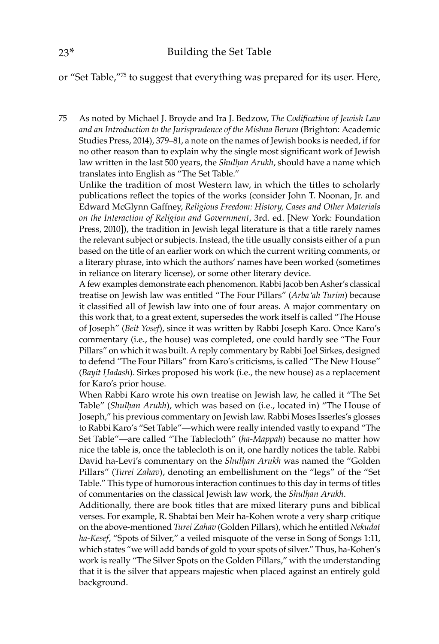or "Set Table,"75 to suggest that everything was prepared for its user. Here,

75 As noted by Michael J. Broyde and Ira J. Bedzow, *The Codification of Jewish Law and an Introduction to the Jurisprudence of the Mishna Berura* (Brighton: Academic Studies Press, 2014), 379–81, a note on the names of Jewish books is needed, if for no other reason than to explain why the single most significant work of Jewish law written in the last 500 years, the *Shulhan Arukh*, should have a name which translates into English as "The Set Table."

Unlike the tradition of most Western law, in which the titles to scholarly publications reflect the topics of the works (consider John T. Noonan, Jr. and Edward McGlynn Gaffney, *Religious Freedom: History, Cases and Other Materials on the Interaction of Religion and Government*, 3rd. ed. [New York: Foundation Press, 2010]), the tradition in Jewish legal literature is that a title rarely names the relevant subject or subjects. Instead, the title usually consists either of a pun based on the title of an earlier work on which the current writing comments, or a literary phrase, into which the authors' names have been worked (sometimes in reliance on literary license), or some other literary device.

A few examples demonstrate each phenomenon. Rabbi Jacob ben Asher's classical treatise on Jewish law was entitled "The Four Pillars" (*Arba'ah Turim*) because it classified all of Jewish law into one of four areas. A major commentary on this work that, to a great extent, supersedes the work itself is called "The House of Joseph" (*Beit Yosef*), since it was written by Rabbi Joseph Karo. Once Karo's commentary (i.e., the house) was completed, one could hardly see "The Four Pillars" on which it was built. A reply commentary by Rabbi Joel Sirkes, designed to defend "The Four Pillars" from Karo's criticisms, is called "The New House" (*Bayit Êadash*). Sirkes proposed his work (i.e., the new house) as a replacement for Karo's prior house.

When Rabbi Karo wrote his own treatise on Jewish law, he called it "The Set Table" (*Shulhan Arukh*), which was based on (i.e., located in) "The House of Joseph," his previous commentary on Jewish law. Rabbi Moses Isserles's glosses to Rabbi Karo's "Set Table"—which were really intended vastly to expand "The Set Table"—are called "The Tablecloth" (*ha-Mappah*) because no matter how nice the table is, once the tablecloth is on it, one hardly notices the table. Rabbi David ha-Levi's commentary on the *Shulhan Arukh* was named the "Golden Pillars" (*Turei Zahav*), denoting an embellishment on the "legs" of the "Set Table." This type of humorous interaction continues to this day in terms of titles of commentaries on the classical Jewish law work, the *Shulhan Arukh*.

Additionally, there are book titles that are mixed literary puns and biblical verses. For example, R. Shabtai ben Meir ha-Kohen wrote a very sharp critique on the above-mentioned *Turei Zahav* (Golden Pillars), which he entitled *Nekudat ha-Kesef*, "Spots of Silver," a veiled misquote of the verse in Song of Songs 1:11, which states "we will add bands of gold to your spots of silver." Thus, ha-Kohen's work is really "The Silver Spots on the Golden Pillars," with the understanding that it is the silver that appears majestic when placed against an entirely gold background.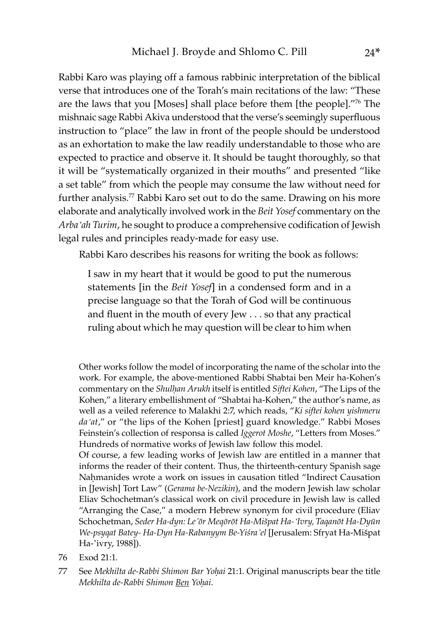Rabbi Karo was playing off a famous rabbinic interpretation of the biblical verse that introduces one of the Torah's main recitations of the law: "These are the laws that you [Moses] shall place before them [the people]."76 The mishnaic sage Rabbi Akiva understood that the verse's seemingly superfluous instruction to "place" the law in front of the people should be understood as an exhortation to make the law readily understandable to those who are expected to practice and observe it. It should be taught thoroughly, so that it will be "systematically organized in their mouths" and presented "like a set table" from which the people may consume the law without need for further analysis.<sup>77</sup> Rabbi Karo set out to do the same. Drawing on his more elaborate and analytically involved work in the *Beit Yosef* commentary on the *Arba'ah Turim*, he sought to produce a comprehensive codification of Jewish legal rules and principles ready-made for easy use.

Rabbi Karo describes his reasons for writing the book as follows:

I saw in my heart that it would be good to put the numerous statements [in the *Beit Yosef*] in a condensed form and in a precise language so that the Torah of God will be continuous and fluent in the mouth of every Jew . . . so that any practical ruling about which he may question will be clear to him when

Other works follow the model of incorporating the name of the scholar into the work. For example, the above-mentioned Rabbi Shabtai ben Meir ha-Kohen's commentary on the *Shulhan Arukh* itself is entitled *Siftei Kohen*, "The Lips of the Kohen," a literary embellishment of "Shabtai ha-Kohen," the author's name, as well as a veiled reference to Malakhi 2:7, which reads, "*Ki siftei kohen yishmeru da'at*," or "the lips of the Kohen [priest] guard knowledge." Rabbi Moses Feinstein's collection of responsa is called *Iggerot Moshe*, "Letters from Moses." Hundreds of normative works of Jewish law follow this model.

Of course, a few leading works of Jewish law are entitled in a manner that informs the reader of their content. Thus, the thirteenth-century Spanish sage Nahmanides wrote a work on issues in causation titled "Indirect Causation in [Jewish] Tort Law" (*Gerama be-Nezikin*), and the modern Jewish law scholar Eliav Schochetman's classical work on civil procedure in Jewish law is called "Arranging the Case," a modern Hebrew synonym for civil procedure (Eliav Schochetman, *Seder Ha-dyn: Le'ōr Meqōrōt Ha-Mišpat Ha-ʻIvry, Taqanōt Ha-Dyýn We-psyqat Batey- Ha-Dyn Ha-Rabanyym Be-Yiùra'el* [Jerusalem: Sfryat Ha-Mišpat Ha-'ivry, 1988]).

<sup>76</sup> Exod 21:1.

<sup>77</sup> See *Mekhilta de-Rabbi Shimon Bar Yoêai* 21:1. Original manuscripts bear the title *Mekhilta de-Rabbi Shimon Ben Yoêai*.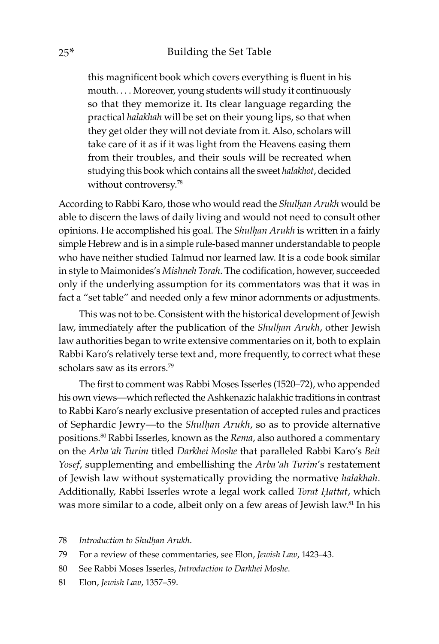this magnificent book which covers everything is fluent in his mouth. . . . Moreover, young students will study it continuously so that they memorize it. Its clear language regarding the practical *halakhah* will be set on their young lips, so that when they get older they will not deviate from it. Also, scholars will take care of it as if it was light from the Heavens easing them from their troubles, and their souls will be recreated when studying this book which contains all the sweet *halakhot*, decided without controversy.<sup>78</sup>

According to Rabbi Karo, those who would read the *Shulhan Arukh* would be able to discern the laws of daily living and would not need to consult other opinions. He accomplished his goal. The *Shulêan Arukh* is written in a fairly simple Hebrew and is in a simple rule-based manner understandable to people who have neither studied Talmud nor learned law. It is a code book similar in style to Maimonides's *Mishneh Torah*. The codification, however, succeeded only if the underlying assumption for its commentators was that it was in fact a "set table" and needed only a few minor adornments or adjustments.

This was not to be. Consistent with the historical development of Jewish law, immediately after the publication of the *Shulhan Arukh*, other Jewish law authorities began to write extensive commentaries on it, both to explain Rabbi Karo's relatively terse text and, more frequently, to correct what these scholars saw as its errors.<sup>79</sup>

The first to comment was Rabbi Moses Isserles (1520–72), who appended his own views—which reflected the Ashkenazic halakhic traditions in contrast to Rabbi Karo's nearly exclusive presentation of accepted rules and practices of Sephardic Jewry—to the *Shulhan Arukh*, so as to provide alternative positions.80 Rabbi Isserles, known as the *Rema*, also authored a commentary on the *Arba'ah Turim* titled *Darkhei Moshe* that paralleled Rabbi Karo's *Beit Yosef*, supplementing and embellishing the *Arba'ah Turim*'s restatement of Jewish law without systematically providing the normative *halakhah*. Additionally, Rabbi Isserles wrote a legal work called *Torat Hattat*, which was more similar to a code, albeit only on a few areas of Jewish law.81 In his

78 *Introduction to Shulêan Arukh*.

- 79 For a review of these commentaries, see Elon, *Jewish Law*, 1423–43.
- 80 See Rabbi Moses Isserles, *Introduction to Darkhei Moshe*.
- 81 Elon, *Jewish Law*, 1357–59.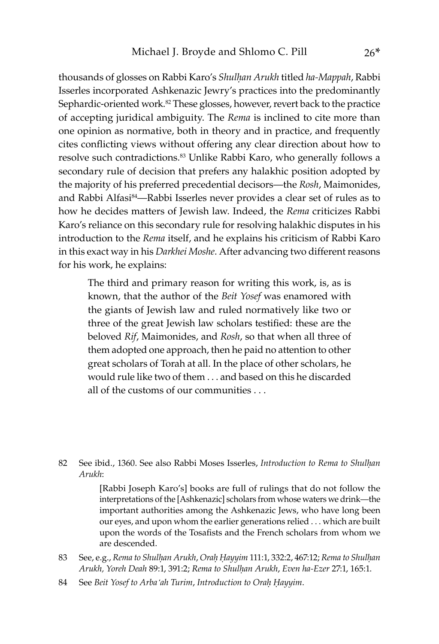thousands of glosses on Rabbi Karo's *Shulêan Arukh* titled *ha-Mappah*, Rabbi Isserles incorporated Ashkenazic Jewry's practices into the predominantly Sephardic-oriented work.<sup>82</sup> These glosses, however, revert back to the practice of accepting juridical ambiguity. The *Rema* is inclined to cite more than one opinion as normative, both in theory and in practice, and frequently cites conflicting views without offering any clear direction about how to resolve such contradictions.<sup>83</sup> Unlike Rabbi Karo, who generally follows a secondary rule of decision that prefers any halakhic position adopted by the majority of his preferred precedential decisors—the *Rosh*, Maimonides, and Rabbi Alfasi<sup>84</sup>—Rabbi Isserles never provides a clear set of rules as to how he decides matters of Jewish law. Indeed, the *Rema* criticizes Rabbi Karo's reliance on this secondary rule for resolving halakhic disputes in his introduction to the *Rema* itself, and he explains his criticism of Rabbi Karo in this exact way in his *Darkhei Moshe*. After advancing two different reasons for his work, he explains:

The third and primary reason for writing this work, is, as is known, that the author of the *Beit Yosef* was enamored with the giants of Jewish law and ruled normatively like two or three of the great Jewish law scholars testified: these are the beloved *Rif*, Maimonides, and *Rosh*, so that when all three of them adopted one approach, then he paid no attention to other great scholars of Torah at all. In the place of other scholars, he would rule like two of them . . . and based on this he discarded all of the customs of our communities . . .

82 See ibid., 1360. See also Rabbi Moses Isserles, *Introduction to Rema to Shulêan Arukh*:

> [Rabbi Joseph Karo's] books are full of rulings that do not follow the interpretations of the [Ashkenazic] scholars from whose waters we drink—the important authorities among the Ashkenazic Jews, who have long been our eyes, and upon whom the earlier generations relied . . . which are built upon the words of the Tosafists and the French scholars from whom we are descended.

- 83 See, e.g., *Rema* to Shulhan Arukh, Orah Hayyim 111:1, 332:2, 467:12; *Rema* to Shulhan *Arukh, Yoreh Deah* 89:1, 391:2; *Rema to Shulêan Arukh*, *Even ha-Ezer* 27:1, 165:1.
- 84 See *Beit Yosef to Arba'ah Turim*, *Introduction to Oraê Êayyim*.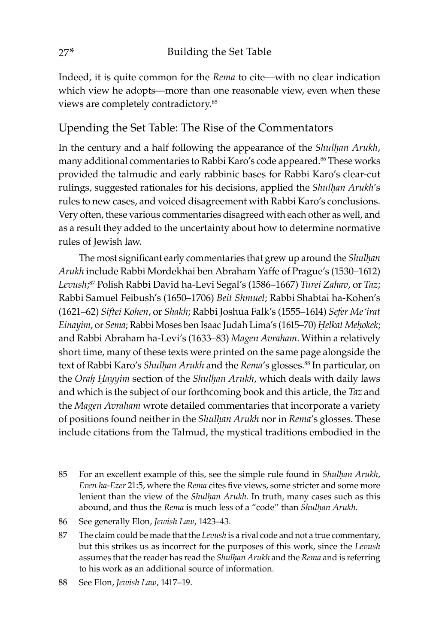Indeed, it is quite common for the *Rema* to cite—with no clear indication which view he adopts—more than one reasonable view, even when these views are completely contradictory.85

# Upending the Set Table: The Rise of the Commentators

In the century and a half following the appearance of the *Shulhan Arukh*, many additional commentaries to Rabbi Karo's code appeared.<sup>86</sup> These works provided the talmudic and early rabbinic bases for Rabbi Karo's clear-cut rulings, suggested rationales for his decisions, applied the *Shulhan Arukh's* rules to new cases, and voiced disagreement with Rabbi Karo's conclusions. Very often, these various commentaries disagreed with each other as well, and as a result they added to the uncertainty about how to determine normative rules of Jewish law.

The most significant early commentaries that grew up around the *Shulhan Arukh* include Rabbi Mordekhai ben Abraham Yaffe of Prague's (1530–1612) *Levush*; 87 Polish Rabbi David ha-Levi Segal's (1586–1667) *Turei Zahav*, or *Taz*; Rabbi Samuel Feibush's (1650–1706) *Beit Shmuel*; Rabbi Shabtai ha-Kohen's (1621–62) *Siftei Kohen*, or *Shakh*; Rabbi Joshua Falk's (1555–1614) *Sefer Me'irat*  Einayim, or *Sema*; Rabbi Moses ben Isaac Judah Lima's (1615–70) *Helkat Mehokek*; and Rabbi Abraham ha-Levi's (1633–83) *Magen Avraham*. Within a relatively short time, many of these texts were printed on the same page alongside the text of Rabbi Karo's *Shulhan Arukh* and the *Rema*'s glosses.<sup>88</sup> In particular, on the *Orah Hayyim* section of the *Shulhan Arukh*, which deals with daily laws and which is the subject of our forthcoming book and this article, the *Taz* and the *Magen Avraham* wrote detailed commentaries that incorporate a variety of positions found neither in the *Shulêan Arukh* nor in *Rema*'s glosses. These include citations from the Talmud, the mystical traditions embodied in the

- 85 For an excellent example of this, see the simple rule found in *Shulêan Arukh*, *Even ha-Ezer* 21:5, where the *Rema* cites five views, some stricter and some more lenient than the view of the *Shulhan Arukh*. In truth, many cases such as this abound, and thus the *Rema* is much less of a "code" than *Shulhan Arukh*.
- 86 See generally Elon, *Jewish Law*, 1423–43.
- 87 The claim could be made that the *Levush* is a rival code and not a true commentary, but this strikes us as incorrect for the purposes of this work, since the *Levush* assumes that the reader has read the *Shulêan Arukh* and the *Rema* and is referring to his work as an additional source of information.
- 88 See Elon, *Jewish Law*, 1417–19.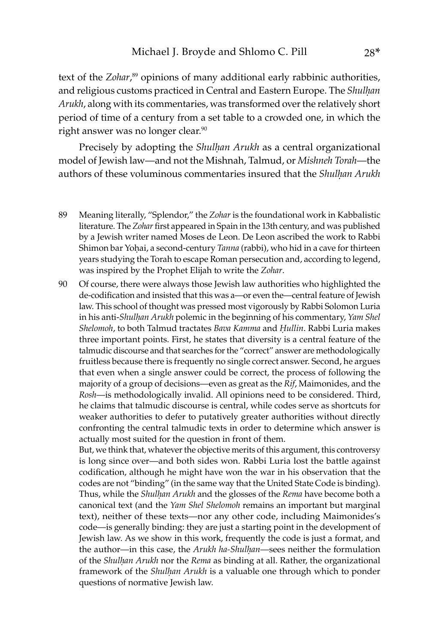text of the *Zohar*, 89 opinions of many additional early rabbinic authorities, and religious customs practiced in Central and Eastern Europe. The *Shulhan Arukh*, along with its commentaries, was transformed over the relatively short period of time of a century from a set table to a crowded one, in which the right answer was no longer clear.<sup>90</sup>

Precisely by adopting the *Shulhan Arukh* as a central organizational model of Jewish law—and not the Mishnah, Talmud, or *Mishneh Torah*—the authors of these voluminous commentaries insured that the *Shulhan Arukh* 

- 89 Meaning literally, "Splendor," the *Zohar* is the foundational work in Kabbalistic literature. The *Zohar* first appeared in Spain in the 13th century, and was published by a Jewish writer named Moses de Leon. De Leon ascribed the work to Rabbi Shimon bar Yohai, a second-century *Tanna* (rabbi), who hid in a cave for thirteen years studying the Torah to escape Roman persecution and, according to legend, was inspired by the Prophet Elijah to write the *Zohar*.
- 90 Of course, there were always those Jewish law authorities who highlighted the de-codification and insisted that this was a—or even the—central feature of Jewish law. This school of thought was pressed most vigorously by Rabbi Solomon Luria in his anti-*Shulêan Arukh* polemic in the beginning of his commentary, *Yam Shel Shelomoh*, to both Talmud tractates *Bava Kamma* and *Êullin*. Rabbi Luria makes three important points. First, he states that diversity is a central feature of the talmudic discourse and that searches forthe "correct" answer are methodologically fruitless because there is frequently no single correct answer. Second, he argues that even when a single answer could be correct, the process of following the majority of a group of decisions—even as great as the *Rif*, Maimonides, and the *Rosh*—is methodologically invalid. All opinions need to be considered. Third, he claims that talmudic discourse is central, while codes serve as shortcuts for weaker authorities to defer to putatively greater authorities without directly confronting the central talmudic texts in order to determine which answer is actually most suited for the question in front of them.

But, we think that, whatever the objective merits of this argument, this controversy is long since over—and both sides won. Rabbi Luria lost the battle against codification, although he might have won the war in his observation that the codes are not "binding" (in the same way that the United State Code is binding). Thus, while the *Shulhan Arukh* and the glosses of the *Rema* have become both a canonical text (and the *Yam Shel Shelomoh* remains an important but marginal text), neither of these texts—nor any other code, including Maimonides's code—is generally binding: they are just a starting point in the development of Jewish law. As we show in this work, frequently the code is just a format, and the author—in this case, the *Arukh ha-Shulhan*—sees neither the formulation of the *Shulhan Arukh* nor the *Rema* as binding at all. Rather, the organizational framework of the *Shulhan Arukh* is a valuable one through which to ponder questions of normative Jewish law.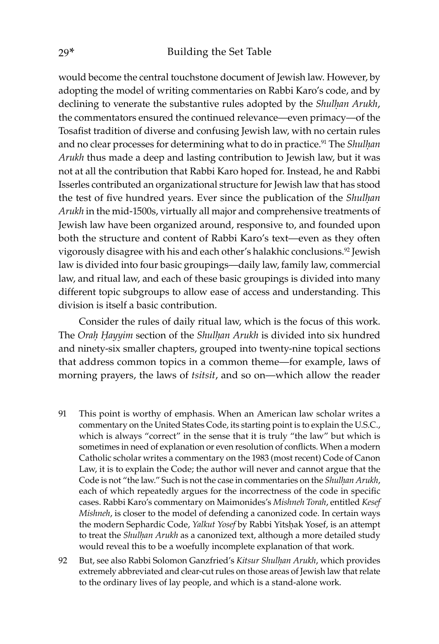would become the central touchstone document of Jewish law. However, by adopting the model of writing commentaries on Rabbi Karo's code, and by declining to venerate the substantive rules adopted by the *Shulhan Arukh*, the commentators ensured the continued relevance—even primacy—of the Tosafist tradition of diverse and confusing Jewish law, with no certain rules and no clear processes for determining what to do in practice.<sup>91</sup> The *Shulhan Arukh* thus made a deep and lasting contribution to Jewish law, but it was not at all the contribution that Rabbi Karo hoped for. Instead, he and Rabbi Isserles contributed an organizational structure for Jewish law that has stood the test of five hundred years. Ever since the publication of the *Shulhan Arukh* in the mid-1500s, virtually all major and comprehensive treatments of Jewish law have been organized around, responsive to, and founded upon both the structure and content of Rabbi Karo's text—even as they often vigorously disagree with his and each other's halakhic conclusions.<sup>92</sup> Jewish law is divided into four basic groupings—daily law, family law, commercial law, and ritual law, and each of these basic groupings is divided into many different topic subgroups to allow ease of access and understanding. This division is itself a basic contribution.

Consider the rules of daily ritual law, which is the focus of this work. The *Orah Hayyim* section of the *Shulhan Arukh* is divided into six hundred and ninety-six smaller chapters, grouped into twenty-nine topical sections that address common topics in a common theme—for example, laws of morning prayers, the laws of *tsitsit*, and so on—which allow the reader

- 91 This point is worthy of emphasis. When an American law scholar writes a commentary on the United States Code, its starting point is to explain the U.S.C., which is always "correct" in the sense that it is truly "the law" but which is sometimes in need of explanation or even resolution of conflicts. When a modern Catholic scholar writes a commentary on the 1983 (most recent) Code of Canon Law, it is to explain the Code; the author will never and cannot argue that the Code is not "the law." Such is not the case in commentaries on the *Shulhan Arukh*, each of which repeatedly argues for the incorrectness of the code in specific cases. Rabbi Karo's commentary on Maimonides's *Mishneh Torah*, entitled *Kesef Mishneh*, is closer to the model of defending a canonized code. In certain ways the modern Sephardic Code, *Yalkut Yosef* by Rabbi Yitshak Yosef, is an attempt to treat the *Shulhan Arukh* as a canonized text, although a more detailed study would reveal this to be a woefully incomplete explanation of that work.
- 92 But, see also Rabbi Solomon Ganzfried's *Kitsur Shulêan Arukh*, which provides extremely abbreviated and clear-cut rules on those areas of Jewish law that relate to the ordinary lives of lay people, and which is a stand-alone work.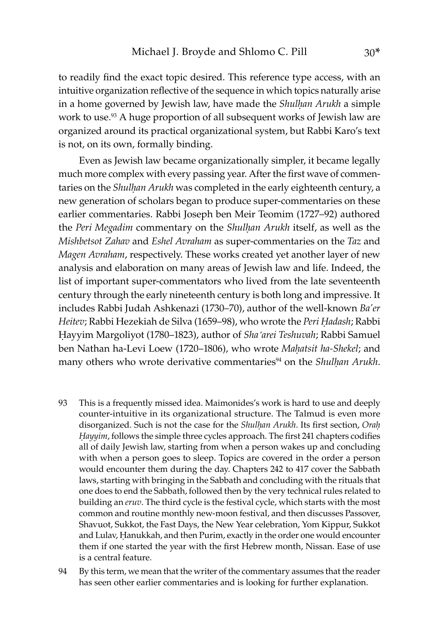to readily find the exact topic desired. This reference type access, with an intuitive organization reflective of the sequence in which topics naturally arise in a home governed by Jewish law, have made the *Shulhan Arukh* a simple work to use.<sup>93</sup> A huge proportion of all subsequent works of Jewish law are organized around its practical organizational system, but Rabbi Karo's text is not, on its own, formally binding.

Even as Jewish law became organizationally simpler, it became legally much more complex with every passing year. After the first wave of commentaries on the *Shulhan Arukh* was completed in the early eighteenth century, a new generation of scholars began to produce super-commentaries on these earlier commentaries. Rabbi Joseph ben Meir Teomim (1727–92) authored the *Peri Megadim* commentary on the *Shulêan Arukh* itself, as well as the *Mishbetsot Zahav* and *Eshel Avraham* as super-commentaries on the *Taz* and *Magen Avraham*, respectively. These works created yet another layer of new analysis and elaboration on many areas of Jewish law and life. Indeed, the list of important super-commentators who lived from the late seventeenth century through the early nineteenth century is both long and impressive. It includes Rabbi Judah Ashkenazi (1730–70), author of the well-known *Ba'er Heitev*; Rabbi Hezekiah de Silva (1659–98), who wrote the *Peri Êadash*; Rabbi Êayyim Margoliyot (1780–1823), author of *Sha'arei Teshuvah*; Rabbi Samuel ben Nathan ha-Levi Loew (1720–1806), who wrote *Mahatsit ha-Shekel*; and many others who wrote derivative commentaries<sup>94</sup> on the *Shulhan Arukh*.

- 93 This is a frequently missed idea. Maimonides's work is hard to use and deeply counter-intuitive in its organizational structure. The Talmud is even more disorganized. Such is not the case for the *Shulêan Arukh*. Its first section, *Oraê Êayyim*, follows the simple three cycles approach. The first 241 chapters codifies all of daily Jewish law, starting from when a person wakes up and concluding with when a person goes to sleep. Topics are covered in the order a person would encounter them during the day. Chapters 242 to 417 cover the Sabbath laws, starting with bringing in the Sabbath and concluding with the rituals that one does to end the Sabbath, followed then by the very technical rules related to building an *eruv*. The third cycle is the festival cycle, which starts with the most common and routine monthly new-moon festival, and then discusses Passover, Shavuot, Sukkot, the Fast Days, the New Year celebration, Yom Kippur, Sukkot and Lulav, Hanukkah, and then Purim, exactly in the order one would encounter them if one started the year with the first Hebrew month, Nissan. Ease of use is a central feature.
- 94 By this term, we mean that the writer of the commentary assumes that the reader has seen other earlier commentaries and is looking for further explanation.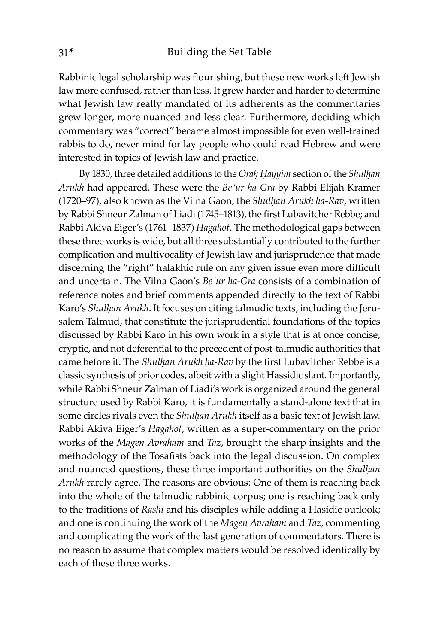Rabbinic legal scholarship was flourishing, but these new works left Jewish law more confused, rather than less. It grew harder and harder to determine what Jewish law really mandated of its adherents as the commentaries grew longer, more nuanced and less clear. Furthermore, deciding which commentary was "correct" became almost impossible for even well-trained rabbis to do, never mind for lay people who could read Hebrew and were interested in topics of Jewish law and practice.

By 1830, three detailed additions to the *Orah Hayyim* section of the *Shulhan Arukh* had appeared. These were the *Be'ur ha-Gra* by Rabbi Elijah Kramer (1720–97), also known as the Vilna Gaon; the *Shulhan Arukh ha-Rav*, written by Rabbi Shneur Zalman of Liadi (1745–1813), the first Lubavitcher Rebbe; and Rabbi Akiva Eiger's (1761–1837) *Hagahot*. The methodological gaps between these three works is wide, but all three substantially contributed to the further complication and multivocality of Jewish law and jurisprudence that made discerning the "right" halakhic rule on any given issue even more difficult and uncertain. The Vilna Gaon's *Be'ur ha-Gra* consists of a combination of reference notes and brief comments appended directly to the text of Rabbi Karo's *Shulhan Arukh*. It focuses on citing talmudic texts, including the Jerusalem Talmud, that constitute the jurisprudential foundations of the topics discussed by Rabbi Karo in his own work in a style that is at once concise, cryptic, and not deferential to the precedent of post-talmudic authorities that came before it. The *Shulhan Arukh ha-Rav* by the first Lubavitcher Rebbe is a classic synthesis of prior codes, albeit with a slight Hassidic slant. Importantly, while Rabbi Shneur Zalman of Liadi's work is organized around the general structure used by Rabbi Karo, it is fundamentally a stand-alone text that in some circles rivals even the *Shulhan Arukh* itself as a basic text of Jewish law. Rabbi Akiva Eiger's *Hagahot*, written as a super-commentary on the prior works of the *Magen Avraham* and *Taz*, brought the sharp insights and the methodology of the Tosafists back into the legal discussion. On complex and nuanced questions, these three important authorities on the *Shulhan Arukh* rarely agree. The reasons are obvious: One of them is reaching back into the whole of the talmudic rabbinic corpus; one is reaching back only to the traditions of *Rashi* and his disciples while adding a Hasidic outlook; and one is continuing the work of the *Magen Avraham* and *Taz*, commenting and complicating the work of the last generation of commentators. There is no reason to assume that complex matters would be resolved identically by each of these three works.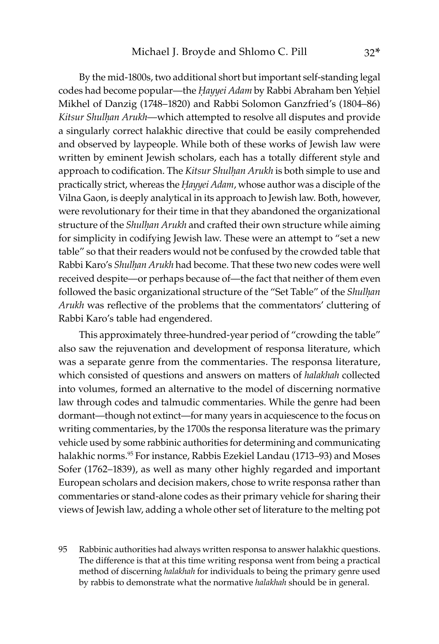By the mid-1800s, two additional short but important self-standing legal codes had become popular—the *Hayyei Adam* by Rabbi Abraham ben Yehiel Mikhel of Danzig (1748–1820) and Rabbi Solomon Ganzfried's (1804–86) Kitsur Shulhan Arukh—which attempted to resolve all disputes and provide a singularly correct halakhic directive that could be easily comprehended and observed by laypeople. While both of these works of Jewish law were written by eminent Jewish scholars, each has a totally different style and approach to codification. The *Kitsur Shulêan Arukh* is both simple to use and practically strict, whereas the *Êayyei Adam*, whose author was a disciple of the Vilna Gaon, is deeply analytical in its approach to Jewish law. Both, however, were revolutionary for their time in that they abandoned the organizational structure of the *Shulhan Arukh* and crafted their own structure while aiming for simplicity in codifying Jewish law. These were an attempt to "set a new table" so that their readers would not be confused by the crowded table that Rabbi Karo's *Shulhan Arukh* had become. That these two new codes were well received despite—or perhaps because of—the fact that neither of them even followed the basic organizational structure of the "Set Table" of the *Shulhan Arukh* was reflective of the problems that the commentators' cluttering of Rabbi Karo's table had engendered.

This approximately three-hundred-year period of "crowding the table" also saw the rejuvenation and development of responsa literature, which was a separate genre from the commentaries. The responsa literature, which consisted of questions and answers on matters of *halakhah* collected into volumes, formed an alternative to the model of discerning normative law through codes and talmudic commentaries. While the genre had been dormant—though not extinct—for many years in acquiescence to the focus on writing commentaries, by the 1700s the responsa literature was the primary vehicle used by some rabbinic authorities for determining and communicating halakhic norms.<sup>95</sup> For instance, Rabbis Ezekiel Landau (1713–93) and Moses Sofer (1762–1839), as well as many other highly regarded and important European scholars and decision makers, chose to write responsa rather than commentaries or stand-alone codes as their primary vehicle for sharing their views of Jewish law, adding a whole other set of literature to the melting pot

95 Rabbinic authorities had always written responsa to answer halakhic questions. The difference is that at this time writing responsa went from being a practical method of discerning *halakhah* for individuals to being the primary genre used by rabbis to demonstrate what the normative *halakhah* should be in general.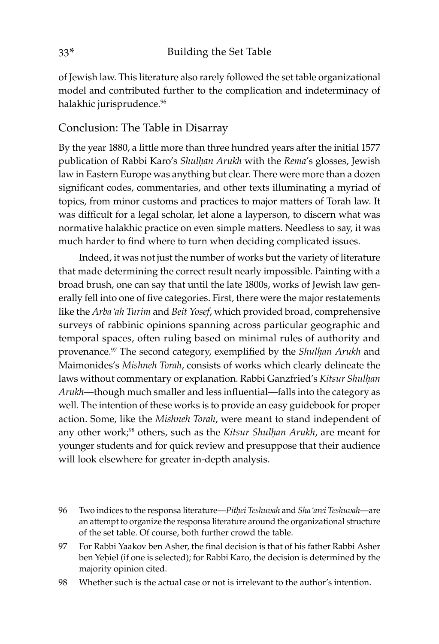of Jewish law. This literature also rarely followed the set table organizational model and contributed further to the complication and indeterminacy of halakhic jurisprudence.<sup>96</sup>

## Conclusion: The Table in Disarray

By the year 1880, a little more than three hundred years after the initial 1577 publication of Rabbi Karo's *Shulêan Arukh* with the *Rema*'s glosses, Jewish law in Eastern Europe was anything but clear. There were more than a dozen significant codes, commentaries, and other texts illuminating a myriad of topics, from minor customs and practices to major matters of Torah law. It was difficult for a legal scholar, let alone a layperson, to discern what was normative halakhic practice on even simple matters. Needless to say, it was much harder to find where to turn when deciding complicated issues.

Indeed, it was not just the number of works but the variety of literature that made determining the correct result nearly impossible. Painting with a broad brush, one can say that until the late 1800s, works of Jewish law generally fell into one of five categories. First, there were the major restatements like the *Arba'ah Turim* and *Beit Yosef*, which provided broad, comprehensive surveys of rabbinic opinions spanning across particular geographic and temporal spaces, often ruling based on minimal rules of authority and provenance.<sup>97</sup> The second category, exemplified by the *Shulhan Arukh* and Maimonides's *Mishneh Torah*, consists of works which clearly delineate the laws without commentary or explanation. Rabbi Ganzfried's Kitsur Shulhan *Arukh*—though much smaller and less influential—falls into the category as well. The intention of these works is to provide an easy guidebook for proper action. Some, like the *Mishneh Torah*, were meant to stand independent of any other work;<sup>98</sup> others, such as the *Kitsur Shulhan Arukh*, are meant for younger students and for quick review and presuppose that their audience will look elsewhere for greater in-depth analysis.

- 96 Two indices to the responsa literature—*Pitêei Teshuvah* and *Sha'arei Teshuvah*—are an attempt to organize the responsa literature around the organizational structure of the set table. Of course, both further crowd the table.
- 97 For Rabbi Yaakov ben Asher, the final decision is that of his father Rabbi Asher ben Yehiel (if one is selected); for Rabbi Karo, the decision is determined by the majority opinion cited.

98 Whether such is the actual case or not is irrelevant to the author's intention.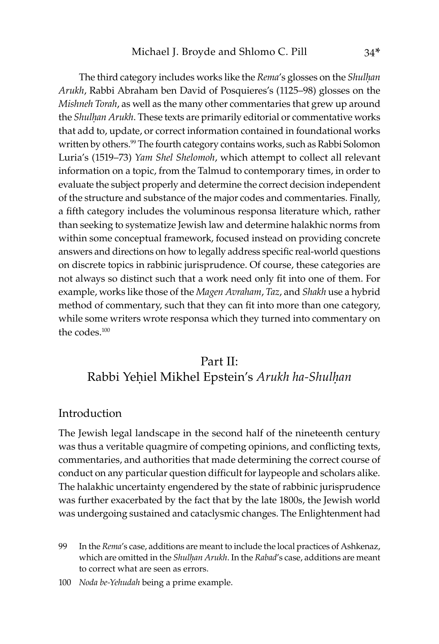The third category includes works like the *Rema's* glosses on the *Shulhan Arukh*, Rabbi Abraham ben David of Posquieres's (1125–98) glosses on the *Mishneh Torah*, as well as the many other commentaries that grew up around the *Shulhan Arukh*. These texts are primarily editorial or commentative works that add to, update, or correct information contained in foundational works written by others.<sup>99</sup> The fourth category contains works, such as Rabbi Solomon Luria's (1519–73) *Yam Shel Shelomoh*, which attempt to collect all relevant information on a topic, from the Talmud to contemporary times, in order to evaluate the subject properly and determine the correct decision independent of the structure and substance of the major codes and commentaries. Finally, a fifth category includes the voluminous responsa literature which, rather than seeking to systematize Jewish law and determine halakhic norms from within some conceptual framework, focused instead on providing concrete answers and directions on how to legally address specific real-world questions on discrete topics in rabbinic jurisprudence. Of course, these categories are not always so distinct such that a work need only fit into one of them. For example, works like those of the *Magen Avraham*, *Taz*, and *Shakh* use a hybrid method of commentary, such that they can fit into more than one category, while some writers wrote responsa which they turned into commentary on the codes.<sup>100</sup>

# Part II: Rabbi Yehiel Mikhel Epstein's Arukh ha-Shulhan

#### Introduction

The Jewish legal landscape in the second half of the nineteenth century was thus a veritable quagmire of competing opinions, and conflicting texts, commentaries, and authorities that made determining the correct course of conduct on any particular question difficult for laypeople and scholars alike. The halakhic uncertainty engendered by the state of rabbinic jurisprudence was further exacerbated by the fact that by the late 1800s, the Jewish world was undergoing sustained and cataclysmic changes. The Enlightenment had

100 *Noda be-Yehudah* being a prime example.

<sup>99</sup> In the *Rema*'s case, additions are meant to include the local practices of Ashkenaz, which are omitted in the *Shulêan Arukh*. In the *Rabad*'s case, additions are meant to correct what are seen as errors.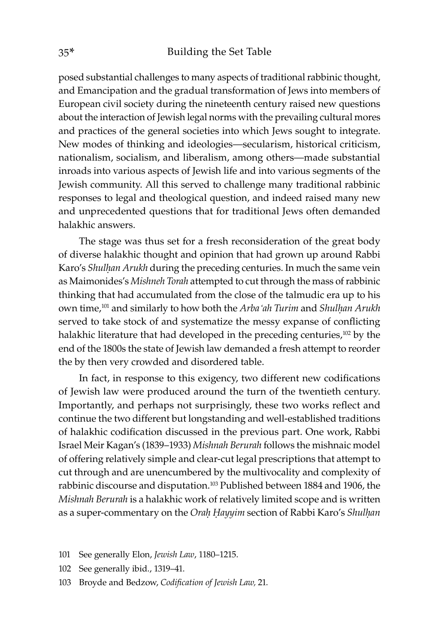posed substantial challenges to many aspects of traditional rabbinic thought, and Emancipation and the gradual transformation of Jews into members of European civil society during the nineteenth century raised new questions about the interaction of Jewish legal norms with the prevailing cultural mores and practices of the general societies into which Jews sought to integrate. New modes of thinking and ideologies—secularism, historical criticism, nationalism, socialism, and liberalism, among others—made substantial inroads into various aspects of Jewish life and into various segments of the Jewish community. All this served to challenge many traditional rabbinic responses to legal and theological question, and indeed raised many new and unprecedented questions that for traditional Jews often demanded halakhic answers.

The stage was thus set for a fresh reconsideration of the great body of diverse halakhic thought and opinion that had grown up around Rabbi Karo's *Shulhan Arukh* during the preceding centuries. In much the same vein as Maimonides's *Mishneh Torah* attempted to cut through the mass of rabbinic thinking that had accumulated from the close of the talmudic era up to his own time,<sup>101</sup> and similarly to how both the *Arba*<sup>'</sup>*ah Turim* and *Shulhan Arukh* served to take stock of and systematize the messy expanse of conflicting halakhic literature that had developed in the preceding centuries,<sup>102</sup> by the end of the 1800s the state of Jewish law demanded a fresh attempt to reorder the by then very crowded and disordered table.

In fact, in response to this exigency, two different new codifications of Jewish law were produced around the turn of the twentieth century. Importantly, and perhaps not surprisingly, these two works reflect and continue the two different but longstanding and well-established traditions of halakhic codification discussed in the previous part. One work, Rabbi Israel Meir Kagan's (1839–1933) *Mishnah Berurah* follows the mishnaic model of offering relatively simple and clear-cut legal prescriptions that attempt to cut through and are unencumbered by the multivocality and complexity of rabbinic discourse and disputation.<sup>103</sup> Published between 1884 and 1906, the *Mishnah Berurah* is a halakhic work of relatively limited scope and is written as a super-commentary on the *Orah Hayyim* section of Rabbi Karo's *Shulhan* 

- 101 See generally Elon, *Jewish Law*, 1180–1215.
- 102 See generally ibid., 1319–41.
- 103 Broyde and Bedzow, *Codification of Jewish Law,* 21.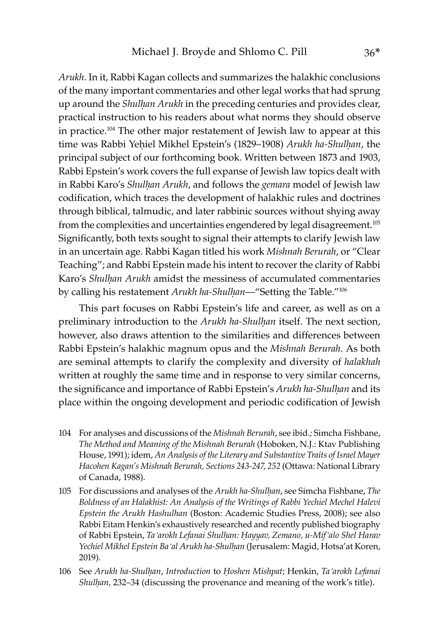*Arukh*. In it, Rabbi Kagan collects and summarizes the halakhic conclusions of the many important commentaries and other legal works that had sprung up around the *Shulêan Arukh* in the preceding centuries and provides clear, practical instruction to his readers about what norms they should observe in practice.104 The other major restatement of Jewish law to appear at this time was Rabbi Yehiel Mikhel Epstein's (1829-1908) Arukh ha-Shulhan, the principal subject of our forthcoming book. Written between 1873 and 1903, Rabbi Epstein's work covers the full expanse of Jewish law topics dealt with in Rabbi Karo's *Shulhan Arukh*, and follows the *gemara* model of Jewish law codification, which traces the development of halakhic rules and doctrines through biblical, talmudic, and later rabbinic sources without shying away from the complexities and uncertainties engendered by legal disagreement.<sup>105</sup> Significantly, both texts sought to signal their attempts to clarify Jewish law in an uncertain age. Rabbi Kagan titled his work *Mishnah Berurah*, or "Clear Teaching"; and Rabbi Epstein made his intent to recover the clarity of Rabbi Karo's *Shulhan Arukh* amidst the messiness of accumulated commentaries by calling his restatement Arukh ha-Shulhan—"Setting the Table."<sup>106</sup>

This part focuses on Rabbi Epstein's life and career, as well as on a preliminary introduction to the *Arukh ha-Shulhan* itself. The next section, however, also draws attention to the similarities and differences between Rabbi Epstein's halakhic magnum opus and the *Mishnah Berurah*. As both are seminal attempts to clarify the complexity and diversity of *halakhah*  written at roughly the same time and in response to very similar concerns, the significance and importance of Rabbi Epstein's Arukh ha-Shulhan and its place within the ongoing development and periodic codification of Jewish

- 104 For analyses and discussions of the *Mishnah Berurah*, see ibid.*;* Simcha Fishbane, *The Method and Meaning of the Mishnah Berurah* (Hoboken, N.J.: Ktav Publishing House, 1991); idem, *An Analysis of the Literary and Substantive Traits of Israel Mayer Hacohen Kagan's Mishnah Berurah, Sections 243-247, 252* (Ottawa: National Library of Canada, 1988).
- 105 For discussions and analyses of the *Arukh ha-Shulêan*, see Simcha Fishbane, *The Boldness of an Halakhist: An Analysis of the Writings of Rabbi Yechiel Mechel Halevi Epstein the Arukh Hashulhan* (Boston: Academic Studies Press, 2008); see also Rabbi Eitam Henkin's exhaustively researched and recently published biography of Rabbi Epstein, *Ta'arokh Lefanai Shulêan: Ḥayyav, Zemano, u-Mif'alo Shel Harav Yechiel Mikhel Epstein Ba'al Arukh ha-Shulêan* (Jerusalem: Magid, Hotsa'at Koren, 2019).
- 106 See *Arukh ha-Shulêan*, *Introduction* to *Êoshen Mishpat*; Henkin, *Ta'arokh Lefanai* Shulhan, 232–34 (discussing the provenance and meaning of the work's title).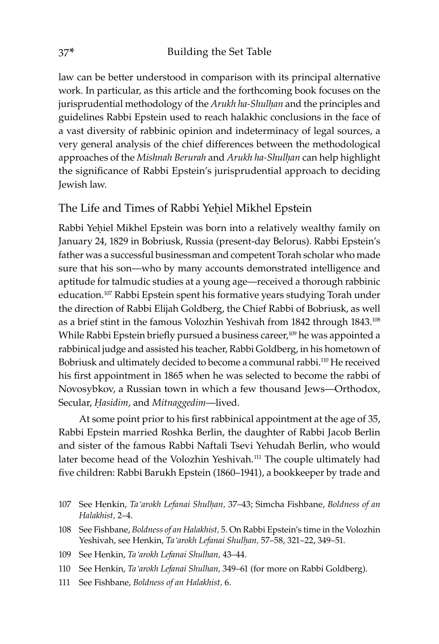law can be better understood in comparison with its principal alternative work. In particular, as this article and the forthcoming book focuses on the jurisprudential methodology of the *Arukh ha-Shulhan* and the principles and guidelines Rabbi Epstein used to reach halakhic conclusions in the face of a vast diversity of rabbinic opinion and indeterminacy of legal sources, a very general analysis of the chief differences between the methodological approaches of the *Mishnah Berurah* and *Arukh ha-Shulhan* can help highlight the significance of Rabbi Epstein's jurisprudential approach to deciding Jewish law.

### The Life and Times of Rabbi Yehiel Mikhel Epstein

Rabbi Yehiel Mikhel Epstein was born into a relatively wealthy family on January 24, 1829 in Bobriusk, Russia (present-day Belorus). Rabbi Epstein's father was a successful businessman and competent Torah scholar who made sure that his son—who by many accounts demonstrated intelligence and aptitude for talmudic studies at a young age—received a thorough rabbinic education.107 Rabbi Epstein spent his formative years studying Torah under the direction of Rabbi Elijah Goldberg, the Chief Rabbi of Bobriusk, as well as a brief stint in the famous Volozhin Yeshivah from 1842 through 1843.<sup>108</sup> While Rabbi Epstein briefly pursued a business career,<sup>109</sup> he was appointed a rabbinical judge and assisted his teacher, Rabbi Goldberg, in his hometown of Bobriusk and ultimately decided to become a communal rabbi.110 He received his first appointment in 1865 when he was selected to become the rabbi of Novosybkov, a Russian town in which a few thousand Jews—Orthodox, Secular, *Hasidim*, and *Mitnaggedim*—lived.

At some point prior to his first rabbinical appointment at the age of 35, Rabbi Epstein married Roshka Berlin, the daughter of Rabbi Jacob Berlin and sister of the famous Rabbi Naftali Tsevi Yehudah Berlin, who would later become head of the Volozhin Yeshivah.<sup>111</sup> The couple ultimately had five children: Rabbi Barukh Epstein (1860–1941), a bookkeeper by trade and

- 107 See Henkin, *Ta'arokh Lefanai Shulêan,* 37–43; Simcha Fishbane, *Boldness of an Halakhist,* 2–4.
- 108 See Fishbane, *Boldness of an Halakhist,* 5. On Rabbi Epstein's time in the Volozhin Yeshivah, see Henkin, *Ta'arokh Lefanai Shulêan,* 57–58, 321–22, 349–51.
- 109 See Henkin, *Ta'arokh Lefanai Shulhan,* 43–44.
- 110 See Henkin, *Ta'arokh Lefanai Shulhan,* 349–61 (for more on Rabbi Goldberg).
- 111 See Fishbane, *Boldness of an Halakhist,* 6.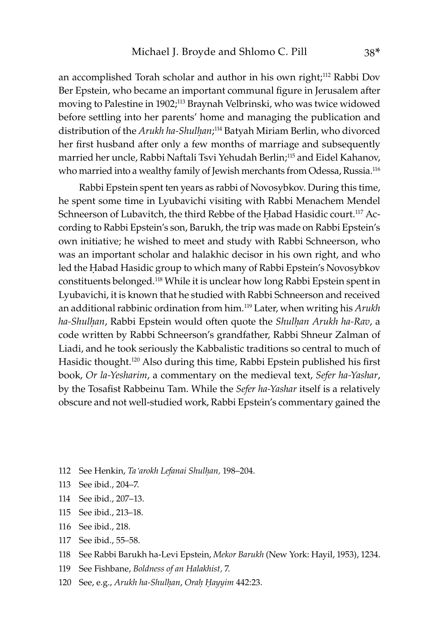an accomplished Torah scholar and author in his own right;<sup>112</sup> Rabbi Dov Ber Epstein, who became an important communal figure in Jerusalem after moving to Palestine in 1902;113 Braynah Velbrinski, who was twice widowed before settling into her parents' home and managing the publication and distribution of the *Arukh ha-Shulêan*; 114 Batyah Miriam Berlin, who divorced her first husband after only a few months of marriage and subsequently married her uncle, Rabbi Naftali Tsvi Yehudah Berlin;<sup>115</sup> and Eidel Kahanov, who married into a wealthy family of Jewish merchants from Odessa, Russia.<sup>116</sup>

Rabbi Epstein spent ten years as rabbi of Novosybkov. During this time, he spent some time in Lyubavichi visiting with Rabbi Menachem Mendel Schneerson of Lubavitch, the third Rebbe of the Habad Hasidic court.<sup>117</sup> According to Rabbi Epstein's son, Barukh, the trip was made on Rabbi Epstein's own initiative; he wished to meet and study with Rabbi Schneerson, who was an important scholar and halakhic decisor in his own right, and who led the Habad Hasidic group to which many of Rabbi Epstein's Novosybkov constituents belonged.118 While it is unclear how long Rabbi Epstein spent in Lyubavichi, it is known that he studied with Rabbi Schneerson and received an additional rabbinic ordination from him.119 Later, when writing his *Arukh*  ha-Shulhan, Rabbi Epstein would often quote the Shulhan Arukh ha-Rav, a code written by Rabbi Schneerson's grandfather, Rabbi Shneur Zalman of Liadi, and he took seriously the Kabbalistic traditions so central to much of Hasidic thought.<sup>120</sup> Also during this time, Rabbi Epstein published his first book, *Or la-Yesharim*, a commentary on the medieval text, *Sefer ha-Yashar*, by the Tosafist Rabbeinu Tam. While the *Sefer ha-Yashar* itself is a relatively obscure and not well-studied work, Rabbi Epstein's commentary gained the

- 112 See Henkin, *Ta'arokh Lefanai Shulhan*, 198-204.
- 113 See ibid., 204–7.
- 114 See ibid., 207–13.
- 115 See ibid., 213–18.
- 116 See ibid., 218.
- 117 See ibid., 55–58.
- 118 See Rabbi Barukh ha-Levi Epstein, *Mekor Barukh* (New York: Hayil, 1953), 1234.
- 119 See Fishbane, *Boldness of an Halakhist,* 7.
- 120 See, e.g., *Arukh ha-Shulhan*, *Orah Hayyim* 442:23.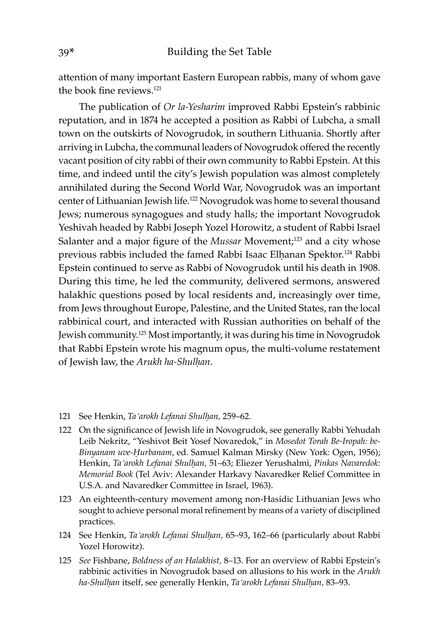attention of many important Eastern European rabbis, many of whom gave the book fine reviews.<sup>121</sup>

The publication of *Or la-Yesharim* improved Rabbi Epstein's rabbinic reputation, and in 1874 he accepted a position as Rabbi of Lubcha, a small town on the outskirts of Novogrudok, in southern Lithuania. Shortly after arriving in Lubcha, the communal leaders of Novogrudok offered the recently vacant position of city rabbi of their own community to Rabbi Epstein. At this time, and indeed until the city's Jewish population was almost completely annihilated during the Second World War, Novogrudok was an important center of Lithuanian Jewish life.<sup>122</sup> Novogrudok was home to several thousand Jews; numerous synagogues and study halls; the important Novogrudok Yeshivah headed by Rabbi Joseph Yozel Horowitz, a student of Rabbi Israel Salanter and a major figure of the *Mussar* Movement;<sup>123</sup> and a city whose previous rabbis included the famed Rabbi Isaac Elhanan Spektor.<sup>124</sup> Rabbi Epstein continued to serve as Rabbi of Novogrudok until his death in 1908. During this time, he led the community, delivered sermons, answered halakhic questions posed by local residents and, increasingly over time, from Jews throughout Europe, Palestine, and the United States, ran the local rabbinical court, and interacted with Russian authorities on behalf of the Jewish community.125 Most importantly, it was during his time in Novogrudok that Rabbi Epstein wrote his magnum opus, the multi-volume restatement of Jewish law, the Arukh ha-Shulhan.

- 121 See Henkin, *Ta'arokh Lefanai Shulhan*, 259–62.
- 122 On the significance of Jewish life in Novogrudok, see generally Rabbi Yehudah Leib Nekritz, "Yeshivot Beit Yosef Novaredok," in *Mosedot Torah Be-Iropah: be-Binyanam uve-Êurbanam*, ed. Samuel Kalman Mirsky (New York: Ogen, 1956); Henkin, *Ta'arokh Lefanai Shulêan,* 51–63; Eliezer Yerushalmi, *Pinkas Navaredok: Memorial Book* (Tel Aviv: Alexander Harkavy Navaredker Relief Committee in U.S.A. and Navaredker Committee in Israel, 1963).
- 123 An eighteenth-century movement among non-Hasidic Lithuanian Jews who sought to achieve personal moral refinement by means of a variety of disciplined practices.
- 124 See Henkin, *Ta'arokh Lefanai Shulêan,* 65–93, 162–66 (particularly about Rabbi Yozel Horowitz).
- 125 *See* Fishbane, *Boldness of an Halakhist,* 8–13. For an overview of Rabbi Epstein's rabbinic activities in Novogrudok based on allusions to his work in the *Arukh ha-Shulêan* itself, see generally Henkin, *Ta'arokh Lefanai Shulêan,* 83–93.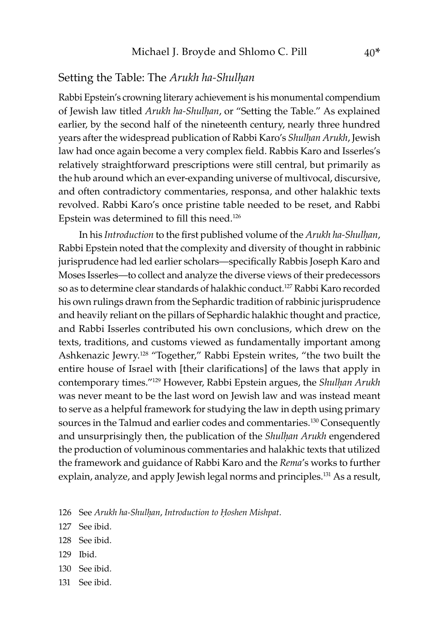#### Setting the Table: The *Arukh ha-Shulhan*

Rabbi Epstein's crowning literary achievement is his monumental compendium of Jewish law titled Arukh ha-Shulhan, or "Setting the Table." As explained earlier, by the second half of the nineteenth century, nearly three hundred years after the widespread publication of Rabbi Karo's *Shulhan Arukh*, Jewish law had once again become a very complex field. Rabbis Karo and Isserles's relatively straightforward prescriptions were still central, but primarily as the hub around which an ever-expanding universe of multivocal, discursive, and often contradictory commentaries, responsa, and other halakhic texts revolved. Rabbi Karo's once pristine table needed to be reset, and Rabbi Epstein was determined to fill this need.<sup>126</sup>

In his *Introduction* to the first published volume of the *Arukh ha-Shulhan*, Rabbi Epstein noted that the complexity and diversity of thought in rabbinic jurisprudence had led earlier scholars—specifically Rabbis Joseph Karo and Moses Isserles—to collect and analyze the diverse views of their predecessors so as to determine clear standards of halakhic conduct.127 Rabbi Karo recorded his own rulings drawn from the Sephardic tradition of rabbinic jurisprudence and heavily reliant on the pillars of Sephardic halakhic thought and practice, and Rabbi Isserles contributed his own conclusions, which drew on the texts, traditions, and customs viewed as fundamentally important among Ashkenazic Jewry.128 "Together," Rabbi Epstein writes, "the two built the entire house of Israel with [their clarifications] of the laws that apply in contemporary times."<sup>129</sup> However, Rabbi Epstein argues, the *Shulhan Arukh* was never meant to be the last word on Jewish law and was instead meant to serve as a helpful framework for studying the law in depth using primary sources in the Talmud and earlier codes and commentaries.<sup>130</sup> Consequently and unsurprisingly then, the publication of the *Shulhan Arukh* engendered the production of voluminous commentaries and halakhic texts that utilized the framework and guidance of Rabbi Karo and the *Rema*'s works to further explain, analyze, and apply Jewish legal norms and principles.<sup>131</sup> As a result,

- 128 See ibid.
- 129 Ibid.
- 130 See ibid.
- 131 See ibid.

<sup>126</sup> See Arukh ha-Shulhan, Introduction to Hoshen Mishpat.

<sup>127</sup> See ibid.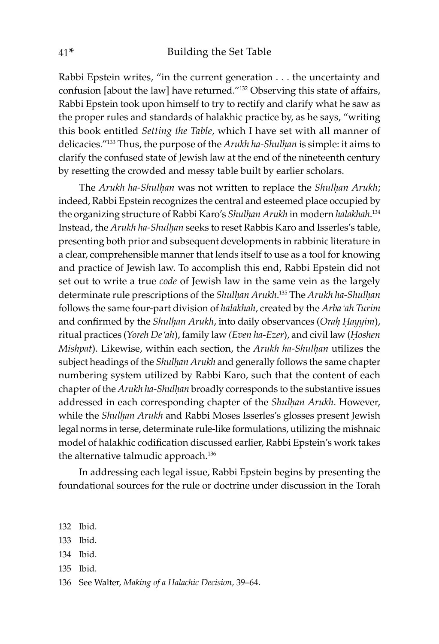Rabbi Epstein writes, "in the current generation . . . the uncertainty and confusion [about the law] have returned."132 Observing this state of affairs, Rabbi Epstein took upon himself to try to rectify and clarify what he saw as the proper rules and standards of halakhic practice by, as he says, "writing this book entitled *Setting the Table*, which I have set with all manner of delicacies.<sup>"133</sup> Thus, the purpose of the *Arukh ha-Shulhan* is simple: it aims to clarify the confused state of Jewish law at the end of the nineteenth century by resetting the crowded and messy table built by earlier scholars.

The Arukh ha-Shulhan was not written to replace the Shulhan Arukh; indeed, Rabbi Epstein recognizes the central and esteemed place occupied by the organizing structure of Rabbi Karo's S*hulhan Arukh* in modern *halakhah*.<sup>134</sup> Instead, the *Arukh ha-Shulhan seeks to reset Rabbis Karo and Isserles's table*, presenting both prior and subsequent developments in rabbinic literature in a clear, comprehensible manner that lends itself to use as a tool for knowing and practice of Jewish law. To accomplish this end, Rabbi Epstein did not set out to write a true *code* of Jewish law in the same vein as the largely determinate rule prescriptions of the *Shulhan Arukh*.<sup>135</sup> The *Arukh ha-Shulhan* follows the same four-part division of *halakhah*, created by the *Arba'ah Turim*  and confirmed by the *Shulhan Arukh*, into daily observances (Orah Hayyim), ritual practices (*Yoreh De'ah*), family law *(Even ha-Ezer*), and civil law (*Êoshen Mishpat*). Likewise, within each section, the *Arukh ha-Shulhan* utilizes the subject headings of the *Shulhan Arukh* and generally follows the same chapter numbering system utilized by Rabbi Karo, such that the content of each chapter of the *Arukh ha-Shulhan* broadly corresponds to the substantive issues addressed in each corresponding chapter of the *Shulhan Arukh*. However, while the *Shulhan Arukh* and Rabbi Moses Isserles's glosses present Jewish legal norms in terse, determinate rule-like formulations, utilizing the mishnaic model of halakhic codification discussed earlier, Rabbi Epstein's work takes the alternative talmudic approach.<sup>136</sup>

In addressing each legal issue, Rabbi Epstein begins by presenting the foundational sources for the rule or doctrine under discussion in the Torah

- 133 Ibid.
- 134 Ibid.
- 135 Ibid.
- 136 See Walter, *Making of a Halachic Decision,* 39–64.

<sup>132</sup> Ibid.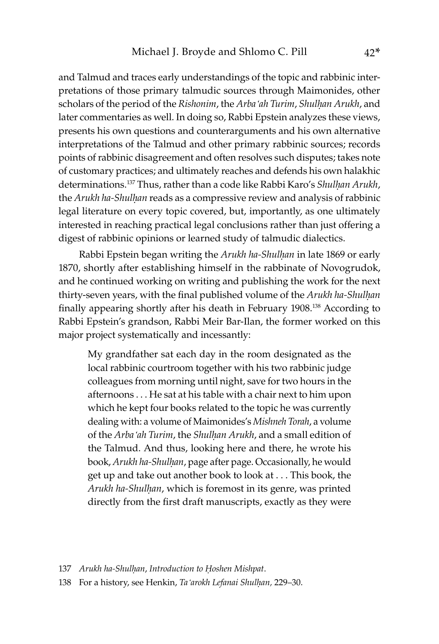and Talmud and traces early understandings of the topic and rabbinic interpretations of those primary talmudic sources through Maimonides, other scholars of the period of the *Rishonim*, the *Arba*<sup>*'ah Turim*, *Shulhan Arukh*, and</sup> later commentaries as well. In doing so, Rabbi Epstein analyzes these views, presents his own questions and counterarguments and his own alternative interpretations of the Talmud and other primary rabbinic sources; records points of rabbinic disagreement and often resolves such disputes; takes note of customary practices; and ultimately reaches and defends his own halakhic determinations.<sup>137</sup> Thus, rather than a code like Rabbi Karo's *Shulhan Arukh*, the *Arukh ha-Shulhan* reads as a compressive review and analysis of rabbinic legal literature on every topic covered, but, importantly, as one ultimately interested in reaching practical legal conclusions rather than just offering a digest of rabbinic opinions or learned study of talmudic dialectics.

Rabbi Epstein began writing the *Arukh ha-Shulhan* in late 1869 or early 1870, shortly after establishing himself in the rabbinate of Novogrudok, and he continued working on writing and publishing the work for the next thirty-seven years, with the final published volume of the *Arukh ha-Shulhan* finally appearing shortly after his death in February 1908.138 According to Rabbi Epstein's grandson, Rabbi Meir Bar-Ilan, the former worked on this major project systematically and incessantly:

My grandfather sat each day in the room designated as the local rabbinic courtroom together with his two rabbinic judge colleagues from morning until night, save for two hours in the afternoons . . . He sat at his table with a chair next to him upon which he kept four books related to the topic he was currently dealing with: a volume of Maimonides's *Mishneh Torah*, a volume of the *Arba'ah Turim*, the *Shulêan Arukh*, and a small edition of the Talmud. And thus, looking here and there, he wrote his book, *Arukh ha-Shulhan*, page after page. Occasionally, he would get up and take out another book to look at . . . This book, the Arukh ha-Shulhan, which is foremost in its genre, was printed directly from the first draft manuscripts, exactly as they were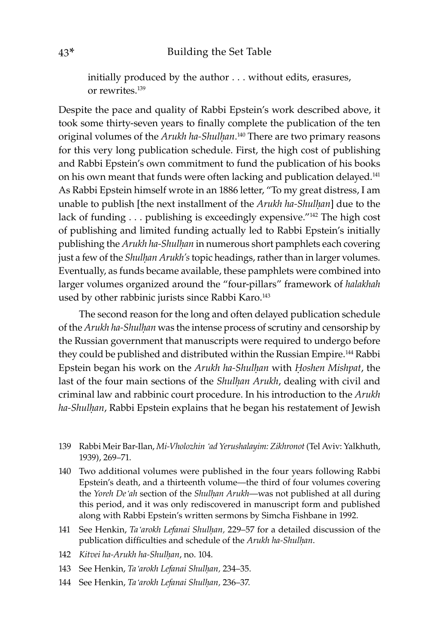initially produced by the author . . . without edits, erasures, or rewrites.<sup>139</sup>

Despite the pace and quality of Rabbi Epstein's work described above, it took some thirty-seven years to finally complete the publication of the ten original volumes of the *Arukh ha-Shulhan*.<sup>140</sup> There are two primary reasons for this very long publication schedule. First, the high cost of publishing and Rabbi Epstein's own commitment to fund the publication of his books on his own meant that funds were often lacking and publication delayed.<sup>141</sup> As Rabbi Epstein himself wrote in an 1886 letter, "To my great distress, I am unable to publish [the next installment of the *Arukh ha-Shulhan*] due to the lack of funding . . . publishing is exceedingly expensive."<sup>142</sup> The high cost of publishing and limited funding actually led to Rabbi Epstein's initially publishing the *Arukh ha-Shulhan* in numerous short pamphlets each covering just a few of the *Shulhan Arukh's* topic headings, rather than in larger volumes. Eventually, as funds became available, these pamphlets were combined into larger volumes organized around the "four-pillars" framework of *halakhah* used by other rabbinic jurists since Rabbi Karo.<sup>143</sup>

The second reason for the long and often delayed publication schedule of the *Arukh ha-Shulhan* was the intense process of scrutiny and censorship by the Russian government that manuscripts were required to undergo before they could be published and distributed within the Russian Empire.<sup>144</sup> Rabbi Epstein began his work on the *Arukh ha-Shulhan* with *Hoshen Mishpat*, the last of the four main sections of the *Shulhan Arukh*, dealing with civil and criminal law and rabbinic court procedure. In his introduction to the *Arukh*  ha-Shulhan, Rabbi Epstein explains that he began his restatement of Jewish

- 139 Rabbi Meir Bar-Ilan, *Mi-Vholozhin ʻad Yerushalayim: Zikhronot* (Tel Aviv: Yalkhuth, 1939), 269–71.
- 140 Two additional volumes were published in the four years following Rabbi Epstein's death, and a thirteenth volume—the third of four volumes covering the *Yoreh De'ah* section of the *Shulêan Arukh*—was not published at all during this period, and it was only rediscovered in manuscript form and published along with Rabbi Epstein's written sermons by Simcha Fishbane in 1992.
- 141 See Henkin, *Ta'arokh Lefanai Shulêan,* 229–57 for a detailed discussion of the publication difficulties and schedule of the *Arukh ha-Shulhan*.
- 142 *Kitvei ha-Arukh ha-Shulêan*, no. 104.
- 143 See Henkin, *Ta'arokh Lefanai Shulhan*, 234-35.
- 144 See Henkin, *Ta'arokh Lefanai Shulhan*, 236-37.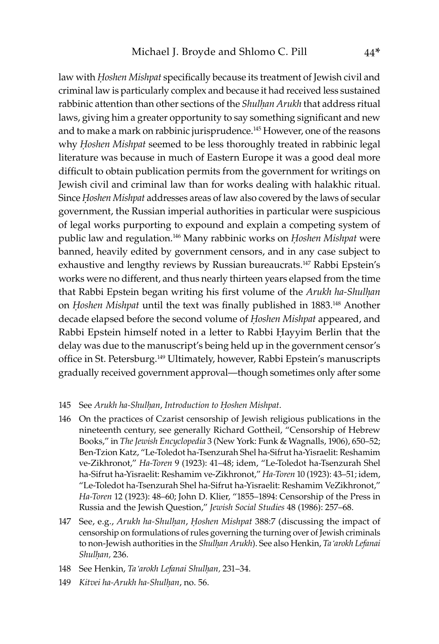law with *Hoshen Mishpat* specifically because its treatment of Jewish civil and criminal law is particularly complex and because it had received less sustained rabbinic attention than other sections of the *Shulhan Arukh* that address ritual laws, giving him a greater opportunity to say something significant and new and to make a mark on rabbinic jurisprudence.<sup>145</sup> However, one of the reasons why *Êoshen Mishpat* seemed to be less thoroughly treated in rabbinic legal literature was because in much of Eastern Europe it was a good deal more difficult to obtain publication permits from the government for writings on Jewish civil and criminal law than for works dealing with halakhic ritual. Since *Êoshen Mishpat* addresses areas of law also covered by the laws of secular government, the Russian imperial authorities in particular were suspicious of legal works purporting to expound and explain a competing system of public law and regulation.<sup>146</sup> Many rabbinic works on *Hoshen Mishpat* were banned, heavily edited by government censors, and in any case subject to exhaustive and lengthy reviews by Russian bureaucrats.<sup>147</sup> Rabbi Epstein's works were no different, and thus nearly thirteen years elapsed from the time that Rabbi Epstein began writing his first volume of the *Arukh ha-Shulhan* on *Hoshen Mishpat* until the text was finally published in 1883.<sup>148</sup> Another decade elapsed before the second volume of *Hoshen Mishpat* appeared, and Rabbi Epstein himself noted in a letter to Rabbi Hayyim Berlin that the delay was due to the manuscript's being held up in the government censor's office in St. Petersburg.149 Ultimately, however, Rabbi Epstein's manuscripts gradually received government approval—though sometimes only after some

- 145 See Arukh ha-Shulhan, Introduction to Hoshen Mishpat.
- 146 On the practices of Czarist censorship of Jewish religious publications in the nineteenth century, see generally Richard Gottheil, "Censorship of Hebrew Books," in *The Jewish Encyclopedia* 3 (New York: Funk & Wagnalls, 1906), 650–52; Ben-Tzion Katz, "Le-Toledot ha-Tsenzurah Shel ha-Sifrut ha-Yisraelit: Reshamim ve-Zikhronot," *Ha-Toren* 9 (1923): 41–48; idem, "Le-Toledot ha-Tsenzurah Shel ha-Sifrut ha-Yisraelit: Reshamim ve-Zikhronot," *Ha-Toren* 10 (1923): 43–51; idem, "Le-Toledot ha-Tsenzurah Shel ha-Sifrut ha-Yisraelit: Reshamim VeZikhronot," *Ha-Toren* 12 (1923): 48–60; John D. Klier, "1855–1894: Censorship of the Press in Russia and the Jewish Question," *Jewish Social Studies* 48 (1986): 257–68.
- 147 See, e.g., *Arukh ha-Shulêan*, *Êoshen Mishpat* 388:7 (discussing the impact of censorship on formulations of rules governing the turning over of Jewish criminals to non-Jewish authorities in the *Shulêan Arukh*). See also Henkin, *Ta'arokh Lefanai Shulhan*, 236.
- 148 See Henkin, *Ta'arokh Lefanai Shulhan*, 231–34.
- 149 *Kitvei ha-Arukh ha-Shulêan*, no. 56.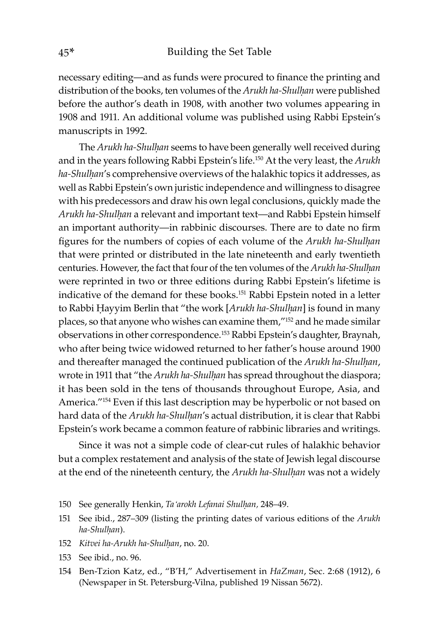necessary editing—and as funds were procured to finance the printing and distribution of the books, ten volumes of the *Arukh ha-Shulhan* were published before the author's death in 1908, with another two volumes appearing in 1908 and 1911. An additional volume was published using Rabbi Epstein's manuscripts in 1992.

The *Arukh ha-Shulhan seems to have been generally well received during* and in the years following Rabbi Epstein's life.150 At the very least, the *Arukh*  ha-Shulhan's comprehensive overviews of the halakhic topics it addresses, as well as Rabbi Epstein's own juristic independence and willingness to disagree with his predecessors and draw his own legal conclusions, quickly made the *Arukh ha-Shulêan* a relevant and important text—and Rabbi Epstein himself an important authority—in rabbinic discourses. There are to date no firm figures for the numbers of copies of each volume of the *Arukh ha-Shulhan* that were printed or distributed in the late nineteenth and early twentieth centuries. However, the fact that four of the ten volumes of the *Arukh ha-Shulhan* were reprinted in two or three editions during Rabbi Epstein's lifetime is indicative of the demand for these books.151 Rabbi Epstein noted in a letter to Rabbi Hayyim Berlin that "the work [Arukh ha-Shulhan] is found in many places, so that anyone who wishes can examine them,"152 and he made similar observations in other correspondence.153 Rabbi Epstein's daughter, Braynah, who after being twice widowed returned to her father's house around 1900 and thereafter managed the continued publication of the *Arukh ha-Shulhan*, wrote in 1911 that "the *Arukh ha-Shulhan* has spread throughout the diaspora; it has been sold in the tens of thousands throughout Europe, Asia, and America."<sup>154</sup> Even if this last description may be hyperbolic or not based on hard data of the *Arukh ha-Shulhan's* actual distribution, it is clear that Rabbi Epstein's work became a common feature of rabbinic libraries and writings.

Since it was not a simple code of clear-cut rules of halakhic behavior but a complex restatement and analysis of the state of Jewish legal discourse at the end of the nineteenth century, the *Arukh ha-Shulhan* was not a widely

- 150 See generally Henkin, *Ta'arokh Lefanai Shulhan*, 248-49.
- 151 See ibid., 287–309 (listing the printing dates of various editions of the *Arukh ha-Shulhan*).
- 152 *Kitvei ha-Arukh ha-Shulêan*, no. 20.
- 153 See ibid., no. 96.
- 154 Ben-Tzion Katz, ed., "B'H," Advertisement in *HaZman*, Sec. 2:68 (1912), 6 (Newspaper in St. Petersburg-Vilna, published 19 Nissan 5672).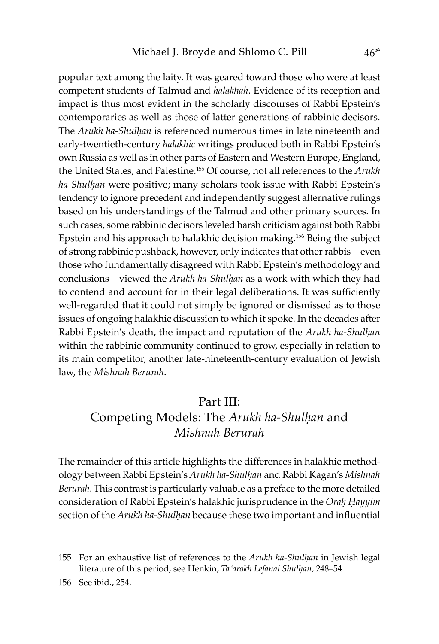popular text among the laity. It was geared toward those who were at least competent students of Talmud and *halakhah*. Evidence of its reception and impact is thus most evident in the scholarly discourses of Rabbi Epstein's contemporaries as well as those of latter generations of rabbinic decisors. The Arukh ha-Shulhan is referenced numerous times in late nineteenth and early-twentieth-century *halakhic* writings produced both in Rabbi Epstein's own Russia as well as in other parts of Eastern and Western Europe, England, the United States, and Palestine.155 Of course, not all references to the *Arukh*  ha-Shulhan were positive; many scholars took issue with Rabbi Epstein's tendency to ignore precedent and independently suggest alternative rulings based on his understandings of the Talmud and other primary sources. In such cases, some rabbinic decisors leveled harsh criticism against both Rabbi Epstein and his approach to halakhic decision making.156 Being the subject of strong rabbinic pushback, however, only indicates that other rabbis—even those who fundamentally disagreed with Rabbi Epstein's methodology and conclusions—viewed the *Arukh ha-Shulhan* as a work with which they had to contend and account for in their legal deliberations. It was sufficiently well-regarded that it could not simply be ignored or dismissed as to those issues of ongoing halakhic discussion to which it spoke. In the decades after Rabbi Epstein's death, the impact and reputation of the *Arukh ha-Shulhan* within the rabbinic community continued to grow, especially in relation to its main competitor, another late-nineteenth-century evaluation of Jewish law, the *Mishnah Berurah*.

### Part III:

# Competing Models: The *Arukh ha-Shulhan* and *Mishnah Berurah*

The remainder of this article highlights the differences in halakhic methodology between Rabbi Epstein's *Arukh ha-Shulêan* and Rabbi Kagan's *Mishnah Berurah*. This contrast is particularly valuable as a preface to the more detailed consideration of Rabbi Epstein's halakhic jurisprudence in the *Orah Hayyim* section of the *Arukh ha-Shulhan* because these two important and influential

<sup>155</sup> For an exhaustive list of references to the *Arukh ha-Shulêan* in Jewish legal literature of this period, see Henkin, *Ta'arokh Lefanai Shulhan*, 248-54.

<sup>156</sup> See ibid., 254.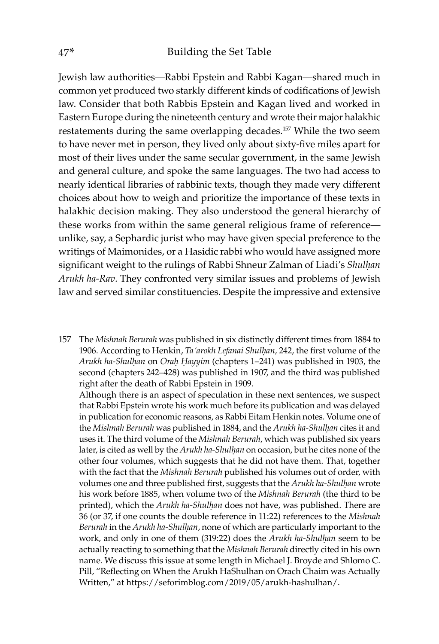Jewish law authorities—Rabbi Epstein and Rabbi Kagan—shared much in common yet produced two starkly different kinds of codifications of Jewish law. Consider that both Rabbis Epstein and Kagan lived and worked in Eastern Europe during the nineteenth century and wrote their major halakhic restatements during the same overlapping decades.157 While the two seem to have never met in person, they lived only about sixty-five miles apart for most of their lives under the same secular government, in the same Jewish and general culture, and spoke the same languages. The two had access to nearly identical libraries of rabbinic texts, though they made very different choices about how to weigh and prioritize the importance of these texts in halakhic decision making. They also understood the general hierarchy of these works from within the same general religious frame of reference unlike, say, a Sephardic jurist who may have given special preference to the writings of Maimonides, or a Hasidic rabbi who would have assigned more significant weight to the rulings of Rabbi Shneur Zalman of Liadi's Shulhan *Arukh ha-Rav*. They confronted very similar issues and problems of Jewish law and served similar constituencies. Despite the impressive and extensive

157 The *Mishnah Berurah* was published in six distinctly different times from 1884 to 1906. According to Henkin, *Ta'arokh Lefanai Shulêan,* 242, the first volume of the *Arukh ha-Shulêan* on *Oraê Êayyim* (chapters 1–241) was published in 1903, the second (chapters 242–428) was published in 1907, and the third was published right after the death of Rabbi Epstein in 1909.

Although there is an aspect of speculation in these next sentences, we suspect that Rabbi Epstein wrote his work much before its publication and was delayed in publication for economic reasons, as Rabbi Eitam Henkin notes. Volume one of the *Mishnah Berurah* was published in 1884, and the *Arukh ha-Shulêan* cites it and uses it. The third volume of the *Mishnah Berurah*, which was published six years later, is cited as well by the *Arukh ha-Shulhan* on occasion, but he cites none of the other four volumes, which suggests that he did not have them. That, together with the fact that the *Mishnah Berurah* published his volumes out of order, with volumes one and three published first, suggests that the Arukh ha-Shulhan wrote his work before 1885, when volume two of the *Mishnah Berurah* (the third to be printed), which the *Arukh ha-Shulhan* does not have, was published. There are 36 (or 37, if one counts the double reference in 11:22) references to the *Mishnah Berurah* in the *Arukh ha-Shulêan*, none of which are particularly important to the work, and only in one of them (319:22) does the *Arukh ha-Shulhan* seem to be actually reacting to something that the *Mishnah Berurah* directly cited in his own name. We discuss this issue at some length in Michael J. Broyde and Shlomo C. Pill, "Reflecting on When the Arukh HaShulhan on Orach Chaim was Actually Written," at https://seforimblog.com/2019/05/arukh-hashulhan/.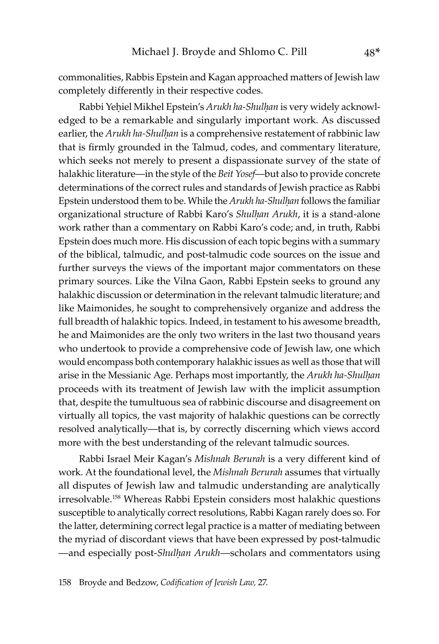commonalities, Rabbis Epstein and Kagan approached matters of Jewish law completely differently in their respective codes.

Rabbi Yehiel Mikhel Epstein's Arukh ha-Shulhan is very widely acknowledged to be a remarkable and singularly important work. As discussed earlier, the *Arukh ha-Shulhan* is a comprehensive restatement of rabbinic law that is firmly grounded in the Talmud, codes, and commentary literature, which seeks not merely to present a dispassionate survey of the state of halakhic literature—in the style of the *Beit Yosef*—but also to provide concrete determinations of the correct rules and standards of Jewish practice as Rabbi Epstein understood them to be. While the *Arukh ha-Shulhan* follows the familiar organizational structure of Rabbi Karo's *Shulhan Arukh*, it is a stand-alone work rather than a commentary on Rabbi Karo's code; and, in truth, Rabbi Epstein does much more. His discussion of each topic begins with a summary of the biblical, talmudic, and post-talmudic code sources on the issue and further surveys the views of the important major commentators on these primary sources. Like the Vilna Gaon, Rabbi Epstein seeks to ground any halakhic discussion or determination in the relevant talmudic literature; and like Maimonides, he sought to comprehensively organize and address the full breadth of halakhic topics. Indeed, in testament to his awesome breadth, he and Maimonides are the only two writers in the last two thousand years who undertook to provide a comprehensive code of Jewish law, one which would encompass both contemporary halakhic issues as well as those that will arise in the Messianic Age. Perhaps most importantly, the *Arukh ha-Shulhan* proceeds with its treatment of Jewish law with the implicit assumption that, despite the tumultuous sea of rabbinic discourse and disagreement on virtually all topics, the vast majority of halakhic questions can be correctly resolved analytically—that is, by correctly discerning which views accord more with the best understanding of the relevant talmudic sources.

Rabbi Israel Meir Kagan's *Mishnah Berurah* is a very different kind of work. At the foundational level, the *Mishnah Berurah* assumes that virtually all disputes of Jewish law and talmudic understanding are analytically irresolvable.158 Whereas Rabbi Epstein considers most halakhic questions susceptible to analytically correct resolutions, Rabbi Kagan rarely does so. For the latter, determining correct legal practice is a matter of mediating between the myriad of discordant views that have been expressed by post-talmudic —and especially post-*Shulhan Arukh*—scholars and commentators using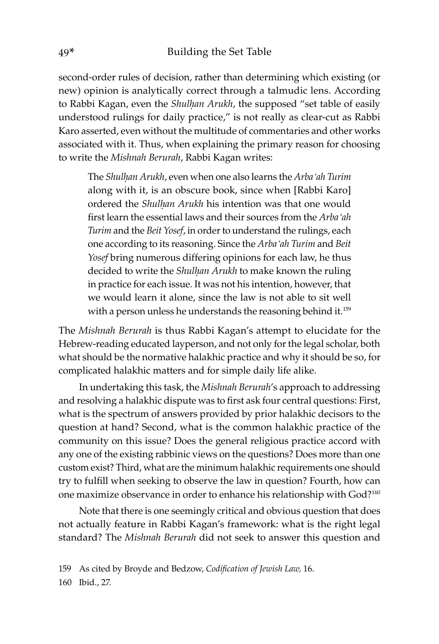second-order rules of decision, rather than determining which existing (or new) opinion is analytically correct through a talmudic lens. According to Rabbi Kagan, even the *Shulhan Arukh*, the supposed "set table of easily understood rulings for daily practice," is not really as clear-cut as Rabbi Karo asserted, even without the multitude of commentaries and other works associated with it. Thus, when explaining the primary reason for choosing to write the *Mishnah Berurah*, Rabbi Kagan writes:

The *Shulêan Arukh*, even when one also learns the *Arba'ah Turim* along with it, is an obscure book, since when [Rabbi Karo] ordered the *Shulhan Arukh* his intention was that one would first learn the essential laws and their sources from the *Arba'ah Turim* and the *Beit Yosef*, in order to understand the rulings, each one according to its reasoning. Since the *Arba'ah Turim* and *Beit Yosef* bring numerous differing opinions for each law, he thus decided to write the *Shulhan Arukh* to make known the ruling in practice for each issue. It was not his intention, however, that we would learn it alone, since the law is not able to sit well with a person unless he understands the reasoning behind it.<sup>159</sup>

The *Mishnah Berurah* is thus Rabbi Kagan's attempt to elucidate for the Hebrew-reading educated layperson, and not only for the legal scholar, both what should be the normative halakhic practice and why it should be so, for complicated halakhic matters and for simple daily life alike.

In undertaking this task, the *Mishnah Berurah*'s approach to addressing and resolving a halakhic dispute was to first ask four central questions: First, what is the spectrum of answers provided by prior halakhic decisors to the question at hand? Second, what is the common halakhic practice of the community on this issue? Does the general religious practice accord with any one of the existing rabbinic views on the questions? Does more than one custom exist? Third, what are the minimum halakhic requirements one should try to fulfill when seeking to observe the law in question? Fourth, how can one maximize observance in order to enhance his relationship with God?<sup>160</sup>

Note that there is one seemingly critical and obvious question that does not actually feature in Rabbi Kagan's framework: what is the right legal standard? The *Mishnah Berurah* did not seek to answer this question and

<sup>159</sup> As cited by Broyde and Bedzow, *Codification of Jewish Law,* 16.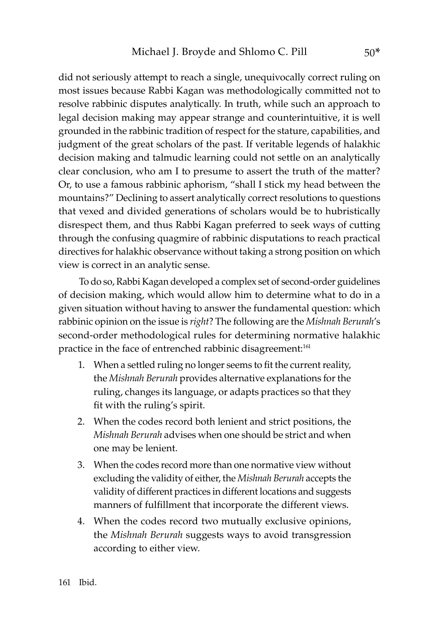did not seriously attempt to reach a single, unequivocally correct ruling on most issues because Rabbi Kagan was methodologically committed not to resolve rabbinic disputes analytically. In truth, while such an approach to legal decision making may appear strange and counterintuitive, it is well grounded in the rabbinic tradition of respect for the stature, capabilities, and judgment of the great scholars of the past. If veritable legends of halakhic decision making and talmudic learning could not settle on an analytically clear conclusion, who am I to presume to assert the truth of the matter? Or, to use a famous rabbinic aphorism, "shall I stick my head between the mountains?" Declining to assert analytically correct resolutions to questions that vexed and divided generations of scholars would be to hubristically disrespect them, and thus Rabbi Kagan preferred to seek ways of cutting through the confusing quagmire of rabbinic disputations to reach practical directives for halakhic observance without taking a strong position on which view is correct in an analytic sense.

To do so, Rabbi Kagan developed a complex set of second-order guidelines of decision making, which would allow him to determine what to do in a given situation without having to answer the fundamental question: which rabbinic opinion on the issue is *right*? The following are the *Mishnah Berurah*'s second-order methodological rules for determining normative halakhic practice in the face of entrenched rabbinic disagreement:<sup>161</sup>

- 1. When a settled ruling no longer seems to fit the current reality, the *Mishnah Berurah* provides alternative explanations for the ruling, changes its language, or adapts practices so that they fit with the ruling's spirit.
- 2. When the codes record both lenient and strict positions, the *Mishnah Berurah* advises when one should be strict and when one may be lenient.
- 3. When the codes record more than one normative view without excluding the validity of either, the *Mishnah Berurah* accepts the validity of different practices in different locations and suggests manners of fulfillment that incorporate the different views.
- 4. When the codes record two mutually exclusive opinions, the *Mishnah Berurah* suggests ways to avoid transgression according to either view.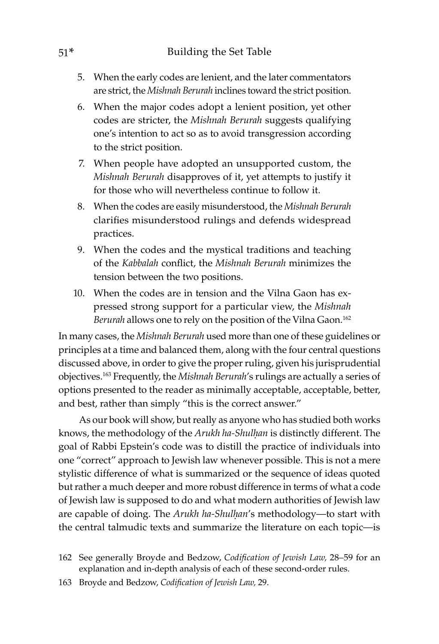- 5. When the early codes are lenient, and the later commentators are strict, the *Mishnah Berurah* inclines toward the strict position.
- 6. When the major codes adopt a lenient position, yet other codes are stricter, the *Mishnah Berurah* suggests qualifying one's intention to act so as to avoid transgression according to the strict position.
- 7. When people have adopted an unsupported custom, the *Mishnah Berurah* disapproves of it, yet attempts to justify it for those who will nevertheless continue to follow it.
- 8. When the codes are easily misunderstood, the *Mishnah Berurah*  clarifies misunderstood rulings and defends widespread practices.
- 9. When the codes and the mystical traditions and teaching of the *Kabbalah* conflict, the *Mishnah Berurah* minimizes the tension between the two positions.
- 10. When the codes are in tension and the Vilna Gaon has expressed strong support for a particular view, the *Mishnah*  Berurah allows one to rely on the position of the Vilna Gaon.<sup>162</sup>

In many cases, the *Mishnah Berurah* used more than one of these guidelines or principles at a time and balanced them, along with the four central questions discussed above, in order to give the proper ruling, given his jurisprudential objectives.163 Frequently, the *Mishnah Berurah*'s rulings are actually a series of options presented to the reader as minimally acceptable, acceptable, better, and best, rather than simply "this is the correct answer."

As our book will show, but really as anyone who has studied both works knows, the methodology of the *Arukh ha-Shulêan* is distinctly different. The goal of Rabbi Epstein's code was to distill the practice of individuals into one "correct" approach to Jewish law whenever possible. This is not a mere stylistic difference of what is summarized or the sequence of ideas quoted but rather a much deeper and more robust difference in terms of what a code of Jewish law is supposed to do and what modern authorities of Jewish law are capable of doing. The *Arukh ha-Shulhan's* methodology—to start with the central talmudic texts and summarize the literature on each topic—is

- 162 See generally Broyde and Bedzow, *Codification of Jewish Law,* 28–59 for an explanation and in-depth analysis of each of these second-order rules.
- 163 Broyde and Bedzow, *Codification of Jewish Law,* 29.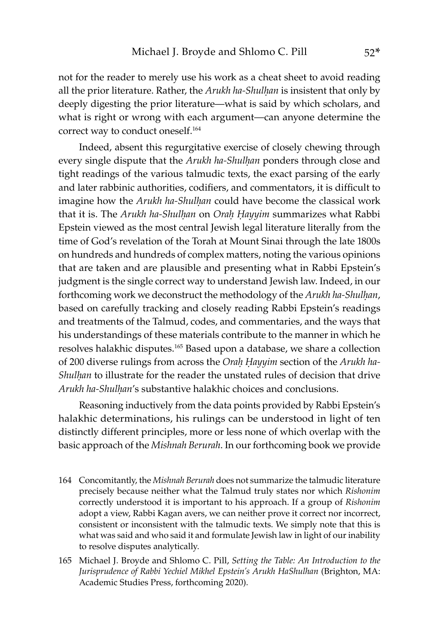not for the reader to merely use his work as a cheat sheet to avoid reading all the prior literature. Rather, the *Arukh ha-Shulhan* is insistent that only by deeply digesting the prior literature—what is said by which scholars, and what is right or wrong with each argument—can anyone determine the correct way to conduct oneself.164

Indeed, absent this regurgitative exercise of closely chewing through every single dispute that the *Arukh ha-Shulhan* ponders through close and tight readings of the various talmudic texts, the exact parsing of the early and later rabbinic authorities, codifiers, and commentators, it is difficult to imagine how the *Arukh ha-Shulhan* could have become the classical work that it is. The *Arukh ha-Shulhan* on *Orah Hayyim* summarizes what Rabbi Epstein viewed as the most central Jewish legal literature literally from the time of God's revelation of the Torah at Mount Sinai through the late 1800s on hundreds and hundreds of complex matters, noting the various opinions that are taken and are plausible and presenting what in Rabbi Epstein's judgment is the single correct way to understand Jewish law. Indeed, in our forthcoming work we deconstruct the methodology of the Arukh ha-Shulhan, based on carefully tracking and closely reading Rabbi Epstein's readings and treatments of the Talmud, codes, and commentaries, and the ways that his understandings of these materials contribute to the manner in which he resolves halakhic disputes.165 Based upon a database, we share a collection of 200 diverse rulings from across the *Orah Hayyim* section of the *Arukh ha-Shulhan* to illustrate for the reader the unstated rules of decision that drive Arukh ha-Shulhan's substantive halakhic choices and conclusions.

Reasoning inductively from the data points provided by Rabbi Epstein's halakhic determinations, his rulings can be understood in light of ten distinctly different principles, more or less none of which overlap with the basic approach of the *Mishnah Berurah*. In our forthcoming book we provide

- 164 Concomitantly, the *Mishnah Berurah* does not summarize the talmudic literature precisely because neither what the Talmud truly states nor which *Rishonim* correctly understood it is important to his approach. If a group of *Rishonim* adopt a view, Rabbi Kagan avers, we can neither prove it correct nor incorrect, consistent or inconsistent with the talmudic texts. We simply note that this is what was said and who said it and formulate Jewish law in light of our inability to resolve disputes analytically.
- 165 Michael J. Broyde and Shlomo C. Pill, *Setting the Table: An Introduction to the Jurisprudence of Rabbi Yechiel Mikhel Epstein's Arukh HaShulhan* (Brighton, MA: Academic Studies Press, forthcoming 2020).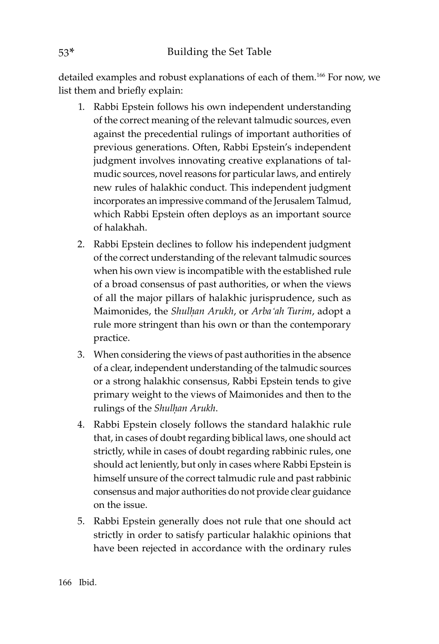detailed examples and robust explanations of each of them.<sup>166</sup> For now, we list them and briefly explain:

- 1. Rabbi Epstein follows his own independent understanding of the correct meaning of the relevant talmudic sources, even against the precedential rulings of important authorities of previous generations. Often, Rabbi Epstein's independent judgment involves innovating creative explanations of talmudic sources, novel reasons for particular laws, and entirely new rules of halakhic conduct. This independent judgment incorporates an impressive command of the Jerusalem Talmud, which Rabbi Epstein often deploys as an important source of halakhah.
- 2. Rabbi Epstein declines to follow his independent judgment of the correct understanding of the relevant talmudic sources when his own view is incompatible with the established rule of a broad consensus of past authorities, or when the views of all the major pillars of halakhic jurisprudence, such as Maimonides, the *Shulêan Arukh*, or *Arba'ah Turim*, adopt a rule more stringent than his own or than the contemporary practice.
- 3. When considering the views of past authorities in the absence of a clear, independent understanding of the talmudic sources or a strong halakhic consensus, Rabbi Epstein tends to give primary weight to the views of Maimonides and then to the rulings of the *Shulhan Arukh*.
- 4. Rabbi Epstein closely follows the standard halakhic rule that, in cases of doubt regarding biblical laws, one should act strictly, while in cases of doubt regarding rabbinic rules, one should act leniently, but only in cases where Rabbi Epstein is himself unsure of the correct talmudic rule and past rabbinic consensus and major authorities do not provide clear guidance on the issue.
- 5. Rabbi Epstein generally does not rule that one should act strictly in order to satisfy particular halakhic opinions that have been rejected in accordance with the ordinary rules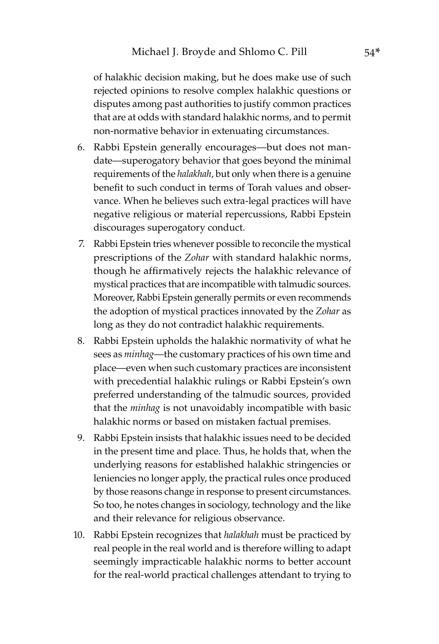of halakhic decision making, but he does make use of such rejected opinions to resolve complex halakhic questions or disputes among past authorities to justify common practices that are at odds with standard halakhic norms, and to permit non-normative behavior in extenuating circumstances.

- 6. Rabbi Epstein generally encourages—but does not mandate—superogatory behavior that goes beyond the minimal requirements of the *halakhah*, but only when there is a genuine benefit to such conduct in terms of Torah values and observance. When he believes such extra-legal practices will have negative religious or material repercussions, Rabbi Epstein discourages superogatory conduct.
- 7. Rabbi Epstein tries whenever possible to reconcile the mystical prescriptions of the *Zohar* with standard halakhic norms, though he affirmatively rejects the halakhic relevance of mystical practices that are incompatible with talmudic sources. Moreover, Rabbi Epstein generally permits or even recommends the adoption of mystical practices innovated by the *Zohar* as long as they do not contradict halakhic requirements.
- 8. Rabbi Epstein upholds the halakhic normativity of what he sees as *minhag*—the customary practices of his own time and place—even when such customary practices are inconsistent with precedential halakhic rulings or Rabbi Epstein's own preferred understanding of the talmudic sources, provided that the *minhag* is not unavoidably incompatible with basic halakhic norms or based on mistaken factual premises.
- 9. Rabbi Epstein insists that halakhic issues need to be decided in the present time and place. Thus, he holds that, when the underlying reasons for established halakhic stringencies or leniencies no longer apply, the practical rules once produced by those reasons change in response to present circumstances. So too, he notes changes in sociology, technology and the like and their relevance for religious observance.
- 10. Rabbi Epstein recognizes that *halakhah* must be practiced by real people in the real world and is therefore willing to adapt seemingly impracticable halakhic norms to better account for the real-world practical challenges attendant to trying to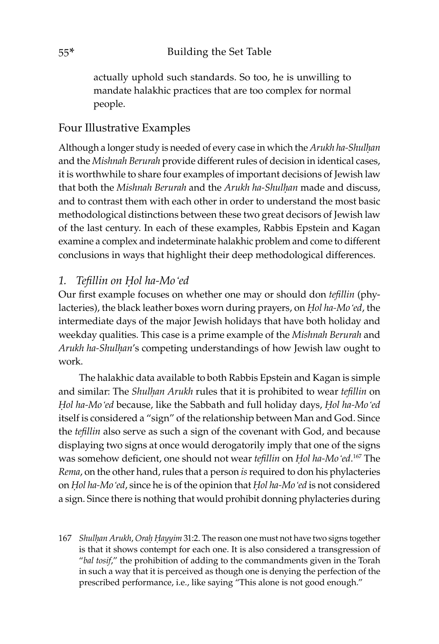actually uphold such standards. So too, he is unwilling to mandate halakhic practices that are too complex for normal people.

# Four Illustrative Examples

Although a longer study is needed of every case in which the *Arukh ha-Shulhan* and the *Mishnah Berurah* provide different rules of decision in identical cases, it is worthwhile to share four examples of important decisions of Jewish law that both the *Mishnah Berurah* and the *Arukh ha-Shulêan* made and discuss, and to contrast them with each other in order to understand the most basic methodological distinctions between these two great decisors of Jewish law of the last century. In each of these examples, Rabbis Epstein and Kagan examine a complex and indeterminate halakhic problem and come to different conclusions in ways that highlight their deep methodological differences.

# *1. Tefillin on Êol ha-Mo'ed*

Our first example focuses on whether one may or should don *tefillin* (phylacteries), the black leather boxes worn during prayers, on *Hol ha-Mo*<sup>*'ed*</sup>, the intermediate days of the major Jewish holidays that have both holiday and weekday qualities. This case is a prime example of the *Mishnah Berurah* and *Arukh ha-Shulêan*'s competing understandings of how Jewish law ought to work.

The halakhic data available to both Rabbis Epstein and Kagan is simple and similar: The *Shulhan Arukh* rules that it is prohibited to wear *tefillin* on *Êol ha-Mo'ed* because, like the Sabbath and full holiday days, *Êol ha-Mo'ed* itself is considered a "sign" of the relationship between Man and God. Since the *tefillin* also serve as such a sign of the covenant with God, and because displaying two signs at once would derogatorily imply that one of the signs was somehow deficient, one should not wear *tefillin* on *Êol ha-Mo'ed*. 167 The *Rema*, on the other hand, rules that a person *is* required to don his phylacteries on *Êol ha-Mo'ed*, since he is of the opinion that *Êol ha-Mo'ed* is not considered a sign. Since there is nothing that would prohibit donning phylacteries during

167 *Shulêan Arukh*, *Oraê Êayyim* 31:2. The reason one must not have two signs together is that it shows contempt for each one. It is also considered a transgression of "*bal tosif*," the prohibition of adding to the commandments given in the Torah in such a way that it is perceived as though one is denying the perfection of the prescribed performance, i.e., like saying "This alone is not good enough."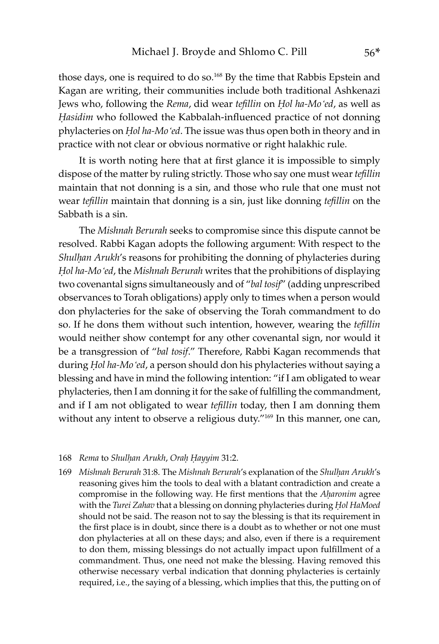those days, one is required to do so.<sup>168</sup> By the time that Rabbis Epstein and Kagan are writing, their communities include both traditional Ashkenazi Jews who, following the *Rema*, did wear *tefillin* on *Hol ha-Mo*<sup>*'ed*</sup>, as well as Hasidim who followed the Kabbalah-influenced practice of not donning phylacteries on *Êol ha-Mo'ed*. The issue was thus open both in theory and in practice with not clear or obvious normative or right halakhic rule.

It is worth noting here that at first glance it is impossible to simply dispose of the matter by ruling strictly. Those who say one must wear *tefillin* maintain that not donning is a sin, and those who rule that one must not wear *tefillin* maintain that donning is a sin, just like donning *tefillin* on the Sabbath is a sin.

The *Mishnah Berurah* seeks to compromise since this dispute cannot be resolved. Rabbi Kagan adopts the following argument: With respect to the *Shulhan Arukh's reasons for prohibiting the donning of phylacteries during Êol ha-Mo'ed*, the *Mishnah Berurah* writes that the prohibitions of displaying two covenantal signs simultaneously and of "*bal tosif*" (adding unprescribed observances to Torah obligations) apply only to times when a person would don phylacteries for the sake of observing the Torah commandment to do so. If he dons them without such intention, however, wearing the *tefillin* would neither show contempt for any other covenantal sign, nor would it be a transgression of "*bal tosif*." Therefore, Rabbi Kagan recommends that during *Êol ha-Mo'ed*, a person should don his phylacteries without saying a blessing and have in mind the following intention: "if I am obligated to wear phylacteries, then I am donning it for the sake of fulfilling the commandment, and if I am not obligated to wear *tefillin* today, then I am donning them without any intent to observe a religious duty."<sup>169</sup> In this manner, one can,

#### 168 *Rema* to *Shulhan Arukh*, *Orah Hayyim* 31:2.

169 *Mishnah Berurah* 31:8. The *Mishnah Berurah's explanation of the Shulhan Arukh's* reasoning gives him the tools to deal with a blatant contradiction and create a compromise in the following way. He first mentions that the *Aharonim* agree with the *Turei Zahav* that a blessing on donning phylacteries during *Êol HaMoed* should not be said. The reason not to say the blessing is that its requirement in the first place is in doubt, since there is a doubt as to whether or not one must don phylacteries at all on these days; and also, even if there is a requirement to don them, missing blessings do not actually impact upon fulfillment of a commandment. Thus, one need not make the blessing. Having removed this otherwise necessary verbal indication that donning phylacteries is certainly required, i.e., the saying of a blessing, which implies that this, the putting on of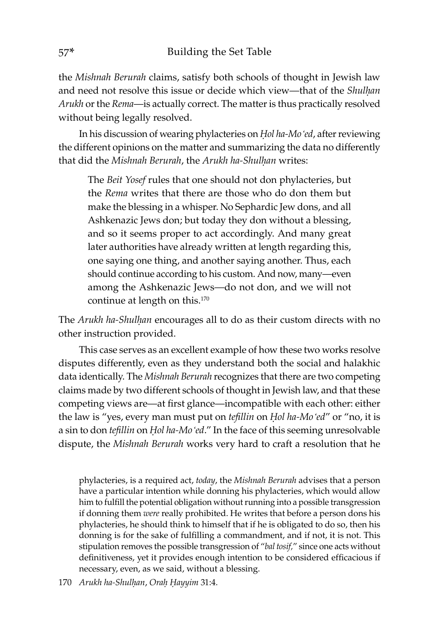the *Mishnah Berurah* claims, satisfy both schools of thought in Jewish law and need not resolve this issue or decide which view—that of the *Shulhan Arukh* or the *Rema*—is actually correct. The matter is thus practically resolved without being legally resolved.

In his discussion of wearing phylacteries on *Êol ha-Mo'ed*, after reviewing the different opinions on the matter and summarizing the data no differently that did the *Mishnah Berurah*, the *Arukh ha-Shulhan* writes:

The *Beit Yosef* rules that one should not don phylacteries, but the *Rema* writes that there are those who do don them but make the blessing in a whisper. No Sephardic Jew dons, and all Ashkenazic Jews don; but today they don without a blessing, and so it seems proper to act accordingly. And many great later authorities have already written at length regarding this, one saying one thing, and another saying another. Thus, each should continue according to his custom. And now, many—even among the Ashkenazic Jews—do not don, and we will not continue at length on this.170

The *Arukh ha-Shulhan* encourages all to do as their custom directs with no other instruction provided.

This case serves as an excellent example of how these two works resolve disputes differently, even as they understand both the social and halakhic data identically. The *Mishnah Berurah* recognizes that there are two competing claims made by two different schools of thought in Jewish law, and that these competing views are—at first glance—incompatible with each other: either the law is "yes, every man must put on *tefillin* on *Êol ha-Mo'ed*" or "no, it is a sin to don *tefillin* on *Êol ha-Mo'ed*." In the face of this seeming unresolvable dispute, the *Mishnah Berurah* works very hard to craft a resolution that he

phylacteries, is a required act, *today*, the *Mishnah Berurah* advises that a person have a particular intention while donning his phylacteries, which would allow him to fulfill the potential obligation without running into a possible transgression if donning them *were* really prohibited. He writes that before a person dons his phylacteries, he should think to himself that if he is obligated to do so, then his donning is for the sake of fulfilling a commandment, and if not, it is not. This stipulation removes the possible transgression of "*bal tosif,*" since one acts without definitiveness, yet it provides enough intention to be considered efficacious if necessary, even, as we said, without a blessing.

170 *Arukh ha-Shulhan, Orah Hayyim* 31:4.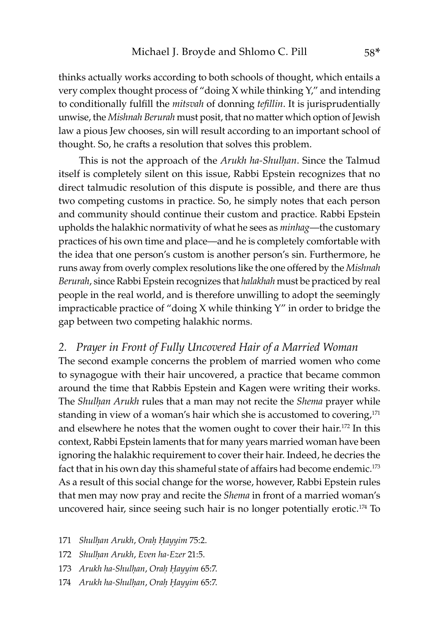thinks actually works according to both schools of thought, which entails a very complex thought process of "doing X while thinking Y," and intending to conditionally fulfill the *mitsvah* of donning *tefillin*. It is jurisprudentially unwise, the *Mishnah Berurah* must posit, that no matter which option of Jewish law a pious Jew chooses, sin will result according to an important school of thought. So, he crafts a resolution that solves this problem.

This is not the approach of the *Arukh ha-Shulhan*. Since the Talmud itself is completely silent on this issue, Rabbi Epstein recognizes that no direct talmudic resolution of this dispute is possible, and there are thus two competing customs in practice. So, he simply notes that each person and community should continue their custom and practice. Rabbi Epstein upholds the halakhic normativity of what he sees as *minhag*—the customary practices of his own time and place—and he is completely comfortable with the idea that one person's custom is another person's sin. Furthermore, he runs away from overly complex resolutions like the one offered by the *Mishnah Berurah*, since Rabbi Epstein recognizes that *halakhah* must be practiced by real people in the real world, and is therefore unwilling to adopt the seemingly impracticable practice of "doing X while thinking Y" in order to bridge the gap between two competing halakhic norms.

#### *2. Prayer in Front of Fully Uncovered Hair of a Married Woman*

The second example concerns the problem of married women who come to synagogue with their hair uncovered, a practice that became common around the time that Rabbis Epstein and Kagen were writing their works. The *Shulhan Arukh* rules that a man may not recite the *Shema* prayer while standing in view of a woman's hair which she is accustomed to covering,<sup>171</sup> and elsewhere he notes that the women ought to cover their hair.<sup>172</sup> In this context, Rabbi Epstein laments that for many years married woman have been ignoring the halakhic requirement to cover their hair. Indeed, he decries the fact that in his own day this shameful state of affairs had become endemic.<sup>173</sup> As a result of this social change for the worse, however, Rabbi Epstein rules that men may now pray and recite the *Shema* in front of a married woman's uncovered hair, since seeing such hair is no longer potentially erotic.174 To

- 171 *Shulhan Arukh, Orah Hayyim* 75:2.
- 172 *Shulêan Arukh*, *Even ha-Ezer* 21:5.
- 173 Arukh ha-Shulhan, Orah Hayyim 65:7.
- 174 Arukh ha-Shulhan, Orah Hayyim 65:7.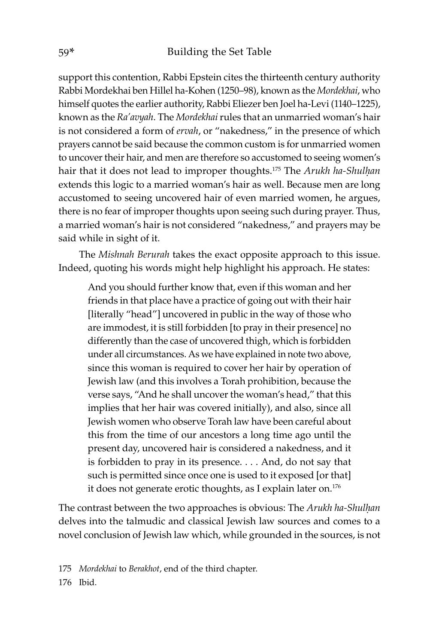support this contention, Rabbi Epstein cites the thirteenth century authority Rabbi Mordekhai ben Hillel ha-Kohen (1250–98), known as the *Mordekhai*, who himself quotes the earlier authority, Rabbi Eliezer ben Joel ha-Levi (1140–1225), known as the *Ra'avyah*. The *Mordekhai* rules that an unmarried woman's hair is not considered a form of *ervah*, or "nakedness," in the presence of which prayers cannot be said because the common custom is for unmarried women to uncover their hair, and men are therefore so accustomed to seeing women's hair that it does not lead to improper thoughts.<sup>175</sup> The *Arukh ha-Shulhan* extends this logic to a married woman's hair as well. Because men are long accustomed to seeing uncovered hair of even married women, he argues, there is no fear of improper thoughts upon seeing such during prayer. Thus, a married woman's hair is not considered "nakedness," and prayers may be said while in sight of it.

The *Mishnah Berurah* takes the exact opposite approach to this issue. Indeed, quoting his words might help highlight his approach. He states:

And you should further know that, even if this woman and her friends in that place have a practice of going out with their hair [literally "head"] uncovered in public in the way of those who are immodest, it is still forbidden [to pray in their presence] no differently than the case of uncovered thigh, which is forbidden under all circumstances. As we have explained in note two above, since this woman is required to cover her hair by operation of Jewish law (and this involves a Torah prohibition, because the verse says, "And he shall uncover the woman's head," that this implies that her hair was covered initially), and also, since all Jewish women who observe Torah law have been careful about this from the time of our ancestors a long time ago until the present day, uncovered hair is considered a nakedness, and it is forbidden to pray in its presence. . . . And, do not say that such is permitted since once one is used to it exposed [or that] it does not generate erotic thoughts, as I explain later on.176

The contrast between the two approaches is obvious: The *Arukh ha-Shulhan* delves into the talmudic and classical Jewish law sources and comes to a novel conclusion of Jewish law which, while grounded in the sources, is not

175 *Mordekhai* to *Berakhot*, end of the third chapter.

176 Ibid.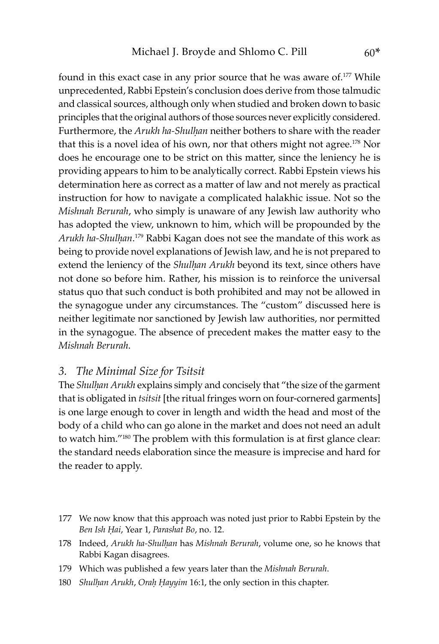found in this exact case in any prior source that he was aware of.<sup>177</sup> While unprecedented, Rabbi Epstein's conclusion does derive from those talmudic and classical sources, although only when studied and broken down to basic principles that the original authors of those sources never explicitly considered. Furthermore, the Arukh ha-Shulhan neither bothers to share with the reader that this is a novel idea of his own, nor that others might not agree.<sup>178</sup> Nor does he encourage one to be strict on this matter, since the leniency he is providing appears to him to be analytically correct. Rabbi Epstein views his determination here as correct as a matter of law and not merely as practical instruction for how to navigate a complicated halakhic issue. Not so the *Mishnah Berurah*, who simply is unaware of any Jewish law authority who has adopted the view, unknown to him, which will be propounded by the *Arukh ha-Shulêan*. 179 Rabbi Kagan does not see the mandate of this work as being to provide novel explanations of Jewish law, and he is not prepared to extend the leniency of the *Shulhan Arukh* beyond its text, since others have not done so before him. Rather, his mission is to reinforce the universal status quo that such conduct is both prohibited and may not be allowed in the synagogue under any circumstances. The "custom" discussed here is neither legitimate nor sanctioned by Jewish law authorities, nor permitted in the synagogue. The absence of precedent makes the matter easy to the *Mishnah Berurah*.

## *3. The Minimal Size for Tsitsit*

The *Shulhan Arukh* explains simply and concisely that "the size of the garment that is obligated in *tsitsit* [the ritual fringes worn on four-cornered garments] is one large enough to cover in length and width the head and most of the body of a child who can go alone in the market and does not need an adult to watch him."180 The problem with this formulation is at first glance clear: the standard needs elaboration since the measure is imprecise and hard for the reader to apply.

- 177 We now know that this approach was noted just prior to Rabbi Epstein by the *Ben Ish Êai*, Year 1, *Parashat Bo*, no. 12.
- 178 Indeed, *Arukh ha-Shulêan* has *Mishnah Berurah*, volume one, so he knows that Rabbi Kagan disagrees.
- 179 Which was published a few years later than the *Mishnah Berurah*.
- 180 *Shulhan Arukh, Orah Hayyim* 16:1, the only section in this chapter.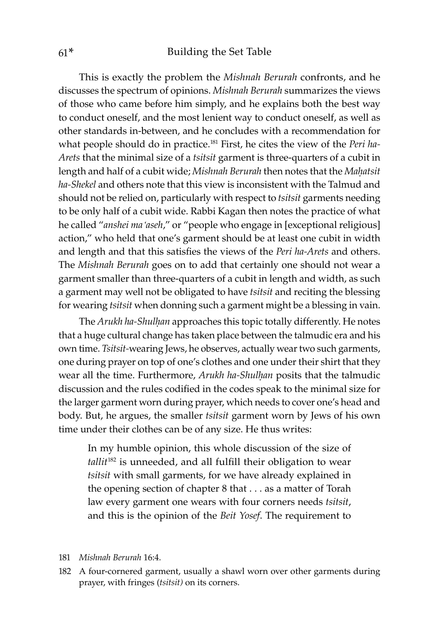#### 61\* Building the Set Table

This is exactly the problem the *Mishnah Berurah* confronts, and he discusses the spectrum of opinions. *Mishnah Berurah* summarizes the views of those who came before him simply, and he explains both the best way to conduct oneself, and the most lenient way to conduct oneself, as well as other standards in-between, and he concludes with a recommendation for what people should do in practice.181 First, he cites the view of the *Peri ha-Arets* that the minimal size of a *tsitsit* garment is three-quarters of a cubit in length and half of a cubit wide; *Mishnah Berurah* then notes that the *Mahatsit ha-Shekel* and others note that this view is inconsistent with the Talmud and should not be relied on, particularly with respect to *tsitsit* garments needing to be only half of a cubit wide. Rabbi Kagan then notes the practice of what he called "*anshei ma'aseh*," or "people who engage in [exceptional religious] action," who held that one's garment should be at least one cubit in width and length and that this satisfies the views of the *Peri ha-Arets* and others. The *Mishnah Berurah* goes on to add that certainly one should not wear a garment smaller than three-quarters of a cubit in length and width, as such a garment may well not be obligated to have *tsitsit* and reciting the blessing for wearing *tsitsit* when donning such a garment might be a blessing in vain.

The Arukh ha-Shulhan approaches this topic totally differently. He notes that a huge cultural change has taken place between the talmudic era and his own time. *Tsitsit-*wearing Jews, he observes, actually wear two such garments, one during prayer on top of one's clothes and one under their shirt that they wear all the time. Furthermore, *Arukh ha-Shulhan* posits that the talmudic discussion and the rules codified in the codes speak to the minimal size for the larger garment worn during prayer, which needs to cover one's head and body. But, he argues, the smaller *tsitsit* garment worn by Jews of his own time under their clothes can be of any size. He thus writes:

In my humble opinion, this whole discussion of the size of *tallit*<sup>182</sup> is unneeded, and all fulfill their obligation to wear *tsitsit* with small garments, for we have already explained in the opening section of chapter 8 that . . . as a matter of Torah law every garment one wears with four corners needs *tsitsit*, and this is the opinion of the *Beit Yosef*. The requirement to

- 181 *Mishnah Berurah* 16:4.
- 182 A four-cornered garment, usually a shawl worn over other garments during prayer, with fringes (*tsitsit)* on its corners.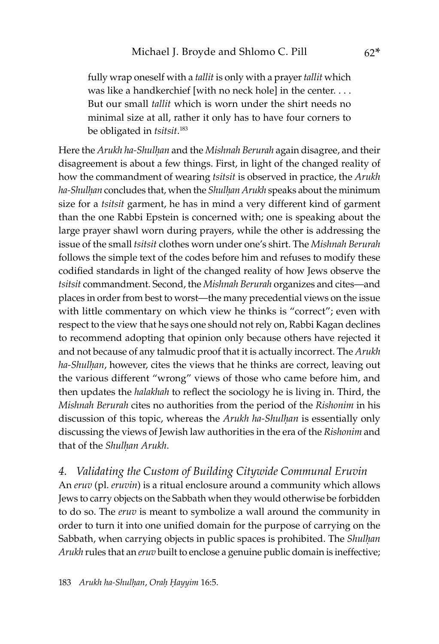fully wrap oneself with a *tallit* is only with a prayer *tallit* which was like a handkerchief [with no neck hole] in the center. . . . But our small *tallit* which is worn under the shirt needs no minimal size at all, rather it only has to have four corners to be obligated in *tsitsit*. 183

Here the *Arukh ha-Shulêan* and the *Mishnah Berurah* again disagree, and their disagreement is about a few things. First, in light of the changed reality of how the commandment of wearing *tsitsit* is observed in practice, the *Arukh ha-Shulêan* concludes that, when the *Shulêan Arukh* speaks about the minimum size for a *tsitsit* garment, he has in mind a very different kind of garment than the one Rabbi Epstein is concerned with; one is speaking about the large prayer shawl worn during prayers, while the other is addressing the issue of the small *tsitsit* clothes worn under one's shirt. The *Mishnah Berurah* follows the simple text of the codes before him and refuses to modify these codified standards in light of the changed reality of how Jews observe the *tsitsit* commandment. Second, the *Mishnah Berurah* organizes and cites—and places in order from best to worst—the many precedential views on the issue with little commentary on which view he thinks is "correct"; even with respect to the view that he says one should not rely on, Rabbi Kagan declines to recommend adopting that opinion only because others have rejected it and not because of any talmudic proof that it is actually incorrect. The *Arukh ha-Shulhan*, however, cites the views that he thinks are correct, leaving out the various different "wrong" views of those who came before him, and then updates the *halakhah* to reflect the sociology he is living in. Third, the *Mishnah Berurah* cites no authorities from the period of the *Rishonim* in his discussion of this topic, whereas the *Arukh ha-Shulhan* is essentially only discussing the views of Jewish law authorities in the era of the *Rishonim* and that of the *Shulhan Arukh*.

*4. Validating the Custom of Building Citywide Communal Eruvin* An *eruv* (pl. *eruvin*) is a ritual enclosure around a community which allows Jews to carry objects on the Sabbath when they would otherwise be forbidden to do so. The *eruv* is meant to symbolize a wall around the community in order to turn it into one unified domain for the purpose of carrying on the Sabbath, when carrying objects in public spaces is prohibited. The *Shulhan Arukh* rules that an *eruv* built to enclose a genuine public domain is ineffective;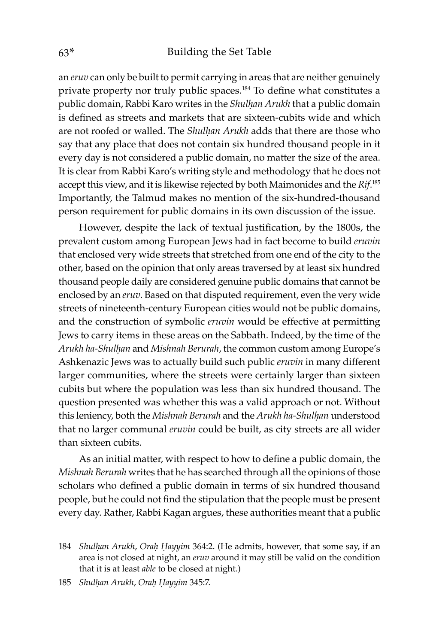an *eruv* can only be built to permit carrying in areas that are neither genuinely private property nor truly public spaces.<sup>184</sup> To define what constitutes a public domain, Rabbi Karo writes in the *Shulhan Arukh* that a public domain is defined as streets and markets that are sixteen-cubits wide and which are not roofed or walled. The *Shulêan Arukh* adds that there are those who say that any place that does not contain six hundred thousand people in it every day is not considered a public domain, no matter the size of the area. It is clear from Rabbi Karo's writing style and methodology that he does not accept this view, and it is likewise rejected by both Maimonides and the *Rif*. 185 Importantly, the Talmud makes no mention of the six-hundred-thousand person requirement for public domains in its own discussion of the issue.

However, despite the lack of textual justification, by the 1800s, the prevalent custom among European Jews had in fact become to build *eruvin*  that enclosed very wide streets that stretched from one end of the city to the other, based on the opinion that only areas traversed by at least six hundred thousand people daily are considered genuine public domains that cannot be enclosed by an *eruv*. Based on that disputed requirement, even the very wide streets of nineteenth-century European cities would not be public domains, and the construction of symbolic *eruvin* would be effective at permitting Jews to carry items in these areas on the Sabbath. Indeed, by the time of the *Arukh ha-Shulêan* and *Mishnah Berurah*, the common custom among Europe's Ashkenazic Jews was to actually build such public *eruvin* in many different larger communities, where the streets were certainly larger than sixteen cubits but where the population was less than six hundred thousand. The question presented was whether this was a valid approach or not. Without this leniency, both the *Mishnah Berurah* and the *Arukh ha-Shulhan* understood that no larger communal *eruvin* could be built, as city streets are all wider than sixteen cubits.

As an initial matter, with respect to how to define a public domain, the *Mishnah Berurah* writes that he has searched through all the opinions of those scholars who defined a public domain in terms of six hundred thousand people, but he could not find the stipulation that the people must be present every day. Rather, Rabbi Kagan argues, these authorities meant that a public

<sup>184</sup> *Shulêan Arukh*, *Oraê Êayyim* 364:2. (He admits, however, that some say, if an area is not closed at night, an *eruv* around it may still be valid on the condition that it is at least *able* to be closed at night.)

<sup>185</sup> *Shulhan Arukh, Orah Hayyim* 345:7.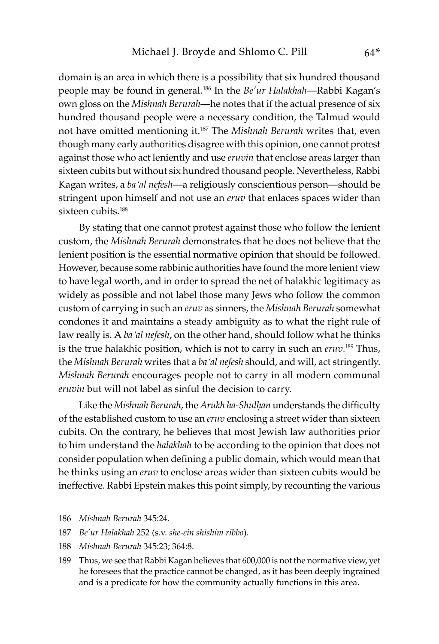domain is an area in which there is a possibility that six hundred thousand people may be found in general.186 In the *Be'ur Halakhah*—Rabbi Kagan's own gloss on the *Mishnah Berurah*—he notes that if the actual presence of six hundred thousand people were a necessary condition, the Talmud would not have omitted mentioning it.187 The *Mishnah Berurah* writes that, even though many early authorities disagree with this opinion, one cannot protest against those who act leniently and use *eruvin* that enclose areas larger than sixteen cubits but without six hundred thousand people. Nevertheless, Rabbi Kagan writes, a *ba'al nefesh*—a religiously conscientious person—should be stringent upon himself and not use an *eruv* that enlaces spaces wider than sixteen cubits.<sup>188</sup>

By stating that one cannot protest against those who follow the lenient custom, the *Mishnah Berurah* demonstrates that he does not believe that the lenient position is the essential normative opinion that should be followed. However, because some rabbinic authorities have found the more lenient view to have legal worth, and in order to spread the net of halakhic legitimacy as widely as possible and not label those many Jews who follow the common custom of carrying in such an *eruv* as sinners, the *Mishnah Berurah* somewhat condones it and maintains a steady ambiguity as to what the right rule of law really is. A *ba'al nefesh*, on the other hand, should follow what he thinks is the true halakhic position, which is not to carry in such an *eruv*. 189 Thus, the *Mishnah Berurah* writes that a *ba'al nefesh* should, and will, act stringently. *Mishnah Berurah* encourages people not to carry in all modern communal *eruvin* but will not label as sinful the decision to carry.

Like the *Mishnah Berurah*, the *Arukh ha-Shulhan* understands the difficulty of the established custom to use an *eruv* enclosing a street wider than sixteen cubits. On the contrary, he believes that most Jewish law authorities prior to him understand the *halakhah* to be according to the opinion that does not consider population when defining a public domain, which would mean that he thinks using an *eruv* to enclose areas wider than sixteen cubits would be ineffective. Rabbi Epstein makes this point simply, by recounting the various

- 186 *Mishnah Berurah* 345:24.
- 187 *Be'ur Halakhah* 252 (s.v. *she-ein shishim ribbo*)*.*
- 188 *Mishnah Berurah* 345:23; 364:8.
- 189 Thus, we see that Rabbi Kagan believes that 600,000 is not the normative view, yet he foresees that the practice cannot be changed, as it has been deeply ingrained and is a predicate for how the community actually functions in this area.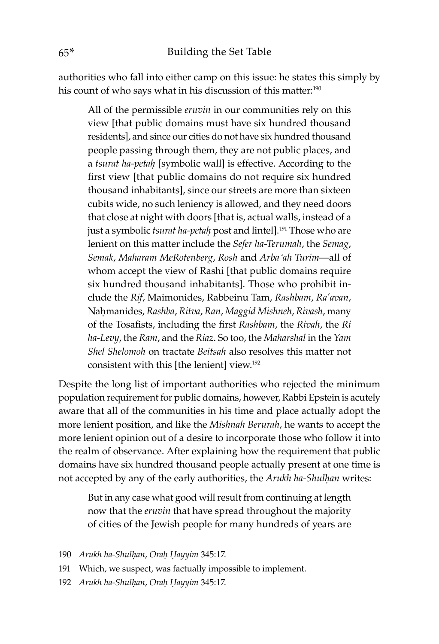authorities who fall into either camp on this issue: he states this simply by his count of who says what in his discussion of this matter:<sup>190</sup>

All of the permissible *eruvin* in our communities rely on this view [that public domains must have six hundred thousand residents], and since our cities do not have six hundred thousand people passing through them, they are not public places, and a *tsurat ha-petaê* [symbolic wall] is effective. According to the first view [that public domains do not require six hundred thousand inhabitants], since our streets are more than sixteen cubits wide, no such leniency is allowed, and they need doors that close at night with doors [that is, actual walls, instead of a just a symbolic *tsurat ha-petah* post and lintel].<sup>191</sup> Those who are lenient on this matter include the *Sefer ha-Terumah*, the *Semag*, *Semak*, *Maharam MeRotenberg*, *Rosh* and *Arba'ah Turim*—all of whom accept the view of Rashi [that public domains require six hundred thousand inhabitants]. Those who prohibit include the *Rif*, Maimonides, Rabbeinu Tam, *Rashbam*, *Ra'avan*, Naêmanides, *Rashba*, *Ritva*, *Ran*, *Maggid Mishneh*, *Rivash*, many of the Tosafists, including the first *Rashbam*, the *Rivah*, the *Ri ha-Levy*, the *Ram*, and the *Riaz*. So too, the *Maharshal* in the *Yam Shel Shelomoh* on tractate *Beitsah* also resolves this matter not consistent with this [the lenient] view.192

Despite the long list of important authorities who rejected the minimum population requirement for public domains, however, Rabbi Epstein is acutely aware that all of the communities in his time and place actually adopt the more lenient position, and like the *Mishnah Berurah*, he wants to accept the more lenient opinion out of a desire to incorporate those who follow it into the realm of observance. After explaining how the requirement that public domains have six hundred thousand people actually present at one time is not accepted by any of the early authorities, the *Arukh ha-Shulhan* writes:

But in any case what good will result from continuing at length now that the *eruvin* that have spread throughout the majority of cities of the Jewish people for many hundreds of years are

- 190 Arukh ha-Shulhan, Orah Hayyim 345:17.
- 191 Which, we suspect, was factually impossible to implement.
- 192 *Arukh ha-Shulhan, Orah Hayyim* 345:17.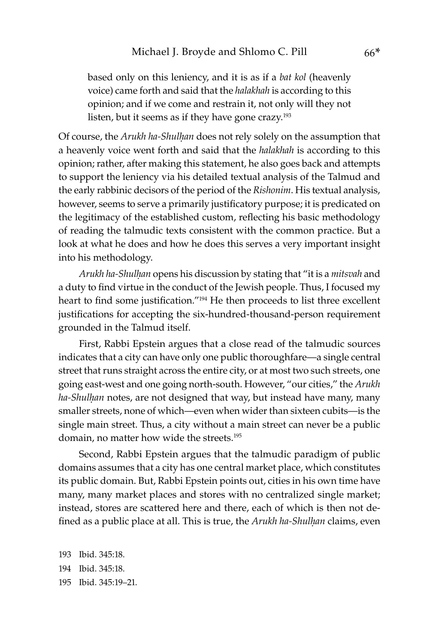based only on this leniency, and it is as if a *bat kol* (heavenly voice) came forth and said that the *halakhah* is according to this opinion; and if we come and restrain it, not only will they not listen, but it seems as if they have gone crazy.193

Of course, the *Arukh ha-Shulhan* does not rely solely on the assumption that a heavenly voice went forth and said that the *halakhah* is according to this opinion; rather, after making this statement, he also goes back and attempts to support the leniency via his detailed textual analysis of the Talmud and the early rabbinic decisors of the period of the *Rishonim*. His textual analysis, however, seems to serve a primarily justificatory purpose; it is predicated on the legitimacy of the established custom, reflecting his basic methodology of reading the talmudic texts consistent with the common practice. But a look at what he does and how he does this serves a very important insight into his methodology.

*Arukh ha-Shulêan* opens his discussion by stating that "it is a *mitsvah* and a duty to find virtue in the conduct of the Jewish people. Thus, I focused my heart to find some justification."194 He then proceeds to list three excellent justifications for accepting the six-hundred-thousand-person requirement grounded in the Talmud itself.

First, Rabbi Epstein argues that a close read of the talmudic sources indicates that a city can have only one public thoroughfare—a single central street that runs straight across the entire city, or at most two such streets, one going east-west and one going north-south. However, "our cities," the *Arukh ha-Shulhan* notes, are not designed that way, but instead have many, many smaller streets, none of which—even when wider than sixteen cubits—is the single main street. Thus, a city without a main street can never be a public domain, no matter how wide the streets.<sup>195</sup>

Second, Rabbi Epstein argues that the talmudic paradigm of public domains assumes that a city has one central market place, which constitutes its public domain. But, Rabbi Epstein points out, cities in his own time have many, many market places and stores with no centralized single market; instead, stores are scattered here and there, each of which is then not defined as a public place at all. This is true, the *Arukh ha-Shulhan* claims, even

193 Ibid. 345:18. 194 Ibid. 345:18. 195 Ibid. 345:19–21.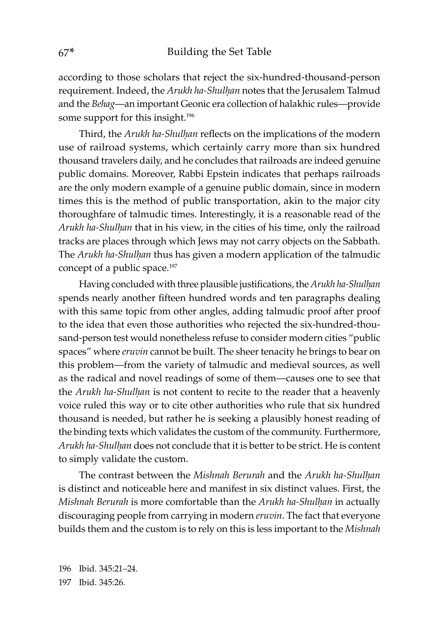according to those scholars that reject the six-hundred-thousand-person requirement. Indeed, the *Arukh ha-Shulhan* notes that the Jerusalem Talmud and the *Behag*—an important Geonic era collection of halakhic rules—provide some support for this insight.<sup>196</sup>

Third, the *Arukh ha-Shulhan* reflects on the implications of the modern use of railroad systems, which certainly carry more than six hundred thousand travelers daily, and he concludes that railroads are indeed genuine public domains. Moreover, Rabbi Epstein indicates that perhaps railroads are the only modern example of a genuine public domain, since in modern times this is the method of public transportation, akin to the major city thoroughfare of talmudic times. Interestingly, it is a reasonable read of the *Arukh ha-Shulhan* that in his view, in the cities of his time, only the railroad tracks are places through which Jews may not carry objects on the Sabbath. The *Arukh ha-Shulhan* thus has given a modern application of the talmudic concept of a public space.<sup>197</sup>

Having concluded with three plausible justifications, the Arukh ha-Shulhan spends nearly another fifteen hundred words and ten paragraphs dealing with this same topic from other angles, adding talmudic proof after proof to the idea that even those authorities who rejected the six-hundred-thousand-person test would nonetheless refuse to consider modern cities "public spaces" where *eruvin* cannot be built. The sheer tenacity he brings to bear on this problem—from the variety of talmudic and medieval sources, as well as the radical and novel readings of some of them—causes one to see that the *Arukh ha-Shulhan* is not content to recite to the reader that a heavenly voice ruled this way or to cite other authorities who rule that six hundred thousand is needed, but rather he is seeking a plausibly honest reading of the binding texts which validates the custom of the community. Furthermore, Arukh ha-Shulhan does not conclude that it is better to be strict. He is content to simply validate the custom.

The contrast between the *Mishnah Berurah* and the *Arukh ha-Shulhan* is distinct and noticeable here and manifest in six distinct values. First, the *Mishnah Berurah* is more comfortable than the *Arukh ha-Shulhan* in actually discouraging people from carrying in modern *eruvin*. The fact that everyone builds them and the custom is to rely on this is less important to the *Mishnah*

196 Ibid. 345:21–24. 197 Ibid. 345:26.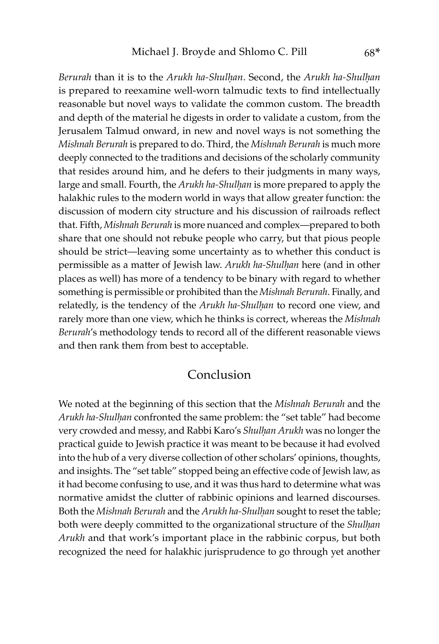*Berurah* than it is to the *Arukh ha-Shulhan*. Second, the *Arukh ha-Shulhan* is prepared to reexamine well-worn talmudic texts to find intellectually reasonable but novel ways to validate the common custom. The breadth and depth of the material he digests in order to validate a custom, from the Jerusalem Talmud onward, in new and novel ways is not something the *Mishnah Berurah* is prepared to do. Third, the *Mishnah Berurah* is much more deeply connected to the traditions and decisions of the scholarly community that resides around him, and he defers to their judgments in many ways, large and small. Fourth, the *Arukh ha-Shulhan* is more prepared to apply the halakhic rules to the modern world in ways that allow greater function: the discussion of modern city structure and his discussion of railroads reflect that. Fifth, *Mishnah Berurah* is more nuanced and complex—prepared to both share that one should not rebuke people who carry, but that pious people should be strict—leaving some uncertainty as to whether this conduct is permissible as a matter of Jewish law. *Arukh ha-Shulêan* here (and in other places as well) has more of a tendency to be binary with regard to whether something is permissible or prohibited than the *Mishnah Berurah*. Finally, and relatedly, is the tendency of the Arukh ha-Shulhan to record one view, and rarely more than one view, which he thinks is correct, whereas the *Mishnah Berurah*'s methodology tends to record all of the different reasonable views and then rank them from best to acceptable.

# Conclusion

We noted at the beginning of this section that the *Mishnah Berurah* and the Arukh ha-Shulhan confronted the same problem: the "set table" had become very crowded and messy, and Rabbi Karo's *Shulêan Arukh* was no longer the practical guide to Jewish practice it was meant to be because it had evolved into the hub of a very diverse collection of other scholars' opinions, thoughts, and insights. The "set table" stopped being an effective code of Jewish law, as it had become confusing to use, and it was thus hard to determine what was normative amidst the clutter of rabbinic opinions and learned discourses. Both the *Mishnah Berurah* and the *Arukh ha-Shulhan* sought to reset the table; both were deeply committed to the organizational structure of the *Shulhan Arukh* and that work's important place in the rabbinic corpus, but both recognized the need for halakhic jurisprudence to go through yet another